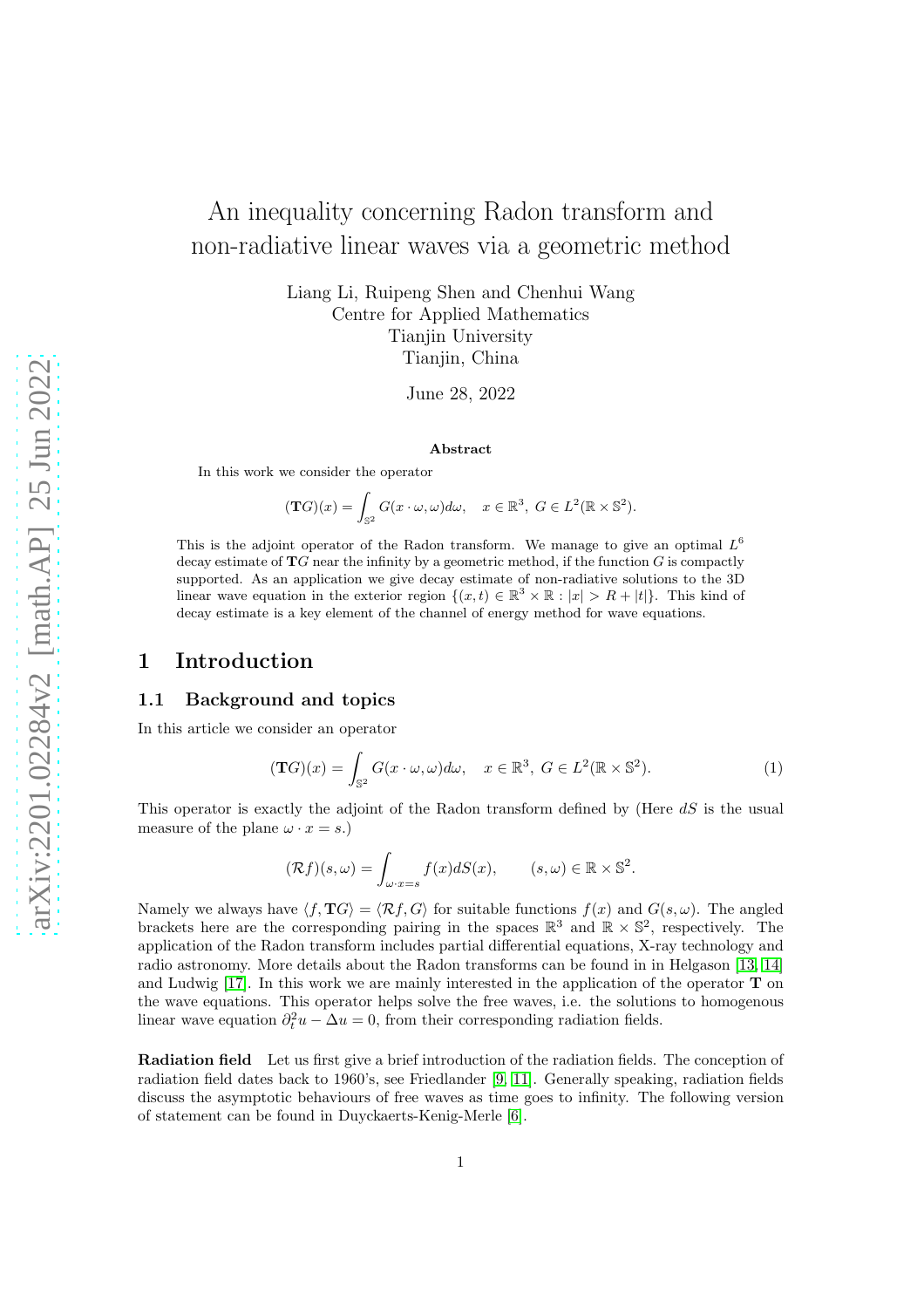# An inequality concerning Radon transform and non-radiative linear waves via a geometric method

Liang Li, Ruipeng Shen and Chenhui Wang Centre for Applied Mathematics Tianjin University Tianjin, China

June 28, 2022

#### Abstract

In this work we consider the operator

$$
(\mathbf{T}G)(x) = \int_{\mathbb{S}^2} G(x \cdot \omega, \omega) d\omega, \quad x \in \mathbb{R}^3, \ G \in L^2(\mathbb{R} \times \mathbb{S}^2).
$$

This is the adjoint operator of the Radon transform. We manage to give an optimal  $L^6$ decay estimate of  $TG$  near the infinity by a geometric method, if the function  $G$  is compactly supported. As an application we give decay estimate of non-radiative solutions to the 3D linear wave equation in the exterior region  $\{(x,t) \in \mathbb{R}^3 \times \mathbb{R} : |x| > R + |t|\}.$  This kind of decay estimate is a key element of the channel of energy method for wave equations.

### <span id="page-0-1"></span>1 Introduction

#### 1.1 Background and topics

In this article we consider an operator

<span id="page-0-0"></span>
$$
(\mathbf{T}G)(x) = \int_{\mathbb{S}^2} G(x \cdot \omega, \omega) d\omega, \quad x \in \mathbb{R}^3, \ G \in L^2(\mathbb{R} \times \mathbb{S}^2). \tag{1}
$$

This operator is exactly the adjoint of the Radon transform defined by (Here  $dS$  is the usual measure of the plane  $\omega \cdot x = s$ .

$$
(\mathcal{R}f)(s,\omega) = \int_{\omega \cdot x = s} f(x) dS(x), \qquad (s,\omega) \in \mathbb{R} \times \mathbb{S}^2.
$$

Namely we always have  $\langle f, \mathbf{T}G \rangle = \langle \mathcal{R}f, G \rangle$  for suitable functions  $f(x)$  and  $G(s, \omega)$ . The angled brackets here are the corresponding pairing in the spaces  $\mathbb{R}^3$  and  $\mathbb{R} \times \mathbb{S}^2$ , respectively. The application of the Radon transform includes partial differential equations, X-ray technology and radio astronomy. More details about the Radon transforms can be found in in Helgason [\[13,](#page-37-0) [14\]](#page-37-1) and Ludwig  $[17]$ . In this work we are mainly interested in the application of the operator  $\bf{T}$  on the wave equations. This operator helps solve the free waves, i.e. the solutions to homogenous linear wave equation  $\partial_t^2 u - \Delta u = 0$ , from their corresponding radiation fields.

Radiation field Let us first give a brief introduction of the radiation fields. The conception of radiation field dates back to 1960's, see Friedlander [\[9,](#page-36-0) [11\]](#page-36-1). Generally speaking, radiation fields discuss the asymptotic behaviours of free waves as time goes to infinity. The following version of statement can be found in Duyckaerts-Kenig-Merle [\[6\]](#page-36-2).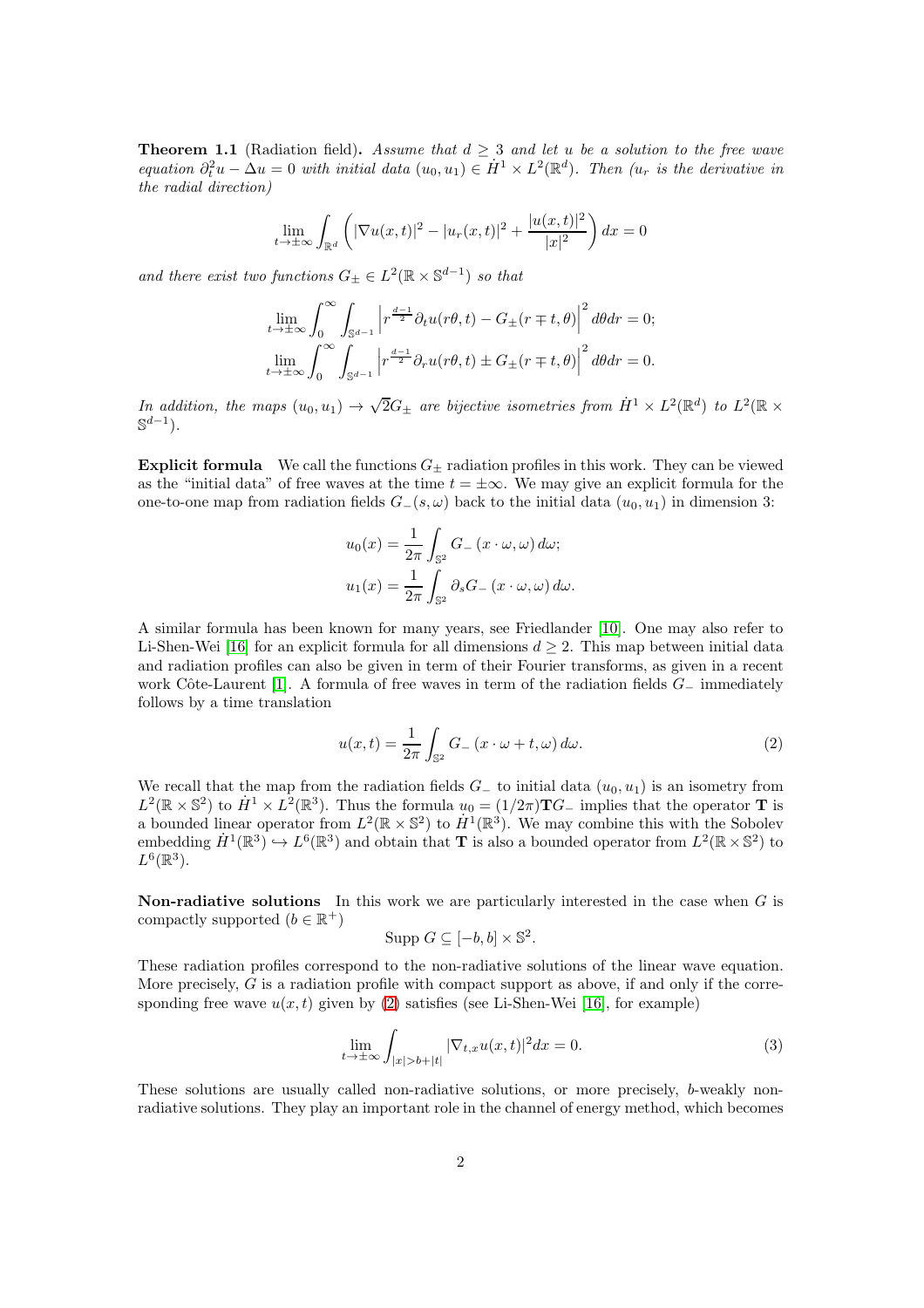**Theorem 1.1** (Radiation field). Assume that  $d \geq 3$  and let u be a solution to the free wave equation  $\partial_t^2 u - \Delta u = 0$  with initial data  $(u_0, u_1) \in \dot{H}^1 \times L^2(\mathbb{R}^d)$ . Then  $(u_r$  is the derivative in the radial direction)

$$
\lim_{t \to \pm \infty} \int_{\mathbb{R}^d} \left( |\nabla u(x, t)|^2 - |u_r(x, t)|^2 + \frac{|u(x, t)|^2}{|x|^2} \right) dx = 0
$$

and there exist two functions  $G_{\pm} \in L^2(\mathbb{R} \times \mathbb{S}^{d-1})$  so that

$$
\lim_{t \to \pm \infty} \int_0^{\infty} \int_{\mathbb{S}^{d-1}} \left| r^{\frac{d-1}{2}} \partial_t u(r\theta, t) - G_{\pm}(r \mp t, \theta) \right|^2 d\theta dr = 0;
$$
  

$$
\lim_{t \to \pm \infty} \int_0^{\infty} \int_{\mathbb{S}^{d-1}} \left| r^{\frac{d-1}{2}} \partial_r u(r\theta, t) \pm G_{\pm}(r \mp t, \theta) \right|^2 d\theta dr = 0.
$$

In addition, the maps  $(u_0, u_1) \to \sqrt{2}G_{\pm}$  are bijective isometries from  $\dot{H}^1 \times L^2(\mathbb{R}^d)$  to  $L^2(\mathbb{R} \times$  $\mathbb{S}^{d-1}$ ).

**Explicit formula** We call the functions  $G_{\pm}$  radiation profiles in this work. They can be viewed as the "initial data" of free waves at the time  $t = \pm \infty$ . We may give an explicit formula for the one-to-one map from radiation fields  $G_{-}(s, \omega)$  back to the initial data  $(u_0, u_1)$  in dimension 3:

$$
u_0(x) = \frac{1}{2\pi} \int_{\mathbb{S}^2} G_{-}(x \cdot \omega, \omega) d\omega;
$$
  

$$
u_1(x) = \frac{1}{2\pi} \int_{\mathbb{S}^2} \partial_s G_{-}(x \cdot \omega, \omega) d\omega.
$$

A similar formula has been known for many years, see Friedlander [\[10\]](#page-36-3). One may also refer to Li-Shen-Wei [\[16\]](#page-37-3) for an explicit formula for all dimensions  $d \geq 2$ . This map between initial data and radiation profiles can also be given in term of their Fourier transforms, as given in a recent work Côte-Laurent [\[1\]](#page-36-4). A formula of free waves in term of the radiation fields  $G_-\,$  immediately follows by a time translation

<span id="page-1-0"></span>
$$
u(x,t) = \frac{1}{2\pi} \int_{\mathbb{S}^2} G_{-}(x \cdot \omega + t, \omega) d\omega.
$$
 (2)

We recall that the map from the radiation fields  $G_-\,$  to initial data  $(u_0, u_1)$  is an isometry from  $L^2(\mathbb{R} \times \mathbb{S}^2)$  to  $\dot{H}^1 \times L^2(\mathbb{R}^3)$ . Thus the formula  $u_0 = (1/2\pi) \mathbf{T} G$  implies that the operator **T** is a bounded linear operator from  $L^2(\mathbb{R} \times \mathbb{S}^2)$  to  $H^1(\mathbb{R}^3)$ . We may combine this with the Sobolev embedding  $\dot{H}^1(\mathbb{R}^3) \hookrightarrow L^6(\mathbb{R}^3)$  and obtain that **T** is also a bounded operator from  $L^2(\mathbb{R} \times \mathbb{S}^2)$  to  $L^6(\mathbb{R}^3)$ .

**Non-radiative solutions** In this work we are particularly interested in the case when  $G$  is compactly supported  $(b \in \mathbb{R}^+)$ 

$$
Supp\ G\subseteq [-b,b]\times \mathbb{S}^2.
$$

These radiation profiles correspond to the non-radiative solutions of the linear wave equation. More precisely,  $G$  is a radiation profile with compact support as above, if and only if the corresponding free wave  $u(x, t)$  given by [\(2\)](#page-1-0) satisfies (see Li-Shen-Wei [\[16\]](#page-37-3), for example)

$$
\lim_{t \to \pm \infty} \int_{|x| > b + |t|} |\nabla_{t,x} u(x,t)|^2 dx = 0.
$$
\n(3)

These solutions are usually called non-radiative solutions, or more precisely, b-weakly nonradiative solutions. They play an important role in the channel of energy method, which becomes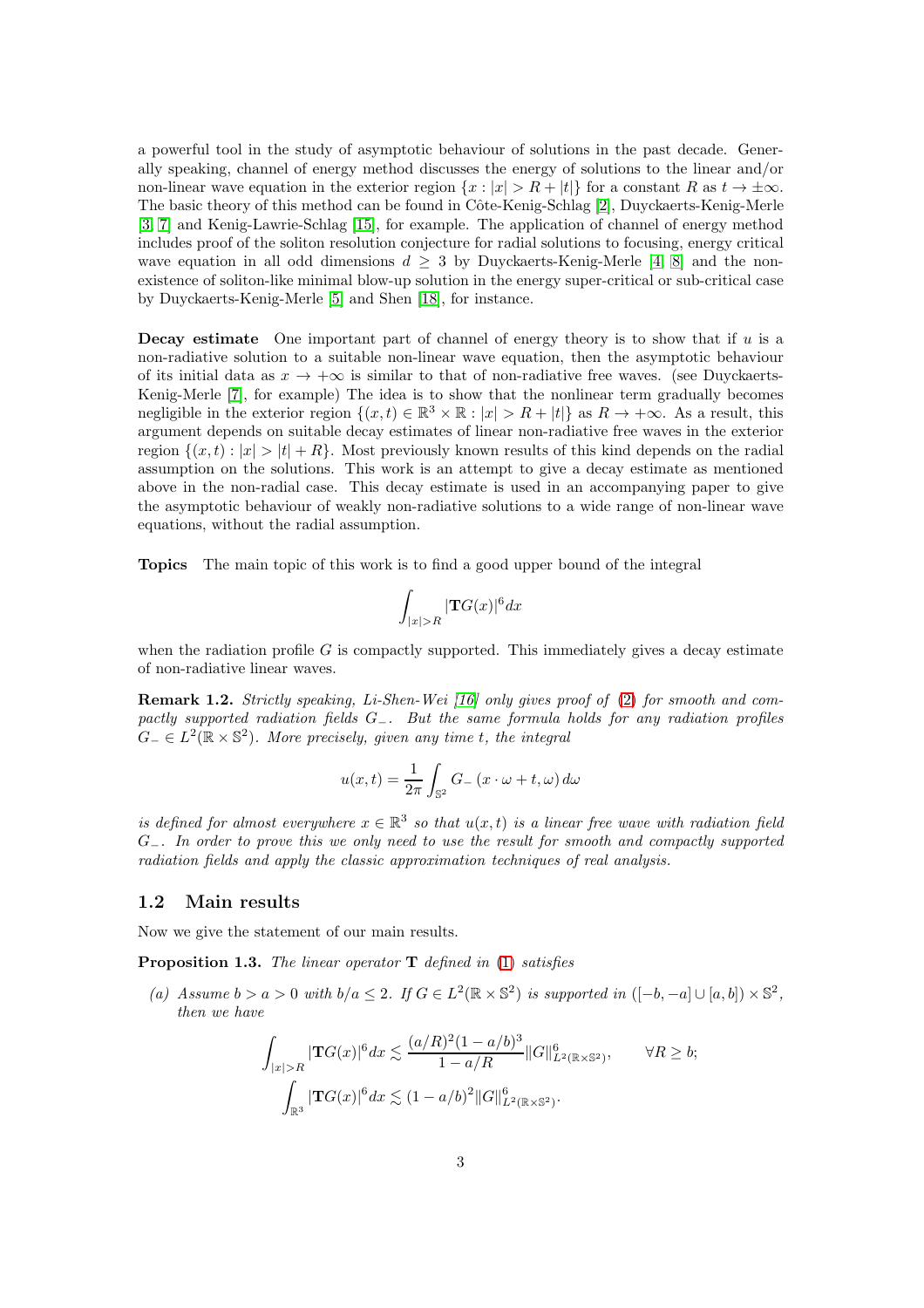a powerful tool in the study of asymptotic behaviour of solutions in the past decade. Generally speaking, channel of energy method discusses the energy of solutions to the linear and/or non-linear wave equation in the exterior region  $\{x : |x| > R + |t|\}$  for a constant R as  $t \to \pm \infty$ . The basic theory of this method can be found in Côte-Kenig-Schlag [\[2\]](#page-36-5), Duyckaerts-Kenig-Merle [\[3,](#page-36-6) [7\]](#page-36-7) and Kenig-Lawrie-Schlag [\[15\]](#page-37-4), for example. The application of channel of energy method includes proof of the soliton resolution conjecture for radial solutions to focusing, energy critical wave equation in all odd dimensions  $d \geq 3$  by Duyckaerts-Kenig-Merle [\[4,](#page-36-8) [8\]](#page-36-9) and the nonexistence of soliton-like minimal blow-up solution in the energy super-critical or sub-critical case by Duyckaerts-Kenig-Merle [\[5\]](#page-36-10) and Shen [\[18\]](#page-37-5), for instance.

**Decay estimate** One important part of channel of energy theory is to show that if  $u$  is a non-radiative solution to a suitable non-linear wave equation, then the asymptotic behaviour of its initial data as  $x \to +\infty$  is similar to that of non-radiative free waves. (see Duyckaerts-Kenig-Merle [\[7\]](#page-36-7), for example) The idea is to show that the nonlinear term gradually becomes negligible in the exterior region  $\{(x,t) \in \mathbb{R}^3 \times \mathbb{R} : |x| > R + |t|\}$  as  $R \to +\infty$ . As a result, this argument depends on suitable decay estimates of linear non-radiative free waves in the exterior region  $\{(x, t) : |x| > |t| + R\}$ . Most previously known results of this kind depends on the radial assumption on the solutions. This work is an attempt to give a decay estimate as mentioned above in the non-radial case. This decay estimate is used in an accompanying paper to give the asymptotic behaviour of weakly non-radiative solutions to a wide range of non-linear wave equations, without the radial assumption.

Topics The main topic of this work is to find a good upper bound of the integral

$$
\int_{|x|>R} |\mathbf{T}G(x)|^6 dx
$$

when the radiation profile  $G$  is compactly supported. This immediately gives a decay estimate of non-radiative linear waves.

Remark 1.2. Strictly speaking, Li-Shen-Wei [\[16\]](#page-37-3) only gives proof of [\(2\)](#page-1-0) for smooth and compactly supported radiation fields G−. But the same formula holds for any radiation profiles  $G_{-} \in L^{2}(\mathbb{R} \times \mathbb{S}^{2})$ . More precisely, given any time t, the integral

$$
u(x,t) = \frac{1}{2\pi} \int_{\mathbb{S}^2} G_{-}(x \cdot \omega + t, \omega) d\omega
$$

is defined for almost everywhere  $x \in \mathbb{R}^3$  so that  $u(x,t)$  is a linear free wave with radiation field G<sub>-</sub>. In order to prove this we only need to use the result for smooth and compactly supported radiation fields and apply the classic approximation techniques of real analysis.

#### 1.2 Main results

Now we give the statement of our main results.

<span id="page-2-0"></span>**Proposition 1.3.** The linear operator  $\mathbf{T}$  defined in [\(1\)](#page-0-0) satisfies

(a) Assume  $b > a > 0$  with  $b/a \leq 2$ . If  $G \in L^2(\mathbb{R} \times \mathbb{S}^2)$  is supported in  $([-b, -a] \cup [a, b]) \times \mathbb{S}^2$ , then we have

$$
\int_{|x|>R} |\mathbf{T}G(x)|^6 dx \lesssim \frac{(a/R)^2 (1-a/b)^3}{1-a/R} ||G||_{L^2(\mathbb{R}\times\mathbb{S}^2)}^6, \qquad \forall R \ge b;
$$

$$
\int_{\mathbb{R}^3} |\mathbf{T}G(x)|^6 dx \lesssim (1-a/b)^2 ||G||_{L^2(\mathbb{R}\times\mathbb{S}^2)}^6.
$$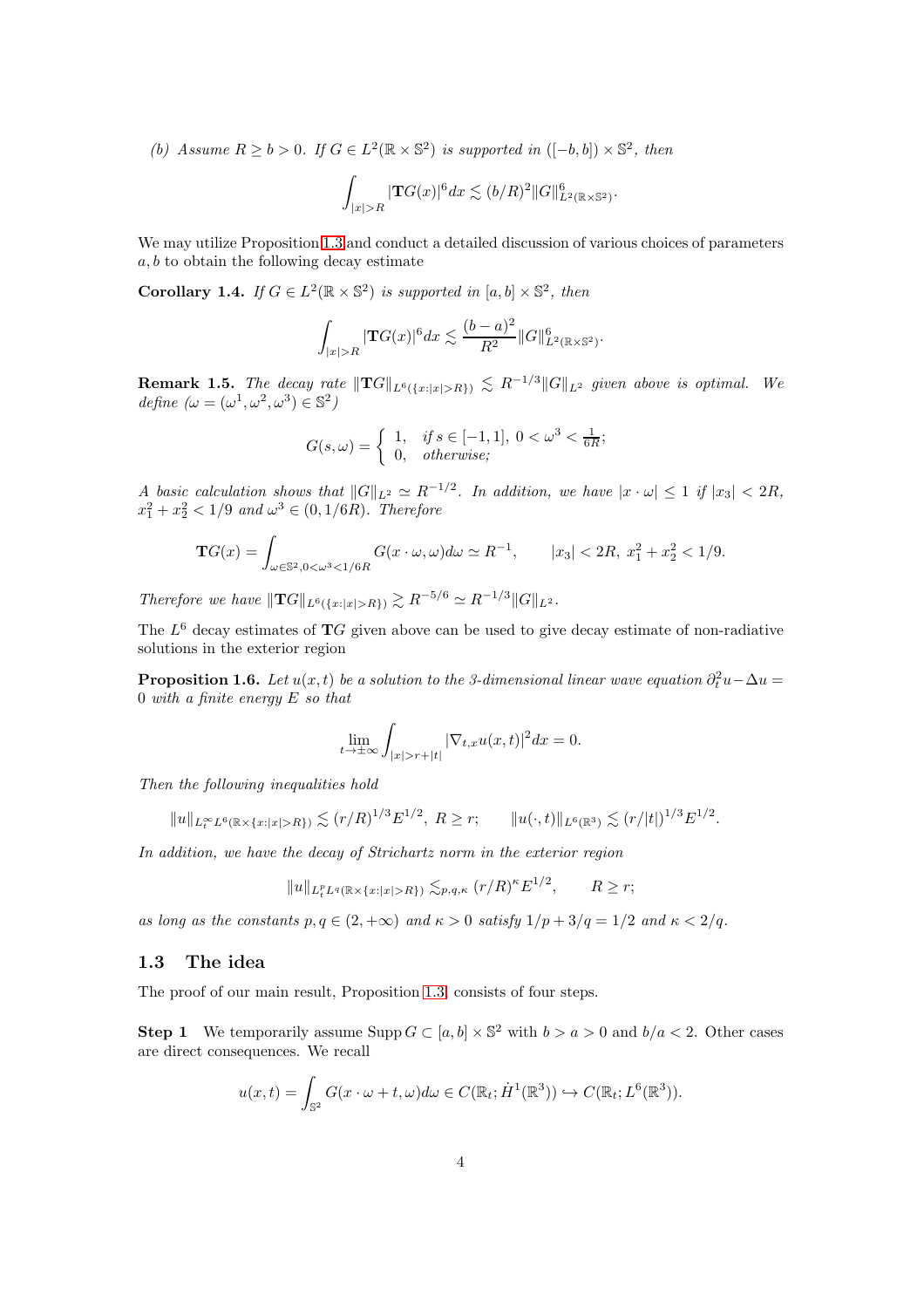(b) Assume  $R \ge b > 0$ . If  $G \in L^2(\mathbb{R} \times \mathbb{S}^2)$  is supported in  $([-b, b]) \times \mathbb{S}^2$ , then

$$
\int_{|x|>R} |\mathbf{T}G(x)|^6 dx \lesssim (b/R)^2 ||G||_{L^2(\mathbb{R}\times\mathbb{S}^2)}^6.
$$

We may utilize Proposition [1.3](#page-2-0) and conduct a detailed discussion of various choices of parameters  $a, b$  to obtain the following decay estimate

<span id="page-3-0"></span>**Corollary 1.4.** If  $G \in L^2(\mathbb{R} \times \mathbb{S}^2)$  is supported in  $[a, b] \times \mathbb{S}^2$ , then

$$
\int_{|x|>R} |\mathbf{T}G(x)|^6 dx \lesssim \frac{(b-a)^2}{R^2} ||G||_{L^2(\mathbb{R}\times\mathbb{S}^2)}^6.
$$

**Remark 1.5.** The decay rate  $||{\bf T}G||_{L^6({x:|x|>R})} \lesssim R^{-1/3}||G||_{L^2}$  given above is optimal. We define  $(\omega = (\omega^1, \omega^2, \omega^3) \in \mathbb{S}^2)$ 

$$
G(s,\omega) = \begin{cases} 1, & \text{if } s \in [-1,1], \ 0 < \omega^3 < \frac{1}{6R}; \\ 0, & \text{otherwise}; \end{cases}
$$

A basic calculation shows that  $||G||_{L^2} \simeq R^{-1/2}$ . In addition, we have  $|x \cdot \omega| \leq 1$  if  $|x_3| < 2R$ ,  $x_1^2 + x_2^2 < 1/9$  and  $\omega^3 \in (0, 1/6R)$ . Therefore

$$
\mathbf{T}G(x) = \int_{\omega \in \mathbb{S}^2, 0 < \omega^3 < 1/6R} G(x \cdot \omega, \omega) d\omega \simeq R^{-1}, \qquad |x_3| < 2R, \ x_1^2 + x_2^2 < 1/9.
$$

Therefore we have  $\|\mathbf{T}G\|_{L^6({x:|x|>R})} \gtrsim R^{-5/6} \simeq R^{-1/3} \|G\|_{L^2}$ .

The  $L^6$  decay estimates of  $TG$  given above can be used to give decay estimate of non-radiative solutions in the exterior region

<span id="page-3-1"></span>**Proposition 1.6.** Let  $u(x,t)$  be a solution to the 3-dimensional linear wave equation  $\partial_t^2 u - \Delta u =$ 0 with a finite energy  $E$  so that

$$
\lim_{t \to \pm \infty} \int_{|x| > r + |t|} |\nabla_{t,x} u(x,t)|^2 dx = 0.
$$

Then the following inequalities hold

$$
||u||_{L_t^{\infty}L^6(\mathbb{R}\times\{x:|x|>R\})}\lesssim (r/R)^{1/3}E^{1/2},\ R\geq r;\qquad ||u(\cdot,t)||_{L^6(\mathbb{R}^3)}\lesssim (r/|t|)^{1/3}E^{1/2}.
$$

In addition, we have the decay of Strichartz norm in the exterior region

$$
||u||_{L_t^p L^q(\mathbb{R}\times\{x:|x|>R\})} \lesssim_{p,q,\kappa} (r/R)^{\kappa} E^{1/2}, \qquad R \ge r;
$$

as long as the constants  $p, q \in (2, +\infty)$  and  $\kappa > 0$  satisfy  $1/p + 3/q = 1/2$  and  $\kappa < 2/q$ .

#### 1.3 The idea

The proof of our main result, Proposition [1.3,](#page-2-0) consists of four steps.

**Step 1** We temporarily assume Supp  $G \subset [a, b] \times \mathbb{S}^2$  with  $b > a > 0$  and  $b/a < 2$ . Other cases are direct consequences. We recall

$$
u(x,t) = \int_{\mathbb{S}^2} G(x \cdot \omega + t, \omega) d\omega \in C(\mathbb{R}_t; \dot{H}^1(\mathbb{R}^3)) \hookrightarrow C(\mathbb{R}_t; L^6(\mathbb{R}^3)).
$$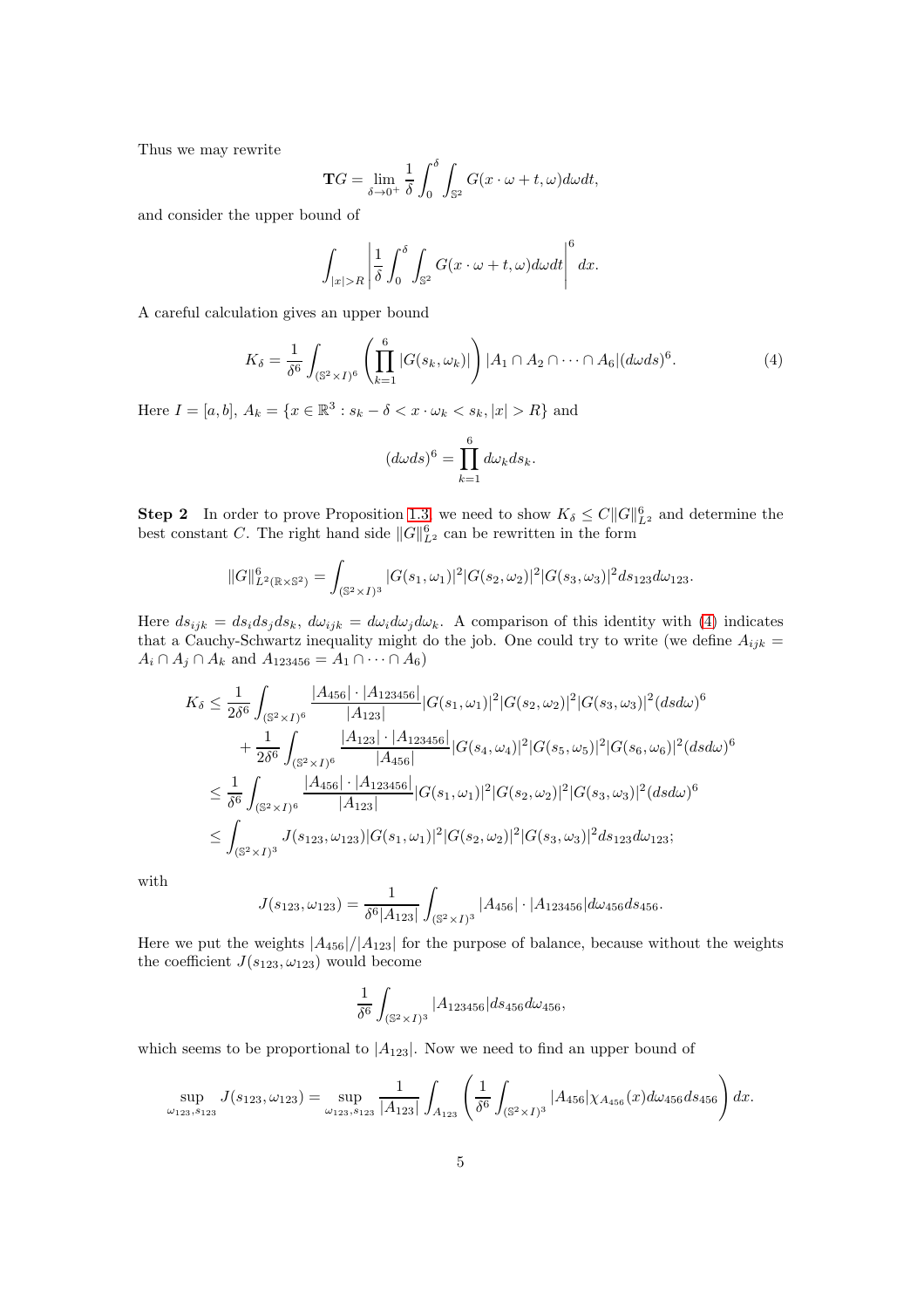Thus we may rewrite

$$
\mathbf{T}G = \lim_{\delta \to 0^+} \frac{1}{\delta} \int_0^\delta \int_{\mathbb{S}^2} G(x \cdot \omega + t, \omega) d\omega dt,
$$

and consider the upper bound of

$$
\int_{|x|>R} \left| \frac{1}{\delta} \int_0^\delta \int_{\mathbb{S}^2} G(x \cdot \omega + t, \omega) d\omega dt \right|^\delta dx.
$$

A careful calculation gives an upper bound

<span id="page-4-0"></span>
$$
K_{\delta} = \frac{1}{\delta^{6}} \int_{(\mathbb{S}^{2} \times I)^{6}} \left( \prod_{k=1}^{6} |G(s_{k}, \omega_{k})| \right) |A_{1} \cap A_{2} \cap \cdots \cap A_{6}| (d\omega ds)^{6}.
$$
 (4)

Here  $I = [a, b], A_k = \{x \in \mathbb{R}^3 : s_k - \delta < x \cdot \omega_k < s_k, |x| > R\}$  and

$$
(d\omega ds)^6 = \prod_{k=1}^6 d\omega_k ds_k.
$$

**Step 2** In order to prove Proposition [1.3,](#page-2-0) we need to show  $K_{\delta} \leq C ||G||_{L^2}^6$  and determine the best constant C. The right hand side  $||G||_{L^2}^6$  can be rewritten in the form

$$
||G||_{L^{2}(\mathbb{R}\times\mathbb{S}^{2})}^{6} = \int_{(\mathbb{S}^{2}\times I)^{3}} |G(s_{1},\omega_{1})|^{2} |G(s_{2},\omega_{2})|^{2} |G(s_{3},\omega_{3})|^{2} ds_{123} d\omega_{123}.
$$

Here  $ds_{ijk} = ds_i ds_j ds_k$ ,  $d\omega_{ijk} = d\omega_i d\omega_j d\omega_k$ . A comparison of this identity with [\(4\)](#page-4-0) indicates that a Cauchy-Schwartz inequality might do the job. One could try to write (we define  $A_{ijk} =$  $A_i \cap A_j \cap A_k$  and  $A_{123456} = A_1 \cap \cdots \cap A_6$ 

$$
K_{\delta} \leq \frac{1}{2\delta^{6}} \int_{(\mathbb{S}^{2} \times I)^{6}} \frac{|A_{456}| \cdot |A_{123456}|}{|A_{123}|} |G(s_{1}, \omega_{1})|^{2} |G(s_{2}, \omega_{2})|^{2} |G(s_{3}, \omega_{3})|^{2} (ds d\omega)^{6}
$$
  
+ 
$$
\frac{1}{2\delta^{6}} \int_{(\mathbb{S}^{2} \times I)^{6}} \frac{|A_{123}| \cdot |A_{123456}|}{|A_{456}|} |G(s_{4}, \omega_{4})|^{2} |G(s_{5}, \omega_{5})|^{2} |G(s_{6}, \omega_{6})|^{2} (ds d\omega)^{6}
$$
  

$$
\leq \frac{1}{\delta^{6}} \int_{(\mathbb{S}^{2} \times I)^{6}} \frac{|A_{456}| \cdot |A_{123456}|}{|A_{123}|} |G(s_{1}, \omega_{1})|^{2} |G(s_{2}, \omega_{2})|^{2} |G(s_{3}, \omega_{3})|^{2} (ds d\omega)^{6}
$$
  

$$
\leq \int_{(\mathbb{S}^{2} \times I)^{3}} J(s_{123}, \omega_{123}) |G(s_{1}, \omega_{1})|^{2} |G(s_{2}, \omega_{2})|^{2} |G(s_{3}, \omega_{3})|^{2} ds_{123} d\omega_{123};
$$

with

$$
J(s_{123}, \omega_{123}) = \frac{1}{\delta^6 |A_{123}|} \int_{(\mathbb{S}^2 \times I)^3} |A_{456}| \cdot |A_{123456}| d\omega_{456} ds_{456}.
$$

Here we put the weights  $|A_{456}|/|A_{123}|$  for the purpose of balance, because without the weights the coefficient  $J(s_{123}, \omega_{123})$  would become

$$
\frac{1}{\delta^6} \int_{(\mathbb{S}^2 \times I)^3} |A_{123456}| ds_{456} d\omega_{456},
$$

which seems to be proportional to  $|A_{123}|$ . Now we need to find an upper bound of

$$
\sup_{\omega_{123}, s_{123}} J(s_{123}, \omega_{123}) = \sup_{\omega_{123}, s_{123}} \frac{1}{|A_{123}|} \int_{A_{123}} \left( \frac{1}{\delta^6} \int_{(\mathbb{S}^2 \times I)^3} |A_{456}| \chi_{A_{456}}(x) d\omega_{456} ds_{456} \right) dx.
$$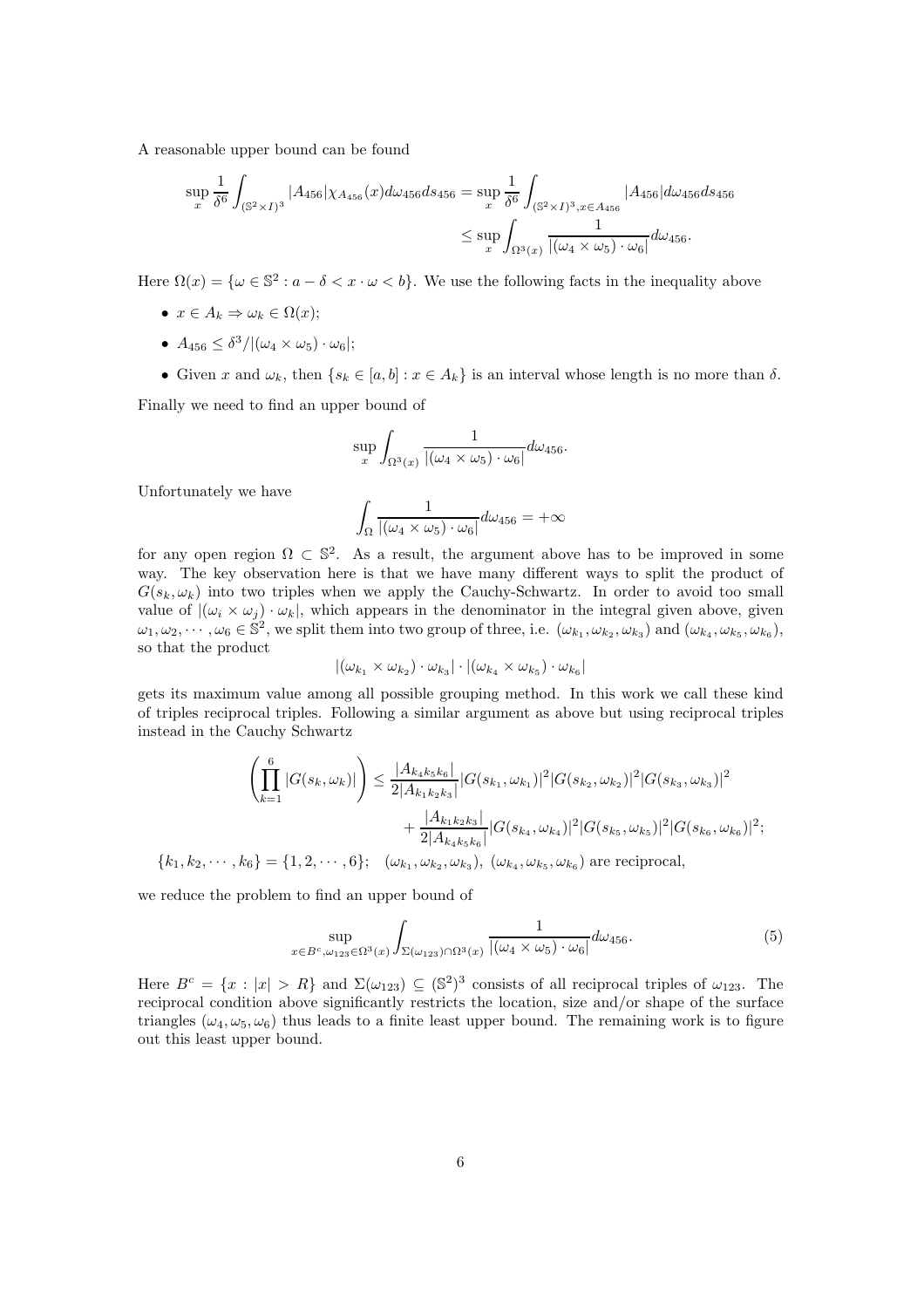A reasonable upper bound can be found

$$
\sup_{x} \frac{1}{\delta^{6}} \int_{(\mathbb{S}^{2} \times I)^{3}} |A_{456}| \chi_{A_{456}}(x) d\omega_{456} ds_{456} = \sup_{x} \frac{1}{\delta^{6}} \int_{(\mathbb{S}^{2} \times I)^{3}, x \in A_{456}} |A_{456}| d\omega_{456} ds_{456}
$$
  

$$
\leq \sup_{x} \int_{\Omega^{3}(x)} \frac{1}{|(\omega_{4} \times \omega_{5}) \cdot \omega_{6}|} d\omega_{456}.
$$

Here  $\Omega(x) = \{ \omega \in \mathbb{S}^2 : a - \delta < x \cdot \omega < b \}.$  We use the following facts in the inequality above

- $x \in A_k \Rightarrow \omega_k \in \Omega(x);$
- $A_{456} \leq \delta^3/((\omega_4 \times \omega_5) \cdot \omega_6);$
- Given x and  $\omega_k$ , then  $\{s_k \in [a, b] : x \in A_k\}$  is an interval whose length is no more than  $\delta$ .

Finally we need to find an upper bound of

$$
\sup_{x} \int_{\Omega^3(x)} \frac{1}{|(\omega_4 \times \omega_5) \cdot \omega_6|} d\omega_{456}.
$$

Unfortunately we have

$$
\int_{\Omega} \frac{1}{|(\omega_4 \times \omega_5) \cdot \omega_6|} d\omega_{456} = +\infty
$$

for any open region  $\Omega \subset \mathbb{S}^2$ . As a result, the argument above has to be improved in some way. The key observation here is that we have many different ways to split the product of  $G(s_k, \omega_k)$  into two triples when we apply the Cauchy-Schwartz. In order to avoid too small value of  $|(\omega_i \times \omega_j) \cdot \omega_k|$ , which appears in the denominator in the integral given above, given  $\omega_1, \omega_2, \cdots, \omega_6 \in \mathbb{S}^2$ , we split them into two group of three, i.e.  $(\omega_{k_1}, \omega_{k_2}, \omega_{k_3})$  and  $(\omega_{k_4}, \omega_{k_5}, \omega_{k_6}),$ so that the product

$$
|(\omega_{k_1} \times \omega_{k_2}) \cdot \omega_{k_3}| \cdot |(\omega_{k_4} \times \omega_{k_5}) \cdot \omega_{k_6}|
$$

gets its maximum value among all possible grouping method. In this work we call these kind of triples reciprocal triples. Following a similar argument as above but using reciprocal triples instead in the Cauchy Schwartz

$$
\left(\prod_{k=1}^{6} |G(s_k, \omega_k)|\right) \le \frac{|A_{k_4 k_5 k_6}|}{2|A_{k_1 k_2 k_3}| |G(s_{k_1}, \omega_{k_1})|^2 |G(s_{k_2}, \omega_{k_2})|^2 |G(s_{k_3}, \omega_{k_3})|^2
$$

$$
+ \frac{|A_{k_1 k_2 k_3}|}{2|A_{k_4 k_5 k_6}| |G(s_{k_4}, \omega_{k_4})|^2 |G(s_{k_5}, \omega_{k_5})|^2 |G(s_{k_6}, \omega_{k_6})|^2;
$$

$$
\{k_1, k_2, \cdots, k_6\} = \{1, 2, \cdots, 6\}; \quad (\omega_{k_1}, \omega_{k_2}, \omega_{k_3}), \ (\omega_{k_4}, \omega_{k_5}, \omega_{k_6}) \text{ are reciprocal},
$$

we reduce the problem to find an upper bound of

<span id="page-5-0"></span>
$$
\sup_{x \in B^c, \omega_{123} \in \Omega^3(x)} \int_{\Sigma(\omega_{123}) \cap \Omega^3(x)} \frac{1}{|(\omega_4 \times \omega_5) \cdot \omega_6|} d\omega_{456}.
$$
 (5)

Here  $B^c = \{x : |x| > R\}$  and  $\Sigma(\omega_{123}) \subseteq (\mathbb{S}^2)^3$  consists of all reciprocal triples of  $\omega_{123}$ . The reciprocal condition above significantly restricts the location, size and/or shape of the surface triangles ( $\omega_4, \omega_5, \omega_6$ ) thus leads to a finite least upper bound. The remaining work is to figure out this least upper bound.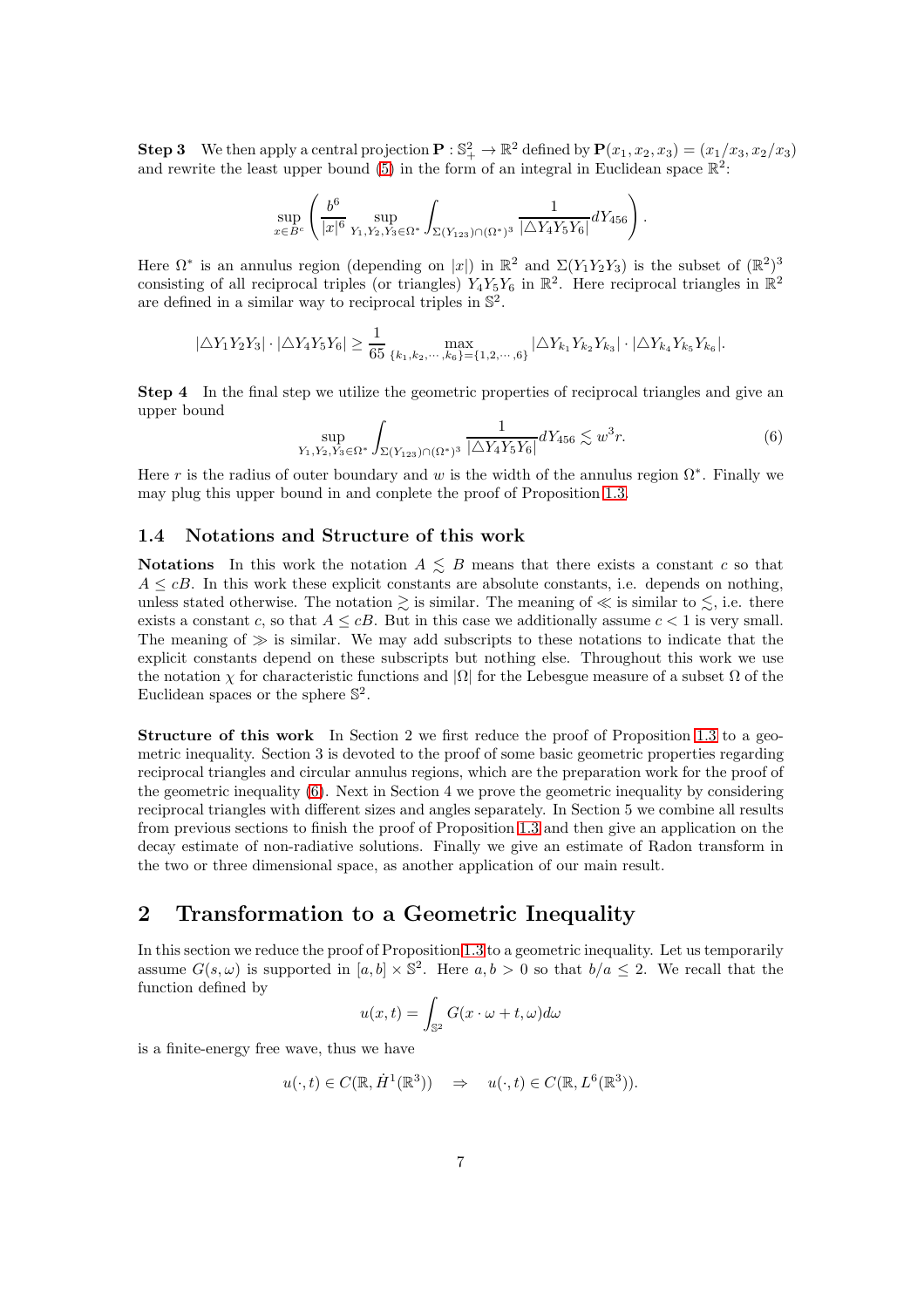**Step 3** We then apply a central projection  $\mathbf{P}: \mathbb{S}^2_+ \to \mathbb{R}^2$  defined by  $\mathbf{P}(x_1, x_2, x_3) = (x_1/x_3, x_2/x_3)$ and rewrite the least upper bound [\(5\)](#page-5-0) in the form of an integral in Euclidean space  $\mathbb{R}^2$ :

$$
\sup_{x \in B^c} \left( \frac{b^6}{|x|^6} \sup_{Y_1, Y_2, Y_3 \in \Omega^*} \int_{\Sigma(Y_{123}) \cap (\Omega^*)^3} \frac{1}{|\triangle Y_4 Y_5 Y_6|} dY_{456} \right).
$$

Here  $\Omega^*$  is an annulus region (depending on |x|) in  $\mathbb{R}^2$  and  $\Sigma(Y_1Y_2Y_3)$  is the subset of  $(\mathbb{R}^2)^3$ consisting of all reciprocal triples (or triangles)  $Y_4Y_5Y_6$  in  $\mathbb{R}^2$ . Here reciprocal triangles in  $\mathbb{R}^2$ are defined in a similar way to reciprocal triples in  $\mathbb{S}^2$ .

$$
|\triangle Y_1 Y_2 Y_3| \cdot |\triangle Y_4 Y_5 Y_6| \ge \frac{1}{65} \max_{\{k_1, k_2, \cdots, k_6\} = \{1, 2, \cdots, 6\}} |\triangle Y_{k_1} Y_{k_2} Y_{k_3}| \cdot |\triangle Y_{k_4} Y_{k_5} Y_{k_6}|.
$$

Step 4 In the final step we utilize the geometric properties of reciprocal triangles and give an upper bound

<span id="page-6-0"></span>
$$
\sup_{Y_1, Y_2, Y_3 \in \Omega^*} \int_{\Sigma(Y_{123}) \cap (\Omega^*)^3} \frac{1}{|\Delta Y_4 Y_5 Y_6|} dY_{456} \lesssim w^3 r. \tag{6}
$$

Here r is the radius of outer boundary and w is the width of the annulus region  $\Omega^*$ . Finally we may plug this upper bound in and conplete the proof of Proposition [1.3.](#page-2-0)

#### 1.4 Notations and Structure of this work

**Notations** In this work the notation  $A \leq B$  means that there exists a constant c so that  $A \leq cB$ . In this work these explicit constants are absolute constants, i.e. depends on nothing, unless stated otherwise. The notation  $\geq$  is similar. The meaning of  $\ll$  is similar to  $\leq$ , i.e. there exists a constant c, so that  $A \leq cB$ . But in this case we additionally assume  $c < 1$  is very small. The meaning of  $\gg$  is similar. We may add subscripts to these notations to indicate that the explicit constants depend on these subscripts but nothing else. Throughout this work we use the notation  $\chi$  for characteristic functions and  $|\Omega|$  for the Lebesgue measure of a subset  $\Omega$  of the Euclidean spaces or the sphere  $\mathbb{S}^2$ .

**Structure of this work** In Section 2 we first reduce the proof of Proposition [1.3](#page-2-0) to a geometric inequality. Section 3 is devoted to the proof of some basic geometric properties regarding reciprocal triangles and circular annulus regions, which are the preparation work for the proof of the geometric inequality [\(6\)](#page-6-0). Next in Section 4 we prove the geometric inequality by considering reciprocal triangles with different sizes and angles separately. In Section 5 we combine all results from previous sections to finish the proof of Proposition [1.3](#page-2-0) and then give an application on the decay estimate of non-radiative solutions. Finally we give an estimate of Radon transform in the two or three dimensional space, as another application of our main result.

## <span id="page-6-1"></span>2 Transformation to a Geometric Inequality

In this section we reduce the proof of Proposition [1.3](#page-2-0) to a geometric inequality. Let us temporarily assume  $G(s, \omega)$  is supported in  $[a, b] \times \mathbb{S}^2$ . Here  $a, b > 0$  so that  $b/a \leq 2$ . We recall that the function defined by

$$
u(x,t) = \int_{\mathbb{S}^2} G(x \cdot \omega + t, \omega) d\omega
$$

is a finite-energy free wave, thus we have

$$
u(\cdot, t) \in C(\mathbb{R}, \dot{H}^1(\mathbb{R}^3)) \Rightarrow u(\cdot, t) \in C(\mathbb{R}, L^6(\mathbb{R}^3)).
$$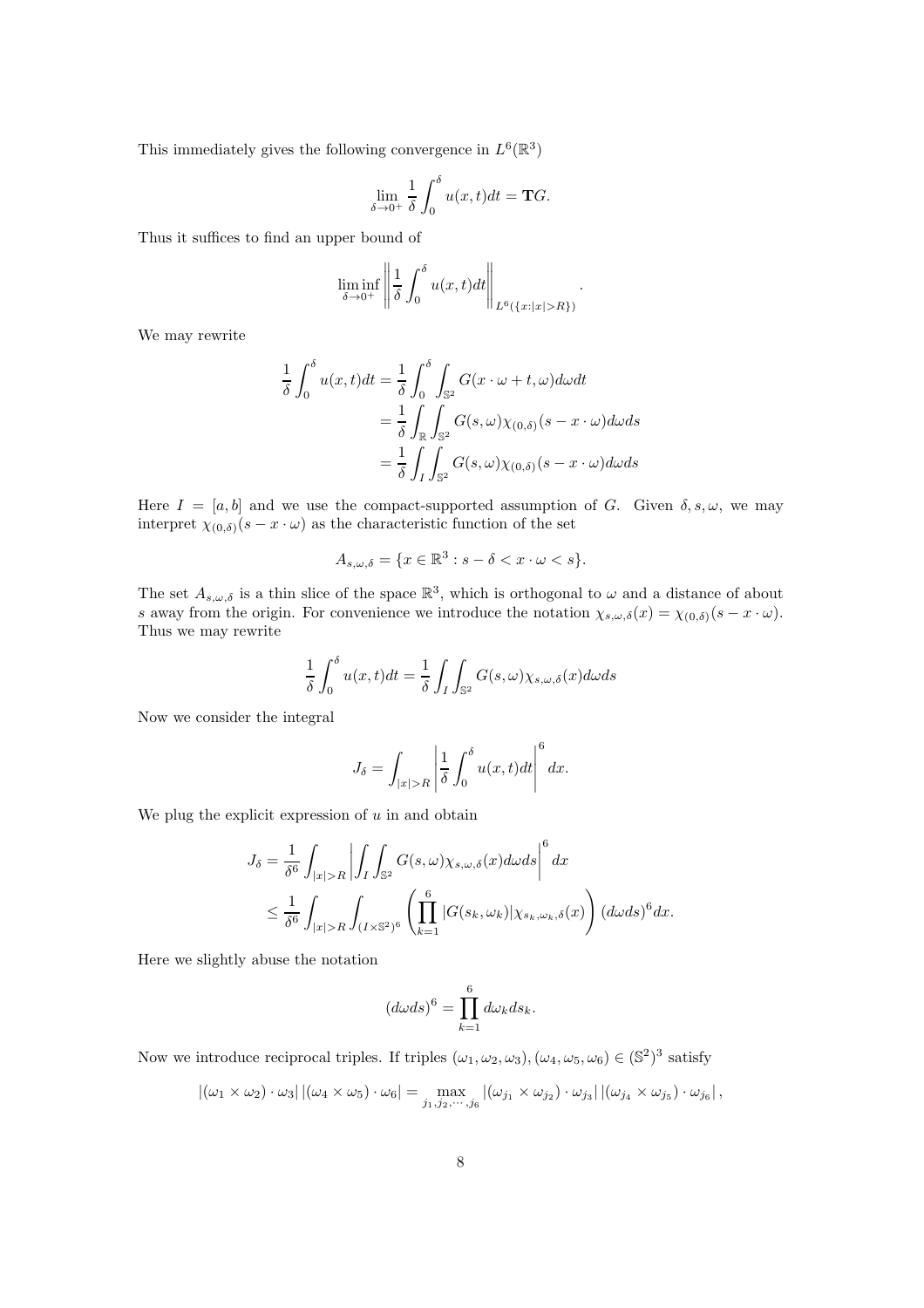This immediately gives the following convergence in  $L^6(\mathbb{R}^3)$ 

$$
\lim_{\delta \to 0^+} \frac{1}{\delta} \int_0^\delta u(x, t) dt = \mathbf{T} G.
$$

Thus it suffices to find an upper bound of

$$
\liminf_{\delta \to 0^+} \left\| \frac{1}{\delta} \int_0^\delta u(x,t) dt \right\|_{L^6(\{x: |x|>R\})}.
$$

We may rewrite

$$
\frac{1}{\delta} \int_0^\delta u(x,t)dt = \frac{1}{\delta} \int_0^\delta \int_{\mathbb{S}^2} G(x \cdot \omega + t, \omega) d\omega dt
$$

$$
= \frac{1}{\delta} \int_{\mathbb{R}} \int_{\mathbb{S}^2} G(s, \omega) \chi_{(0,\delta)}(s - x \cdot \omega) d\omega ds
$$

$$
= \frac{1}{\delta} \int_I \int_{\mathbb{S}^2} G(s, \omega) \chi_{(0,\delta)}(s - x \cdot \omega) d\omega ds
$$

Here  $I = [a, b]$  and we use the compact-supported assumption of G. Given  $\delta, s, \omega$ , we may interpret  $\chi_{(0,\delta)}(s-x\cdot\omega)$  as the characteristic function of the set

$$
A_{s,\omega,\delta} = \{x \in \mathbb{R}^3 : s - \delta < x \cdot \omega < s\}.
$$

The set  $A_{s,\omega,\delta}$  is a thin slice of the space  $\mathbb{R}^3$ , which is orthogonal to  $\omega$  and a distance of about s away from the origin. For convenience we introduce the notation  $\chi_{s,\omega,\delta}(x) = \chi_{(0,\delta)}(s-x \cdot \omega)$ . Thus we may rewrite

$$
\frac{1}{\delta} \int_0^\delta u(x,t)dt = \frac{1}{\delta} \int_I \int_{\mathbb{S}^2} G(s,\omega) \chi_{s,\omega,\delta}(x) d\omega ds
$$

Now we consider the integral

$$
J_{\delta} = \int_{|x|>R} \left| \frac{1}{\delta} \int_0^{\delta} u(x,t)dt \right|^6 dx.
$$

We plug the explicit expression of  $u$  in and obtain

$$
J_{\delta} = \frac{1}{\delta^{6}} \int_{|x|>R} \left| \int_{I} \int_{\mathbb{S}^{2}} G(s,\omega) \chi_{s,\omega,\delta}(x) d\omega ds \right|^{6} dx
$$
  

$$
\leq \frac{1}{\delta^{6}} \int_{|x|>R} \int_{(I \times \mathbb{S}^{2})^{6}} \left( \prod_{k=1}^{6} |G(s_{k},\omega_{k})| \chi_{s_{k},\omega_{k},\delta}(x) \right) (d\omega ds)^{6} dx.
$$

Here we slightly abuse the notation

$$
(d\omega ds)^6 = \prod_{k=1}^6 d\omega_k ds_k.
$$

Now we introduce reciprocal triples. If triples  $(\omega_1, \omega_2, \omega_3), (\omega_4, \omega_5, \omega_6) \in (\mathbb{S}^2)^3$  satisfy

$$
|(\omega_1 \times \omega_2) \cdot \omega_3| |(\omega_4 \times \omega_5) \cdot \omega_6| = \max_{j_1, j_2, \cdots, j_6} |(\omega_{j_1} \times \omega_{j_2}) \cdot \omega_{j_3}| |(\omega_{j_4} \times \omega_{j_5}) \cdot \omega_{j_6}|,
$$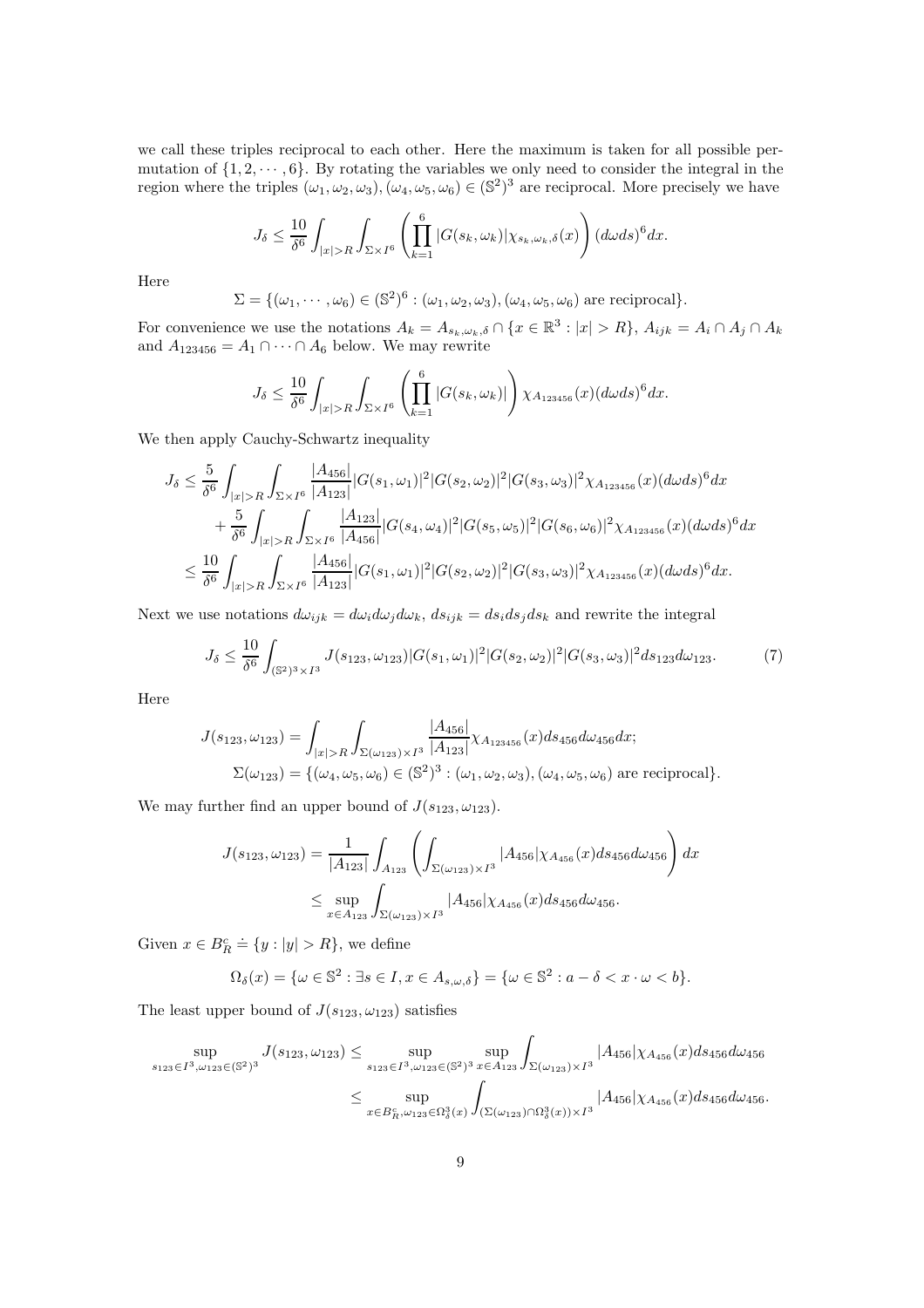we call these triples reciprocal to each other. Here the maximum is taken for all possible permutation of  $\{1, 2, \dots, 6\}$ . By rotating the variables we only need to consider the integral in the region where the triples  $(\omega_1, \omega_2, \omega_3), (\omega_4, \omega_5, \omega_6) \in (\mathbb{S}^2)^3$  are reciprocal. More precisely we have

$$
J_{\delta} \le \frac{10}{\delta^6} \int_{|x|>R} \int_{\Sigma \times I^6} \left( \prod_{k=1}^6 |G(s_k, \omega_k)| \chi_{s_k, \omega_k, \delta}(x) \right) (d\omega ds)^6 dx.
$$

Here

$$
\Sigma = \{(\omega_1, \cdots, \omega_6) \in (\mathbb{S}^2)^6 : (\omega_1, \omega_2, \omega_3), (\omega_4, \omega_5, \omega_6) \text{ are reciprocal}\}.
$$

For convenience we use the notations  $A_k = A_{s_k,\omega_k,\delta} \cap \{x \in \mathbb{R}^3 : |x| > R\}, A_{ijk} = A_i \cap A_j \cap A_k$ and  $A_{123456} = A_1 \cap \cdots \cap A_6$  below. We may rewrite

$$
J_{\delta} \leq \frac{10}{\delta^6} \int_{|x|>R} \int_{\Sigma \times I^6} \left( \prod_{k=1}^6 |G(s_k, \omega_k)| \right) \chi_{A_{123456}}(x) (d\omega ds)^6 dx.
$$

We then apply Cauchy-Schwartz inequality

$$
J_{\delta} \leq \frac{5}{\delta^{6}} \int_{|x|>R} \int_{\Sigma \times I^{6}} \frac{|A_{456}|}{|A_{123}|} |G(s_{1}, \omega_{1})|^{2} |G(s_{2}, \omega_{2})|^{2} |G(s_{3}, \omega_{3})|^{2} \chi_{A_{123456}}(x) (d\omega ds)^{6} dx + \frac{5}{\delta^{6}} \int_{|x|>R} \int_{\Sigma \times I^{6}} \frac{|A_{123}|}{|A_{456}|} |G(s_{4}, \omega_{4})|^{2} |G(s_{5}, \omega_{5})|^{2} |G(s_{6}, \omega_{6})|^{2} \chi_{A_{123456}}(x) (d\omega ds)^{6} dx 
$$
\leq \frac{10}{\delta^{6}} \int_{|x|>R} \int_{\Sigma \times I^{6}} \frac{|A_{456}|}{|A_{123}|} |G(s_{1}, \omega_{1})|^{2} |G(s_{2}, \omega_{2})|^{2} |G(s_{3}, \omega_{3})|^{2} \chi_{A_{123456}}(x) (d\omega ds)^{6} dx.
$$
$$

Next we use notations  $d\omega_{ijk} = d\omega_i d\omega_j d\omega_k$ ,  $ds_{ijk} = ds_i ds_j ds_k$  and rewrite the integral

<span id="page-8-0"></span>
$$
J_{\delta} \le \frac{10}{\delta^6} \int_{(\mathbb{S}^2)^3 \times I^3} J(s_{123}, \omega_{123}) |G(s_1, \omega_1)|^2 |G(s_2, \omega_2)|^2 |G(s_3, \omega_3)|^2 ds_{123} d\omega_{123}.\tag{7}
$$

Here

$$
J(s_{123}, \omega_{123}) = \int_{|x|>R} \int_{\Sigma(\omega_{123}) \times I^3} \frac{|A_{456}|}{|A_{123}|} \chi_{A_{123456}}(x) ds_{456} d\omega_{456} dx;
$$
  

$$
\Sigma(\omega_{123}) = \{(\omega_4, \omega_5, \omega_6) \in (\mathbb{S}^2)^3 : (\omega_1, \omega_2, \omega_3), (\omega_4, \omega_5, \omega_6) \text{ are reciprocal}\}.
$$

We may further find an upper bound of  $J(s_{123}, \omega_{123})$ .

$$
J(s_{123}, \omega_{123}) = \frac{1}{|A_{123}|} \int_{A_{123}} \left( \int_{\Sigma(\omega_{123}) \times I^3} |A_{456}| \chi_{A_{456}}(x) ds_{456} d\omega_{456} \right) dx
$$
  

$$
\leq \sup_{x \in A_{123}} \int_{\Sigma(\omega_{123}) \times I^3} |A_{456}| \chi_{A_{456}}(x) ds_{456} d\omega_{456}.
$$

Given  $x \in B_R^c \doteq \{y : |y| > R\}$ , we define

$$
\Omega_{\delta}(x) = \{ \omega \in \mathbb{S}^2 : \exists s \in I, x \in A_{s,\omega,\delta} \} = \{ \omega \in \mathbb{S}^2 : a - \delta < x \cdot \omega < b \}.
$$

The least upper bound of  $J(s_{123}, \omega_{123})$  satisfies

$$
\sup_{s_{123}\in I^3,\omega_{123}\in (\mathbb{S}^2)^3} J(s_{123},\omega_{123}) \leq \sup_{s_{123}\in I^3,\omega_{123}\in (\mathbb{S}^2)^3} \sup_{x\in A_{123}} \int_{\Sigma(\omega_{123})\times I^3} |A_{456}|\chi_{A_{456}}(x) ds_{456} d\omega_{456}
$$
  

$$
\leq \sup_{x\in B_R^c,\omega_{123}\in \Omega_\delta^3(x)} \int_{(\Sigma(\omega_{123})\cap \Omega_\delta^3(x))\times I^3} |A_{456}|\chi_{A_{456}}(x) ds_{456} d\omega_{456}.
$$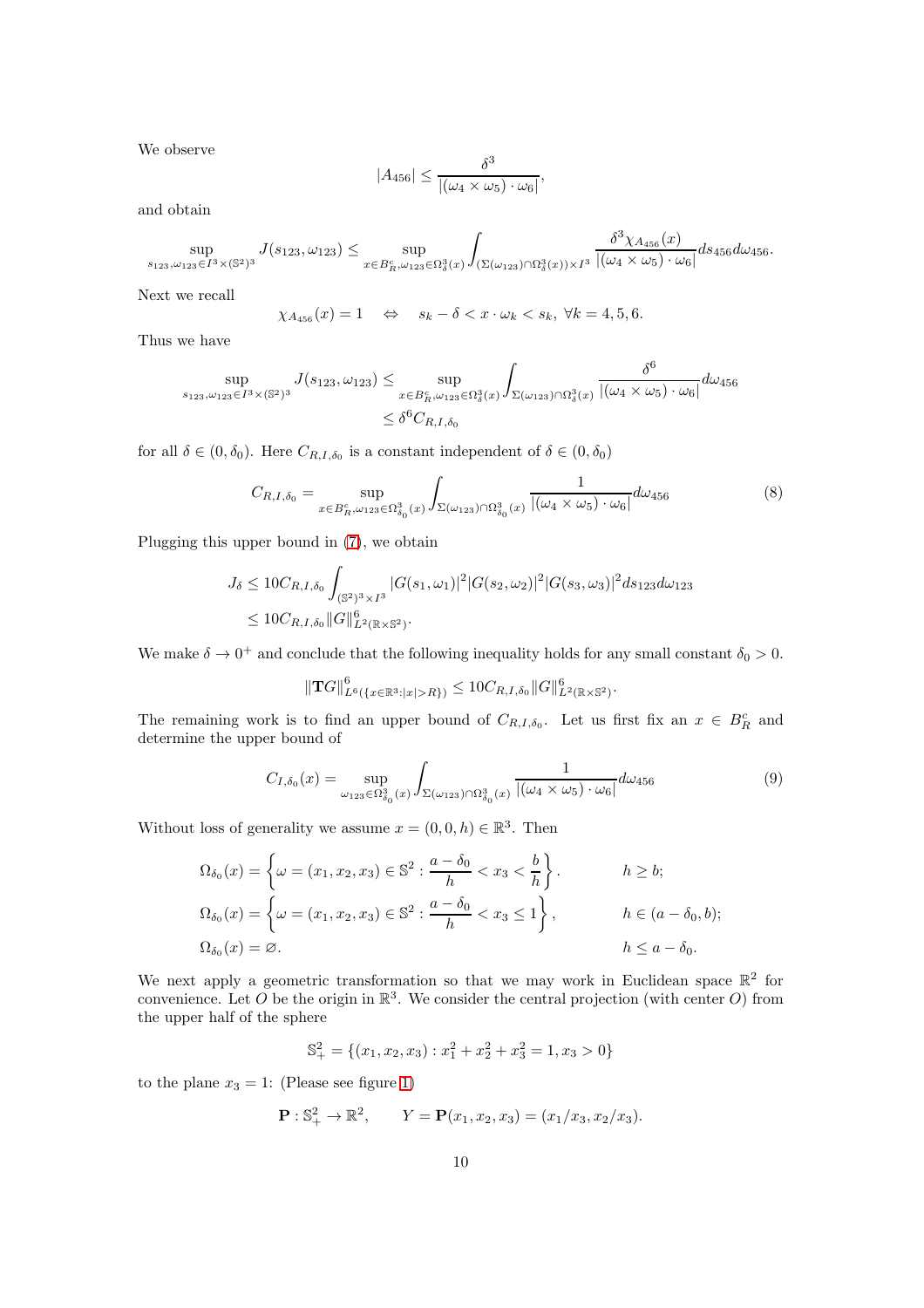We observe

$$
|A_{456}| \leq \frac{\delta^3}{|(\omega_4 \times \omega_5) \cdot \omega_6|},
$$

and obtain

$$
\sup_{s_{123}, \omega_{123}\in I^3\times(\mathbb{S}^2)^3}J(s_{123}, \omega_{123})\leq \sup_{x\in B_R^c, \omega_{123}\in \Omega_\delta^3(x)}\int_{(\Sigma(\omega_{123})\cap \Omega_\delta^3(x))\times I^3}\frac{\delta^3\chi_{A_{456}}(x)}{|(\omega_4\times\omega_5)\cdot\omega_6|}ds_{456}d\omega_{456}.
$$

Next we recall

$$
\chi_{A_{456}}(x) = 1 \quad \Leftrightarrow \quad s_k - \delta < x \cdot \omega_k < s_k, \ \forall k = 4, 5, 6.
$$

Thus we have

$$
\sup_{s_{123},\omega_{123}\in I^3\times(\mathbb{S}^2)^3} J(s_{123},\omega_{123}) \leq \sup_{x\in B_R^c, \omega_{123}\in\Omega_\delta^3(x)} \int_{\Sigma(\omega_{123})\cap\Omega_\delta^3(x)} \frac{\delta^6}{|(\omega_4\times\omega_5)\cdot\omega_6|} d\omega_{456}
$$
  

$$
\leq \delta^6 C_{R,I,\delta_0}
$$

for all  $\delta \in (0, \delta_0)$ . Here  $C_{R,I,\delta_0}$  is a constant independent of  $\delta \in (0, \delta_0)$ 

$$
C_{R,I,\delta_0} = \sup_{x \in B_R^c, \omega_{123} \in \Omega_{\delta_0}^3(x)} \int_{\Sigma(\omega_{123}) \cap \Omega_{\delta_0}^3(x)} \frac{1}{|(\omega_4 \times \omega_5) \cdot \omega_6|} d\omega_{456}
$$
(8)

Plugging this upper bound in [\(7\)](#page-8-0), we obtain

$$
J_{\delta} \leq 10C_{R,I,\delta_0} \int_{(\mathbb{S}^2)^3 \times I^3} |G(s_1,\omega_1)|^2 |G(s_2,\omega_2)|^2 |G(s_3,\omega_3)|^2 ds_{123} d\omega_{123}
$$
  

$$
\leq 10C_{R,I,\delta_0} ||G||_{L^2(\mathbb{R} \times \mathbb{S}^2)}^6.
$$

We make  $\delta \to 0^+$  and conclude that the following inequality holds for any small constant  $\delta_0 > 0$ .

$$
\|\mathbf{T}G\|_{L^{6}(\{x\in\mathbb{R}^3:|x|>R\})}^6 \leq 10C_{R,I,\delta_0} \|G\|_{L^{2}(\mathbb{R}\times\mathbb{S}^2)}^6.
$$

The remaining work is to find an upper bound of  $C_{R,I,\delta_0}$ . Let us first fix an  $x \in B_R^c$  and determine the upper bound of

<span id="page-9-0"></span>
$$
C_{I,\delta_0}(x) = \sup_{\omega_{123} \in \Omega_{\delta_0}^3(x)} \int_{\Sigma(\omega_{123}) \cap \Omega_{\delta_0}^3(x)} \frac{1}{|(\omega_4 \times \omega_5) \cdot \omega_6|} d\omega_{456}
$$
(9)

Without loss of generality we assume  $x = (0, 0, h) \in \mathbb{R}^3$ . Then

$$
\Omega_{\delta_0}(x) = \left\{ \omega = (x_1, x_2, x_3) \in \mathbb{S}^2 : \frac{a - \delta_0}{h} < x_3 < \frac{b}{h} \right\}.
$$
\n
$$
\Omega_{\delta_0}(x) = \left\{ \omega = (x_1, x_2, x_3) \in \mathbb{S}^2 : \frac{a - \delta_0}{h} < x_3 \le 1 \right\}, \quad h \in (a - \delta_0, b);
$$
\n
$$
\Omega_{\delta_0}(x) = \varnothing.
$$
\n
$$
h \le a - \delta_0.
$$

We next apply a geometric transformation so that we may work in Euclidean space  $\mathbb{R}^2$  for convenience. Let O be the origin in  $\mathbb{R}^3$ . We consider the central projection (with center O) from the upper half of the sphere

$$
\mathbb{S}^2_+ = \{(x_1, x_2, x_3) : x_1^2 + x_2^2 + x_3^2 = 1, x_3 > 0\}
$$

to the plane  $x_3 = 1$ : (Please see figure [1\)](#page-10-0)

$$
\mathbf{P}: \mathbb{S}^2_+ \to \mathbb{R}^2, \qquad Y = \mathbf{P}(x_1, x_2, x_3) = (x_1/x_3, x_2/x_3).
$$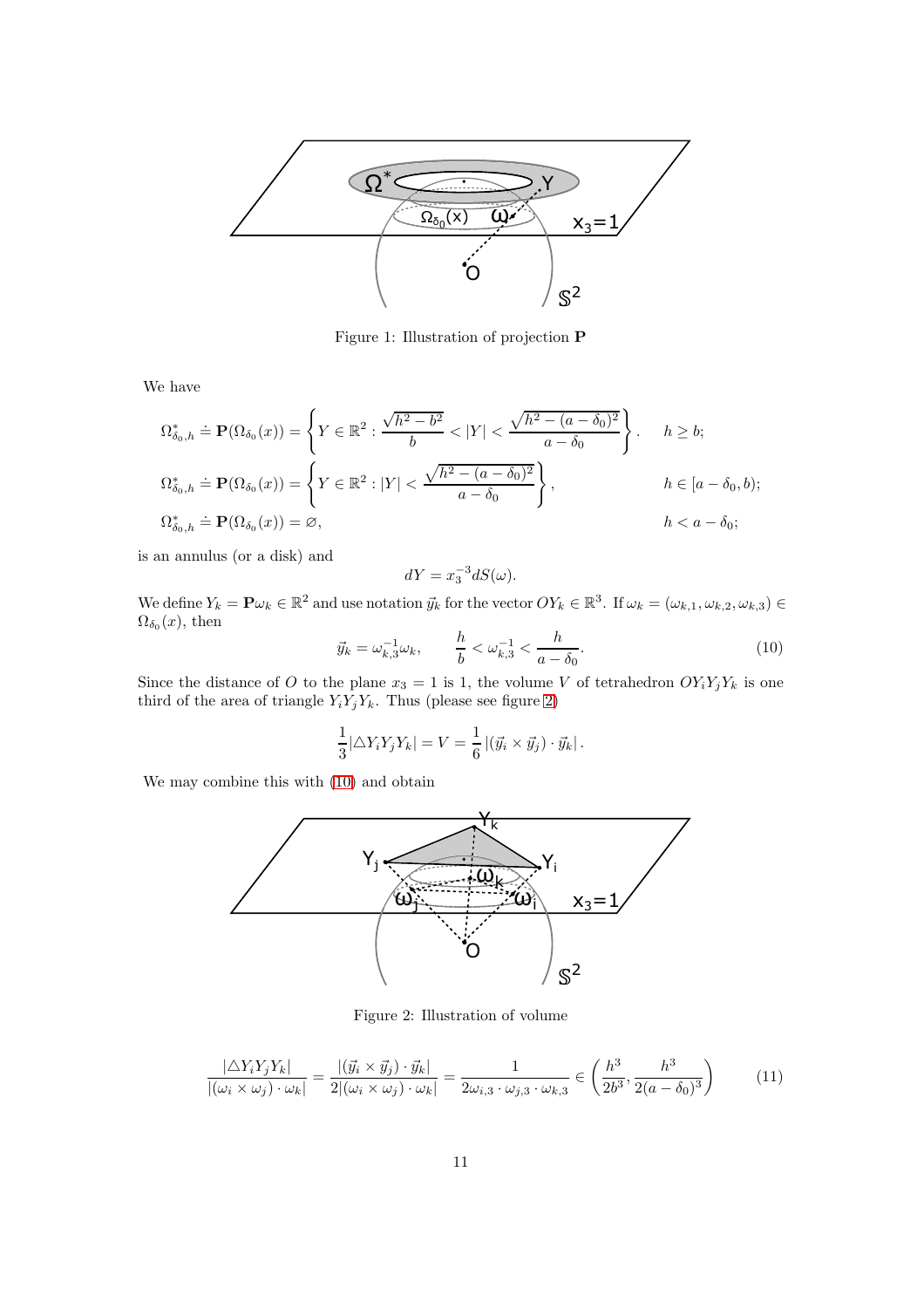

<span id="page-10-0"></span>Figure 1: Illustration of projection P

We have

$$
\Omega_{\delta_0,h}^* \doteq \mathbf{P}(\Omega_{\delta_0}(x)) = \left\{ Y \in \mathbb{R}^2 : \frac{\sqrt{h^2 - b^2}}{b} < |Y| < \frac{\sqrt{h^2 - (a - \delta_0)^2}}{a - \delta_0} \right\}.
$$
\n
$$
h \ge b;
$$
\n
$$
\Omega_{\delta_0,h}^* \doteq \mathbf{P}(\Omega_{\delta_0}(x)) = \left\{ Y \in \mathbb{R}^2 : |Y| < \frac{\sqrt{h^2 - (a - \delta_0)^2}}{a - \delta_0} \right\},
$$
\n
$$
h \in [a - \delta_0, b);
$$
\n
$$
\Omega_{\delta_0,h}^* \doteq \mathbf{P}(\Omega_{\delta_0}(x)) = \varnothing,
$$
\n
$$
h < a - \delta_0;
$$

is an annulus (or a disk) and

$$
dY = x_3^{-3} dS(\omega).
$$

We define  $Y_k = \mathbf{P}\omega_k \in \mathbb{R}^2$  and use notation  $\vec{y}_k$  for the vector  $OY_k \in \mathbb{R}^3$ . If  $\omega_k = (\omega_{k,1}, \omega_{k,2}, \omega_{k,3}) \in$  $\Omega_{\delta_0}(x)$ , then

<span id="page-10-2"></span>
$$
\vec{y}_k = \omega_{k,3}^{-1} \omega_k, \qquad \frac{h}{b} < \omega_{k,3}^{-1} < \frac{h}{a - \delta_0}.
$$
 (10)

Since the distance of O to the plane  $x_3 = 1$  is 1, the volume V of tetrahedron  $OY_iY_jY_k$  is one third of the area of triangle  $Y_i Y_j Y_k$ . Thus (please see figure [2\)](#page-10-1)

$$
\frac{1}{3}|\triangle Y_i Y_j Y_k| = V = \frac{1}{6} |(\vec{y}_i \times \vec{y}_j) \cdot \vec{y}_k|.
$$

We may combine this with [\(10\)](#page-10-2) and obtain



<span id="page-10-1"></span>Figure 2: Illustration of volume

<span id="page-10-3"></span>
$$
\frac{|\triangle Y_i Y_j Y_k|}{|(\omega_i \times \omega_j) \cdot \omega_k|} = \frac{|(\vec{y}_i \times \vec{y}_j) \cdot \vec{y}_k|}{2|(\omega_i \times \omega_j) \cdot \omega_k|} = \frac{1}{2\omega_{i,3} \cdot \omega_{j,3} \cdot \omega_{k,3}} \in \left(\frac{h^3}{2b^3}, \frac{h^3}{2(a - \delta_0)^3}\right)
$$
(11)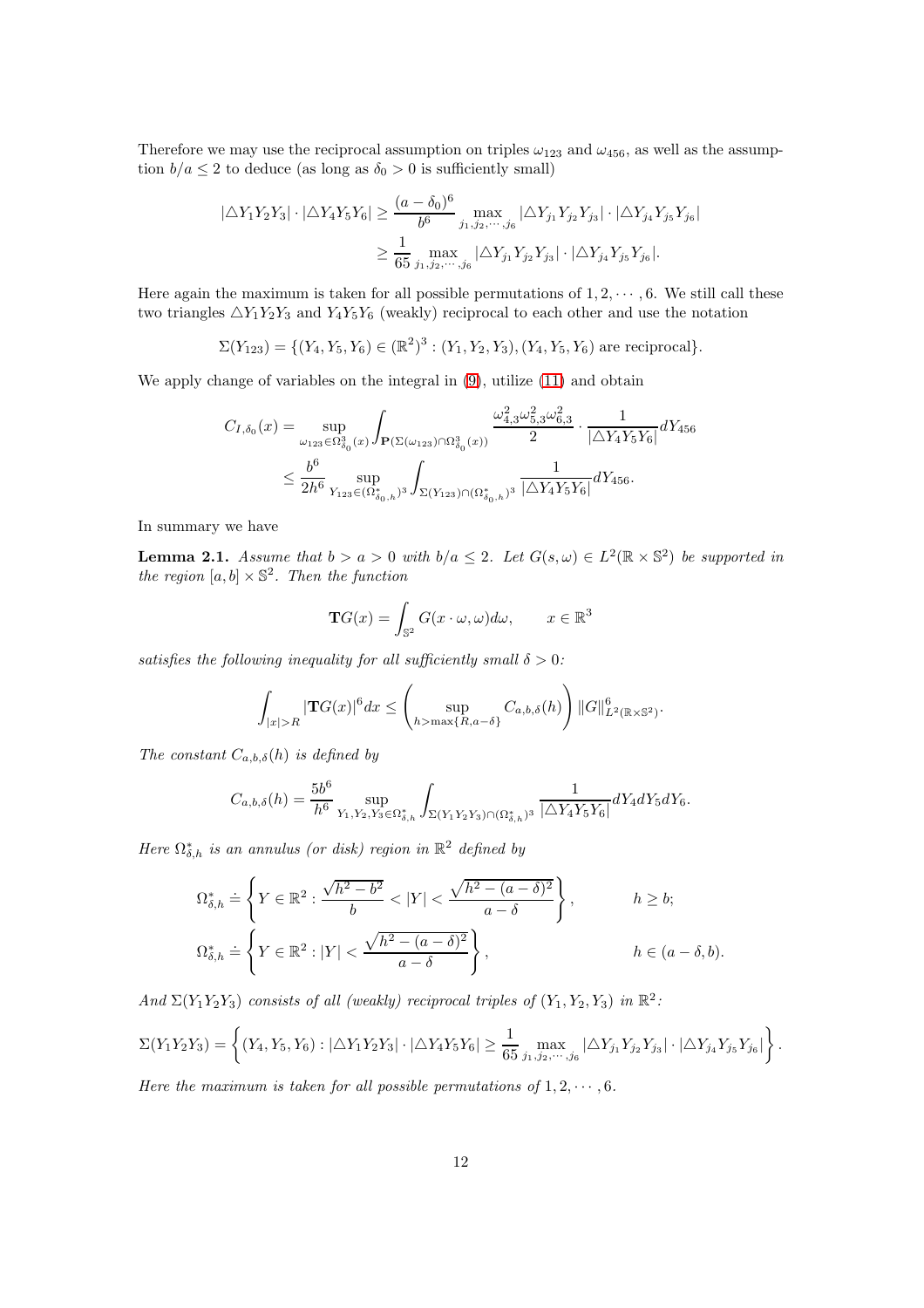Therefore we may use the reciprocal assumption on triples  $\omega_{123}$  and  $\omega_{456}$ , as well as the assumption  $b/a \leq 2$  to deduce (as long as  $\delta_0 > 0$  is sufficiently small)

$$
|\triangle Y_1 Y_2 Y_3| \cdot |\triangle Y_4 Y_5 Y_6| \ge \frac{(a - \delta_0)^6}{b^6} \max_{j_1, j_2, \dots, j_6} |\triangle Y_{j_1} Y_{j_2} Y_{j_3}| \cdot |\triangle Y_{j_4} Y_{j_5} Y_{j_6}|
$$
  

$$
\ge \frac{1}{65} \max_{j_1, j_2, \dots, j_6} |\triangle Y_{j_1} Y_{j_2} Y_{j_3}| \cdot |\triangle Y_{j_4} Y_{j_5} Y_{j_6}|.
$$

Here again the maximum is taken for all possible permutations of  $1, 2, \dots, 6$ . We still call these two triangles  $\triangle Y_1 Y_2 Y_3$  and  $Y_4 Y_5 Y_6$  (weakly) reciprocal to each other and use the notation

 $\Sigma(Y_{123}) = \{(Y_4, Y_5, Y_6) \in (\mathbb{R}^2)^3 : (Y_1, Y_2, Y_3), (Y_4, Y_5, Y_6) \text{ are reciprocal}\}.$ 

We apply change of variables on the integral in [\(9\)](#page-9-0), utilize [\(11\)](#page-10-3) and obtain

$$
\begin{aligned} C_{I,\delta_0}(x) & = \sup_{\omega_{123}\in\Omega_{\delta_0}^3(x)}\int_{\mathbf{P}(\Sigma(\omega_{123})\cap\Omega_{\delta_0}^3(x))} \frac{\omega_{4,3}^2\omega_{5,3}^2\omega_{6,3}^2}{2}\cdot\frac{1}{|\Delta Y_4Y_5Y_6|}dY_{456}\\ & \leq \frac{b^6}{2h^6}\sup_{Y_{123}\in(\Omega_{\delta_0,h}^*)^3}\int_{\Sigma(Y_{123})\cap(\Omega_{\delta_0,h}^*)^3} \frac{1}{|\Delta Y_4Y_5Y_6|}dY_{456}. \end{aligned}
$$

In summary we have

<span id="page-11-0"></span>**Lemma 2.1.** Assume that  $b > a > 0$  with  $b/a \leq 2$ . Let  $G(s, \omega) \in L^2(\mathbb{R} \times \mathbb{S}^2)$  be supported in the region  $[a, b] \times \mathbb{S}^2$ . Then the function

$$
\mathbf{T}G(x) = \int_{\mathbb{S}^2} G(x \cdot \omega, \omega) d\omega, \qquad x \in \mathbb{R}^3
$$

satisfies the following inequality for all sufficiently small  $\delta > 0$ :

$$
\int_{|x|>R} |\mathbf{T}G(x)|^6 dx \le \left( \sup_{h>\max\{R,a-\delta\}} C_{a,b,\delta}(h) \right) ||G||_{L^2(\mathbb{R}\times\mathbb{S}^2)}^6.
$$

The constant  $C_{a,b,\delta}(h)$  is defined by

$$
C_{a,b,\delta}(h)=\frac{5b^6}{h^6}\sup_{Y_1,Y_2,Y_3\in\Omega^*_{\delta,h}}\int_{\Sigma(Y_1Y_2Y_3)\cap(\Omega^*_{\delta,h})^3}\frac{1}{|\triangle Y_4Y_5Y_6|}dY_4dY_5dY_6.
$$

Here  $\Omega_{\delta,h}^*$  is an annulus (or disk) region in  $\mathbb{R}^2$  defined by

$$
\Omega_{\delta,h}^{*} \doteq \left\{ Y \in \mathbb{R}^{2} : \frac{\sqrt{h^{2} - b^{2}}}{b} < |Y| < \frac{\sqrt{h^{2} - (a - \delta)^{2}}}{a - \delta} \right\}, \qquad h \ge b;
$$
\n
$$
\Omega_{\delta,h}^{*} \doteq \left\{ Y \in \mathbb{R}^{2} : |Y| < \frac{\sqrt{h^{2} - (a - \delta)^{2}}}{a - \delta} \right\}, \qquad h \in (a - \delta, b).
$$

And  $\Sigma(Y_1Y_2Y_3)$  consists of all (weakly) reciprocal triples of  $(Y_1, Y_2, Y_3)$  in  $\mathbb{R}^2$ :

$$
\Sigma(Y_1Y_2Y_3) = \left\{ (Y_4, Y_5, Y_6) : |\triangle Y_1Y_2Y_3| \cdot |\triangle Y_4Y_5Y_6| \ge \frac{1}{65} \max_{j_1, j_2, \cdots, j_6} |\triangle Y_{j_1}Y_{j_2}Y_{j_3}| \cdot |\triangle Y_{j_4}Y_{j_5}Y_{j_6}| \right\}.
$$

Here the maximum is taken for all possible permutations of  $1, 2, \cdots, 6$ .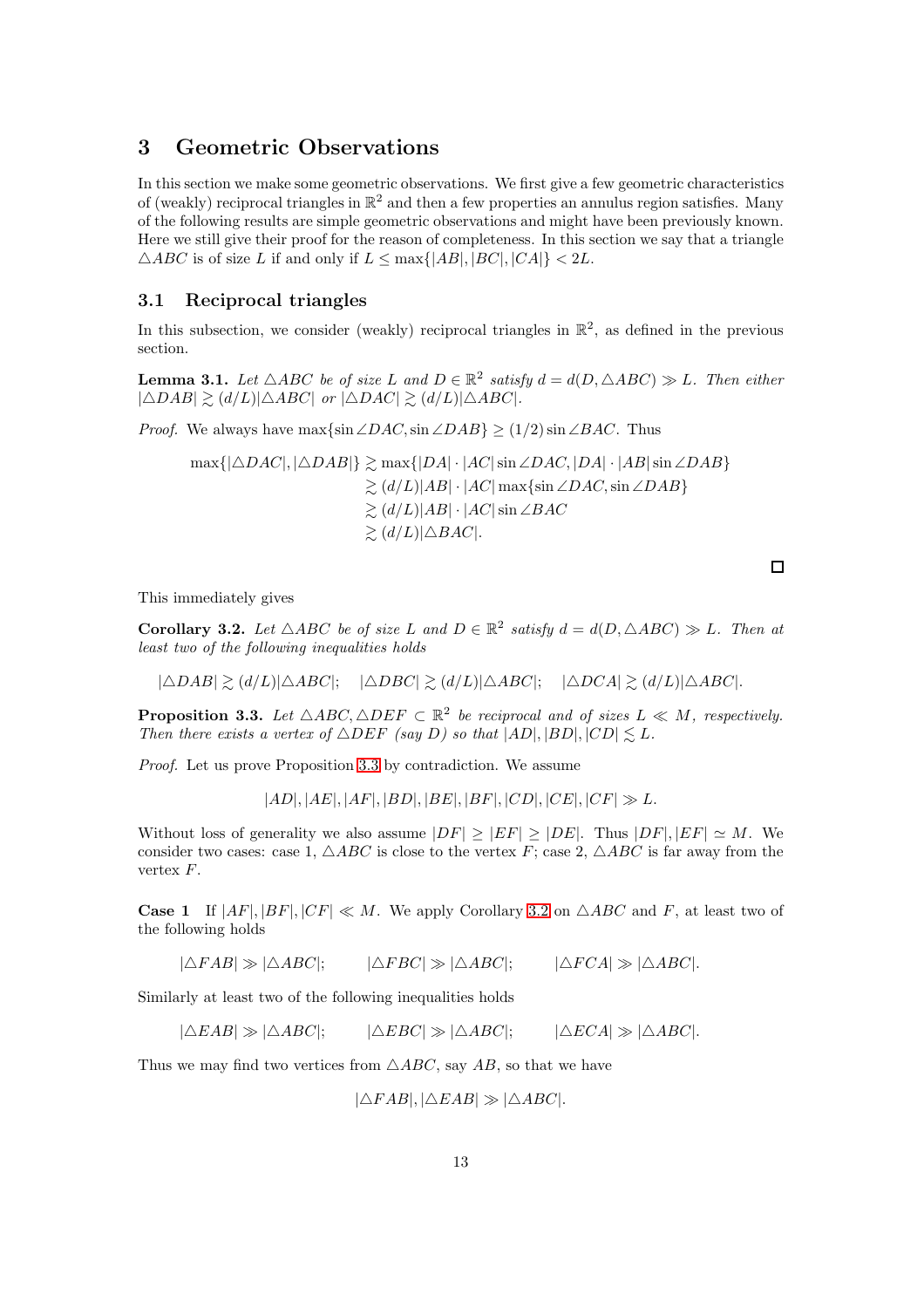## 3 Geometric Observations

In this section we make some geometric observations. We first give a few geometric characteristics of (weakly) reciprocal triangles in  $\mathbb{R}^2$  and then a few properties an annulus region satisfies. Many of the following results are simple geometric observations and might have been previously known. Here we still give their proof for the reason of completeness. In this section we say that a triangle  $\triangle ABC$  is of size L if and only if  $L \le \max\{|AB|, |BC|, |CA|\} < 2L$ .

#### 3.1 Reciprocal triangles

In this subsection, we consider (weakly) reciprocal triangles in  $\mathbb{R}^2$ , as defined in the previous section.

<span id="page-12-2"></span>**Lemma 3.1.** Let  $\triangle ABC$  be of size L and  $D \in \mathbb{R}^2$  satisfy  $d = d(D, \triangle ABC) \gg L$ . Then either  $|\triangle DAB| \geq (d/L)|\triangle ABC|$  or  $|\triangle DAC| \geq (d/L)|\triangle ABC|$ .

*Proof.* We always have max $\{\sin \angle DAC, \sin \angle DAB\} \ge (1/2) \sin \angle BAC$ . Thus

$$
\max\{|\triangle DAC|, |\triangle DAB|\} \gtrsim \max\{|DA| \cdot |AC| \sin \angle DAC, |DA| \cdot |AB| \sin \angle DAB\}
$$
  
\n
$$
\gtrsim (d/L)|AB| \cdot |AC| \max\{\sin \angle DAC, \sin \angle DAB\}
$$
  
\n
$$
\gtrsim (d/L)|AB| \cdot |AC| \sin \angle BAC
$$
  
\n
$$
\gtrsim (d/L)|\triangle BAC|.
$$

This immediately gives

<span id="page-12-1"></span>**Corollary 3.2.** Let  $\triangle ABC$  be of size L and  $D \in \mathbb{R}^2$  satisfy  $d = d(D, \triangle ABC) \gg L$ . Then at least two of the following inequalities holds

$$
|\triangle DAB| \gtrsim (d/L)|\triangle ABC|; \quad |\triangle DBC| \gtrsim (d/L)|\triangle ABC|; \quad |\triangle DCA| \gtrsim (d/L)|\triangle ABC|.
$$

<span id="page-12-0"></span>**Proposition 3.3.** Let  $\triangle ABC$ ,  $\triangle DEF \subseteq \mathbb{R}^2$  be reciprocal and of sizes  $L \ll M$ , respectively. Then there exists a vertex of  $\triangle DEF$  (say D) so that  $|AD|, |BD|, |CD| \leq L$ .

Proof. Let us prove Proposition [3.3](#page-12-0) by contradiction. We assume

 $|AD|, |AE|, |AF|, |BD|, |BE|, |BF|, |CD|, |CE|, |CF| \gg L.$ 

Without loss of generality we also assume  $|DF| \ge |EF| \ge |DE|$ . Thus  $|DF|, |EF| \simeq M$ . We consider two cases: case 1,  $\triangle ABC$  is close to the vertex F; case 2,  $\triangle ABC$  is far away from the vertex  $F$ .

**Case 1** If  $|AF|, |BF|, |CF| \ll M$ . We apply Corollary [3.2](#page-12-1) on  $\triangle ABC$  and F, at least two of the following holds

 $|\triangle FAB| \gg |\triangle ABC|$ ;  $|\triangle FBC| \gg |\triangle ABC|$ ;  $|\triangle FCA| \gg |\triangle ABC|$ .

Similarly at least two of the following inequalities holds

 $|\triangle EAB| \gg |\triangle ABC|$ ;  $|\triangle EBC| \gg |\triangle ABC|$ ;  $|\triangle ECA| \gg |\triangle ABC|$ .

Thus we may find two vertices from  $\triangle ABC$ , say AB, so that we have

 $|\triangle FAB|, |\triangle EAB| \gg |\triangle ABC|.$ 

 $\Box$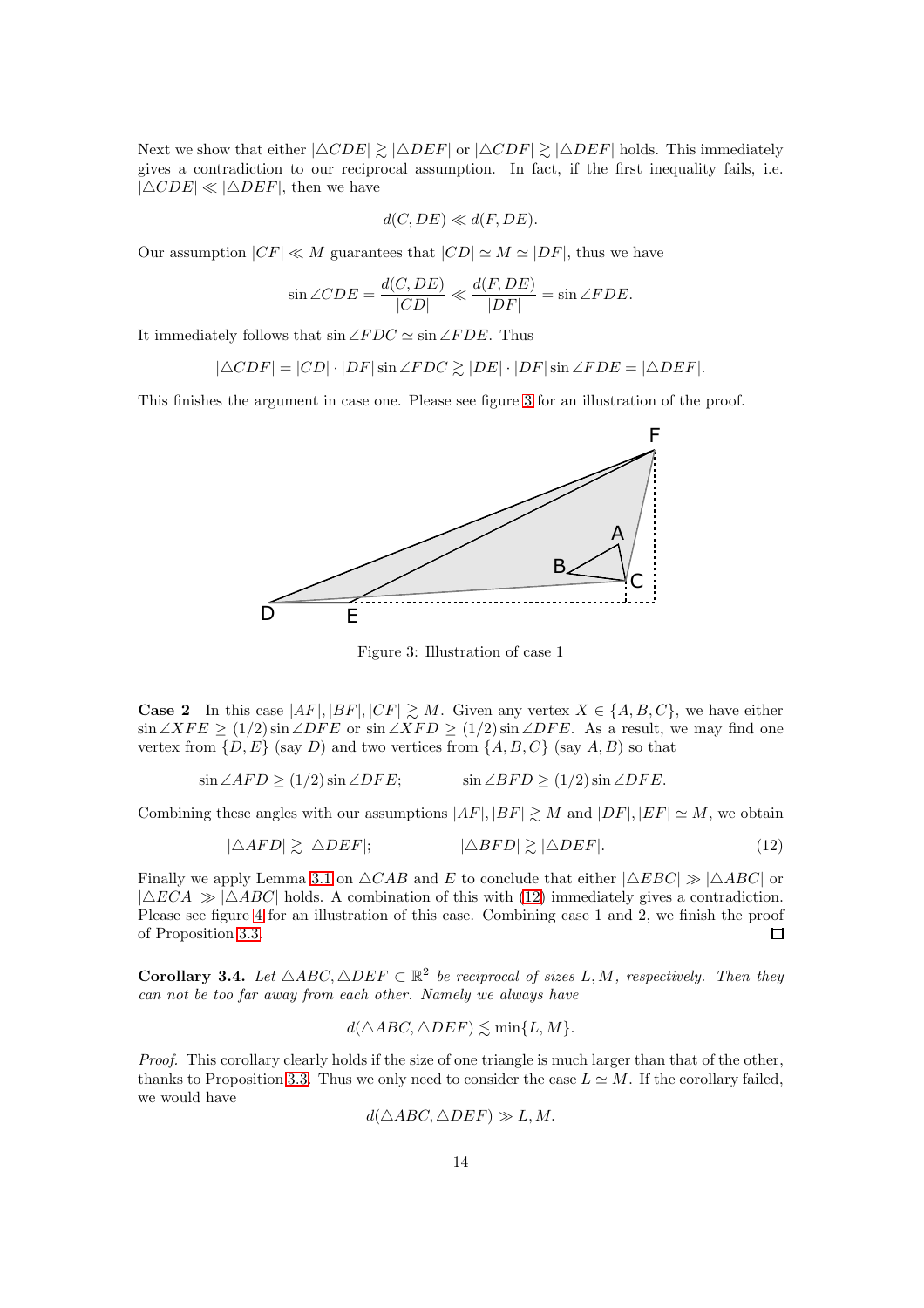Next we show that either  $|\triangle CDE| \ge |\triangle DEF|$  or  $|\triangle CDF| \ge |\triangle DEF|$  holds. This immediately gives a contradiction to our reciprocal assumption. In fact, if the first inequality fails, i.e.  $|\triangle CDE| \ll |\triangle DEF|$ , then we have

$$
d(C, DE) \ll d(F, DE).
$$

Our assumption  $|CF| \ll M$  guarantees that  $|CD| \simeq M \simeq |DF|$ , thus we have

$$
\sin \angle CDE = \frac{d(C, DE)}{|CD|} \ll \frac{d(F, DE)}{|DF|} = \sin \angle FDE.
$$

It immediately follows that  $\sin \angle FDC \simeq \sin \angle FDE$ . Thus

 $|\triangle CDF| = |CD| \cdot |DF| \sin \angle FDC \geq |DE| \cdot |DF| \sin \angle FDE = |\triangle DEF|.$ 

This finishes the argument in case one. Please see figure [3](#page-13-0) for an illustration of the proof.



<span id="page-13-1"></span><span id="page-13-0"></span>Figure 3: Illustration of case 1

**Case 2** In this case  $|AF|, |BF|, |CF| \geq M$ . Given any vertex  $X \in \{A, B, C\}$ , we have either  $\sin \angle XFE \ge (1/2) \sin \angle DFE$  or  $\sin \angle XFD \ge (1/2) \sin \angle DFE$ . As a result, we may find one vertex from  $\{D, E\}$  (say D) and two vertices from  $\{A, B, C\}$  (say A, B) so that

$$
\sin \angle AFD \ge (1/2) \sin \angle DFE; \qquad \sin \angle BFD \ge (1/2) \sin \angle DFE.
$$

Combining these angles with our assumptions  $|AF|, |BF| \geq M$  and  $|DF|, |EF| \simeq M$ , we obtain

$$
|\triangle AFD| \gtrsim |\triangle DEF|; \qquad |\triangle BFD| \gtrsim |\triangle DEF|.
$$
 (12)

Finally we apply Lemma [3.1](#page-12-2) on  $\triangle CAB$  and E to conclude that either  $|\triangle EBC| \gg |\triangle ABC|$  or  $|\triangle ECA| \gg |\triangle ABC|$  holds. A combination of this with [\(12\)](#page-13-1) immediately gives a contradiction. Please see figure [4](#page-14-0) for an illustration of this case. Combining case 1 and 2, we finish the proof of Proposition [3.3.](#page-12-0)  $\Box$ 

<span id="page-13-2"></span>**Corollary 3.4.** Let  $\triangle ABC$ ,  $\triangle DEF \subset \mathbb{R}^2$  be reciprocal of sizes L, M, respectively. Then they can not be too far away from each other. Namely we always have

$$
d(\triangle ABC, \triangle DEF) \lesssim \min\{L, M\}.
$$

Proof. This corollary clearly holds if the size of one triangle is much larger than that of the other, thanks to Proposition [3.3.](#page-12-0) Thus we only need to consider the case  $L \simeq M$ . If the corollary failed, we would have

$$
d(\triangle ABC, \triangle DEF) \gg L, M.
$$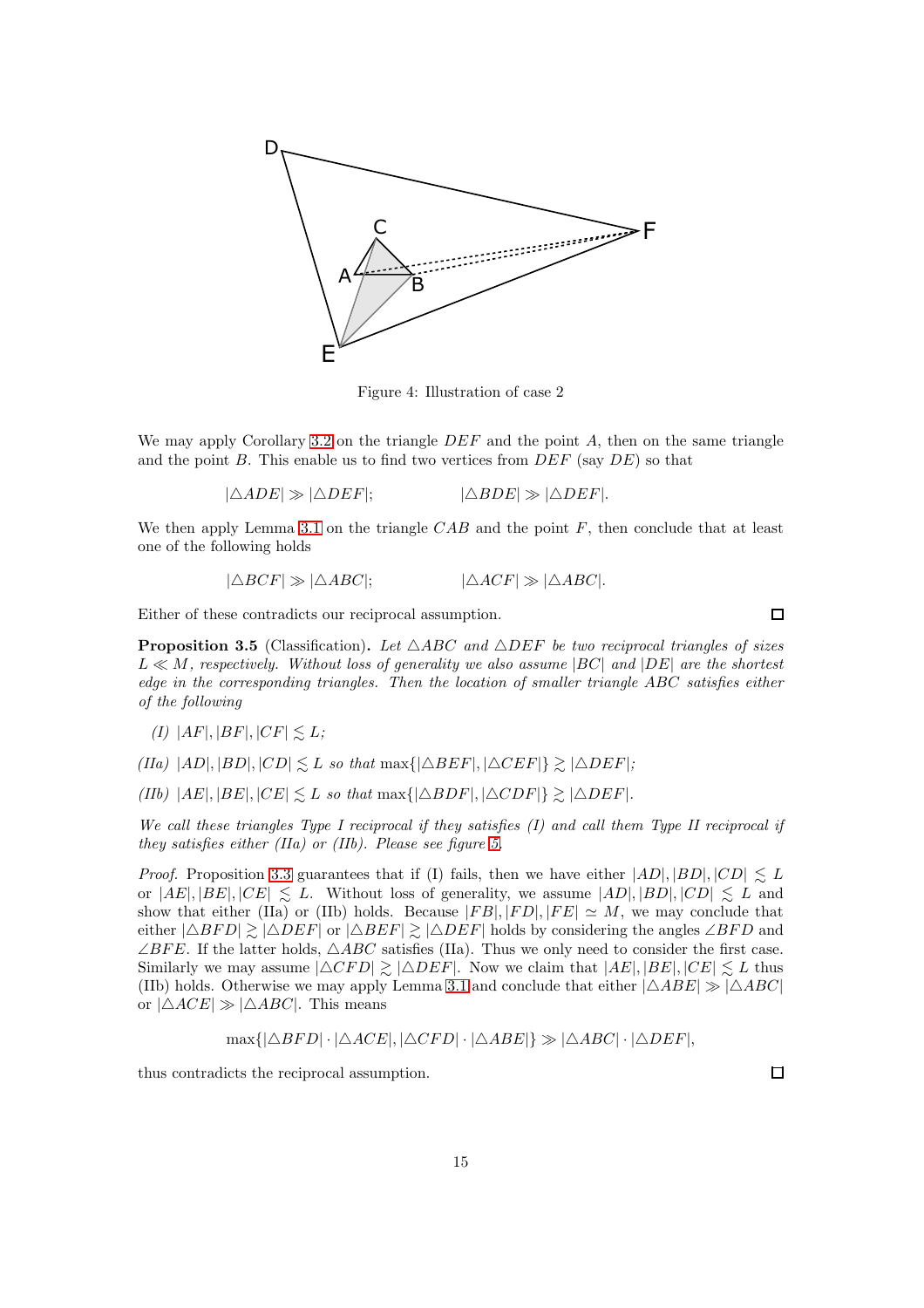

<span id="page-14-0"></span>Figure 4: Illustration of case 2

We may apply Corollary [3.2](#page-12-1) on the triangle  $DEF$  and the point A, then on the same triangle and the point B. This enable us to find two vertices from  $DEF$  (say  $DE$ ) so that

 $|\triangle ADE| \gg |\triangle DEF|$ :  $|\triangle BDE| \gg |\triangle DEF|$ .

We then apply Lemma [3.1](#page-12-2) on the triangle  $CAB$  and the point  $F$ , then conclude that at least one of the following holds

$$
|\triangle BCF| \gg |\triangle ABC|;
$$
 
$$
|\triangle ACF| \gg |\triangle ABC|.
$$

Either of these contradicts our reciprocal assumption.

**Proposition 3.5** (Classification). Let  $\triangle ABC$  and  $\triangle DEF$  be two reciprocal triangles of sizes  $L \ll M$ , respectively. Without loss of generality we also assume  $|BC|$  and  $|DE|$  are the shortest edge in the corresponding triangles. Then the location of smaller triangle ABC satisfies either of the following

$$
(I) |AF|, |BF|, |CF| \lesssim L;
$$

 $(IIa)$   $|AD|, |BD|, |CD| \leq L$  so that max $\{|\triangle BEF|, |\triangle CEF|\} \geq |\triangle DEF|;$ 

(IIb)  $|AE|, |BE|, |CE| \leq L$  so that max $\{|\triangle BDF|, |\triangle CDF|\} \geq |\triangle DEF|$ .

We call these triangles Type I reciprocal if they satisfies (I) and call them Type II reciprocal if they satisfies either (IIa) or (IIb). Please see figure [5.](#page-15-0)

*Proof.* Proposition [3.3](#page-12-0) guarantees that if (I) fails, then we have either  $|AD|, |BD|, |CD| \leq L$ or  $|AE|, |BE|, |CE| \leq L$ . Without loss of generality, we assume  $|AD|, |BD|, |CD| \leq L$  and show that either (IIa) or (IIb) holds. Because  $|FB|, |FD|, |FE| \simeq M$ , we may conclude that either  $|\triangle BFD| \ge |\triangle DEF|$  or  $|\triangle BEF| \ge |\triangle DEF|$  holds by considering the angles  $\angle BFD$  and  $\angle BFE$ . If the latter holds,  $\triangle ABC$  satisfies (IIa). Thus we only need to consider the first case. Similarly we may assume  $|\triangle CFD| \gtrsim |\triangle DEF|$ . Now we claim that  $|AE|, |BE|, |CE| \lesssim L$  thus (IIb) holds. Otherwise we may apply Lemma [3.1](#page-12-2) and conclude that either  $|\triangle ABE| \gg |\triangle ABC|$ or  $|\triangle ACE| \gg |\triangle ABC|$ . This means

$$
\max\{|\triangle BFD| \cdot |\triangle ACE|, |\triangle CFD| \cdot |\triangle ABE|\} \gg |\triangle ABC| \cdot |\triangle DEF|,
$$

thus contradicts the reciprocal assumption.

 $\Box$ 

 $\Box$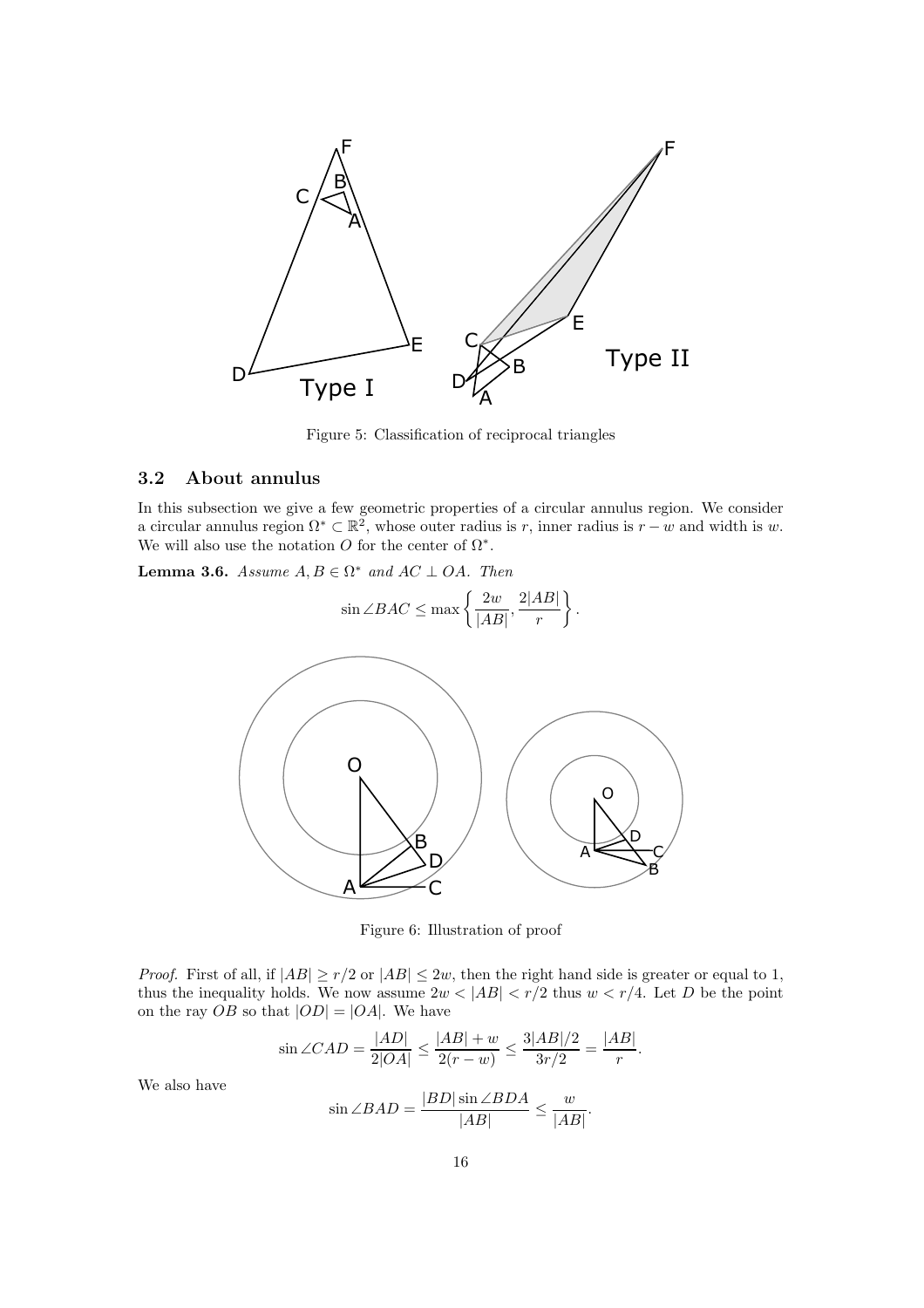

<span id="page-15-0"></span>Figure 5: Classification of reciprocal triangles

### 3.2 About annulus

In this subsection we give a few geometric properties of a circular annulus region. We consider a circular annulus region  $\Omega^* \subset \mathbb{R}^2$ , whose outer radius is r, inner radius is  $r - w$  and width is w. We will also use the notation O for the center of  $\Omega^*$ .

<span id="page-15-1"></span>**Lemma 3.6.** Assume  $A, B \in \Omega^*$  and  $AC \perp OA$ . Then

$$
\sin \angle BAC \le \max \left\{ \frac{2w}{|AB|}, \frac{2|AB|}{r} \right\}.
$$



Figure 6: Illustration of proof

*Proof.* First of all, if  $|AB| \ge r/2$  or  $|AB| \le 2w$ , then the right hand side is greater or equal to 1, thus the inequality holds. We now assume  $2w < |AB| < r/2$  thus  $w < r/4$ . Let D be the point on the ray  $OB$  so that  $|OD| = |OA|$ . We have

$$
\sin \angle CAD = \frac{|AD|}{2|OA|} \le \frac{|AB| + w}{2(r - w)} \le \frac{3|AB|/2}{3r/2} = \frac{|AB|}{r}.
$$

We also have

$$
\sin \angle BAD = \frac{|BD|\sin \angle BDA}{|AB|} \le \frac{w}{|AB|}.
$$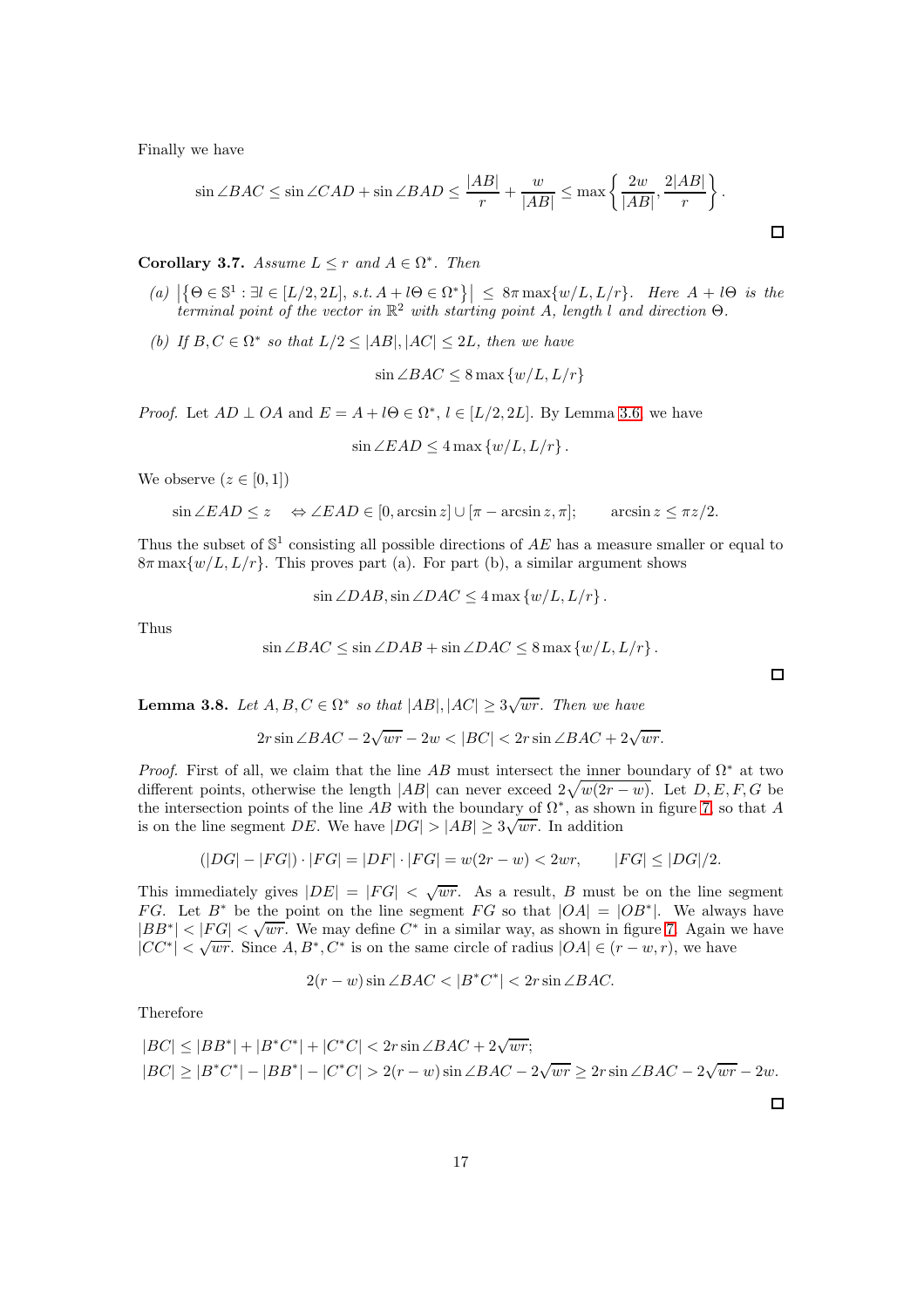Finally we have

$$
\sin \angle BAC \le \sin \angle CAD + \sin \angle BAD \le \frac{|AB|}{r} + \frac{w}{|AB|} \le \max \left\{ \frac{2w}{|AB|}, \frac{2|AB|}{r} \right\}.
$$

<span id="page-16-1"></span>**Corollary 3.7.** Assume  $L \leq r$  and  $A \in \Omega^*$ . Then

- (a)  $\left|\left\{\Theta \in \mathbb{S}^1 : \exists l \in [L/2, 2L], s.t. A + l\Theta \in \Omega^*\right\}\right| \leq 8\pi \max\{w/L, L/r\}.$  Here  $A + l\Theta$  is the terminal point of the vector in  $\mathbb{R}^2$  with starting point A, length l and direction  $\Theta$ .
- (b) If  $B, C \in \Omega^*$  so that  $L/2 \leq |AB|, |AC| \leq 2L$ , then we have

$$
\sin \angle BAC \le 8 \max \{w/L, L/r\}
$$

*Proof.* Let  $AD \perp OA$  and  $E = A + l\Theta \in \Omega^*, l \in [L/2, 2L]$ . By Lemma [3.6,](#page-15-1) we have

 $\sin \angle EAD \leq 4 \max \{w/L, L/r\}$ .

We observe  $(z \in [0,1])$ 

$$
\sin \angle EAD \le z \quad \Leftrightarrow \angle EAD \in [0, \arcsin z] \cup [\pi - \arcsin z, \pi]; \qquad \arcsin z \le \pi z/2.
$$

Thus the subset of  $\mathbb{S}^1$  consisting all possible directions of AE has a measure smaller or equal to  $8\pi \max\{w/L, L/r\}$ . This proves part (a). For part (b), a similar argument shows

$$
\sin \angle DAB, \sin \angle DAC \le 4 \max \{w/L, L/r\}.
$$

Thus

$$
\sin \angle BAC \le \sin \angle DAB + \sin \angle DAC \le 8 \max \{w/L, L/r\}.
$$

<span id="page-16-0"></span>**Lemma 3.8.** Let  $A, B, C \in \Omega^*$  so that  $|AB|, |AC| \geq 3\sqrt{wr}$ . Then we have

$$
2r\sin\angle BAC - 2\sqrt{wr} - 2w < |BC| < 2r\sin\angle BAC + 2\sqrt{wr}.
$$

*Proof.* First of all, we claim that the line AB must intersect the inner boundary of  $\Omega^*$  at two different points, otherwise the length  $|AB|$  can never exceed  $2\sqrt{w(2r-w)}$ . Let  $D, E, F, G$  be the intersection points of the line AB with the boundary of  $\Omega^*$ , as shown in figure [7,](#page-17-0) so that A is on the line segment DE. We have  $|DG| > |AB| \geq 3\sqrt{wr}$ . In addition

$$
(|DG| - |FG|) \cdot |FG| = |DF| \cdot |FG| = w(2r - w) < 2wr, \qquad |FG| \le |DG|/2.
$$

This immediately gives  $|DE| = |FG| < \sqrt{wr}$ . As a result, B must be on the line segment FG. Let  $B^*$  be the point on the line segment FG so that  $|OA| = |OB^*|$ . We always have  $|BB^*| < |FG| < \sqrt{wr}$ . We may define  $C^*$  in a similar way, as shown in figure [7.](#page-17-0) Again we have  $|CC^*| < \sqrt{wr}$ . Since  $A, B^*, C^*$  is on the same circle of radius  $|OA| \in (r - w, r)$ , we have

$$
2(r - w)\sin\angle BAC < |B^*C^*| < 2r\sin\angle BAC.
$$

Therefore

$$
|BC| \le |BB^*| + |B^*C^*| + |C^*C| < 2r\sin\angle BAC + 2\sqrt{wr};
$$
\n
$$
|BC| \ge |B^*C^*| - |BB^*| - |C^*C| > 2(r - w)\sin\angle BAC - 2\sqrt{wr} \ge 2r\sin\angle BAC - 2\sqrt{wr} - 2w.
$$

 $\Box$ 

 $\Box$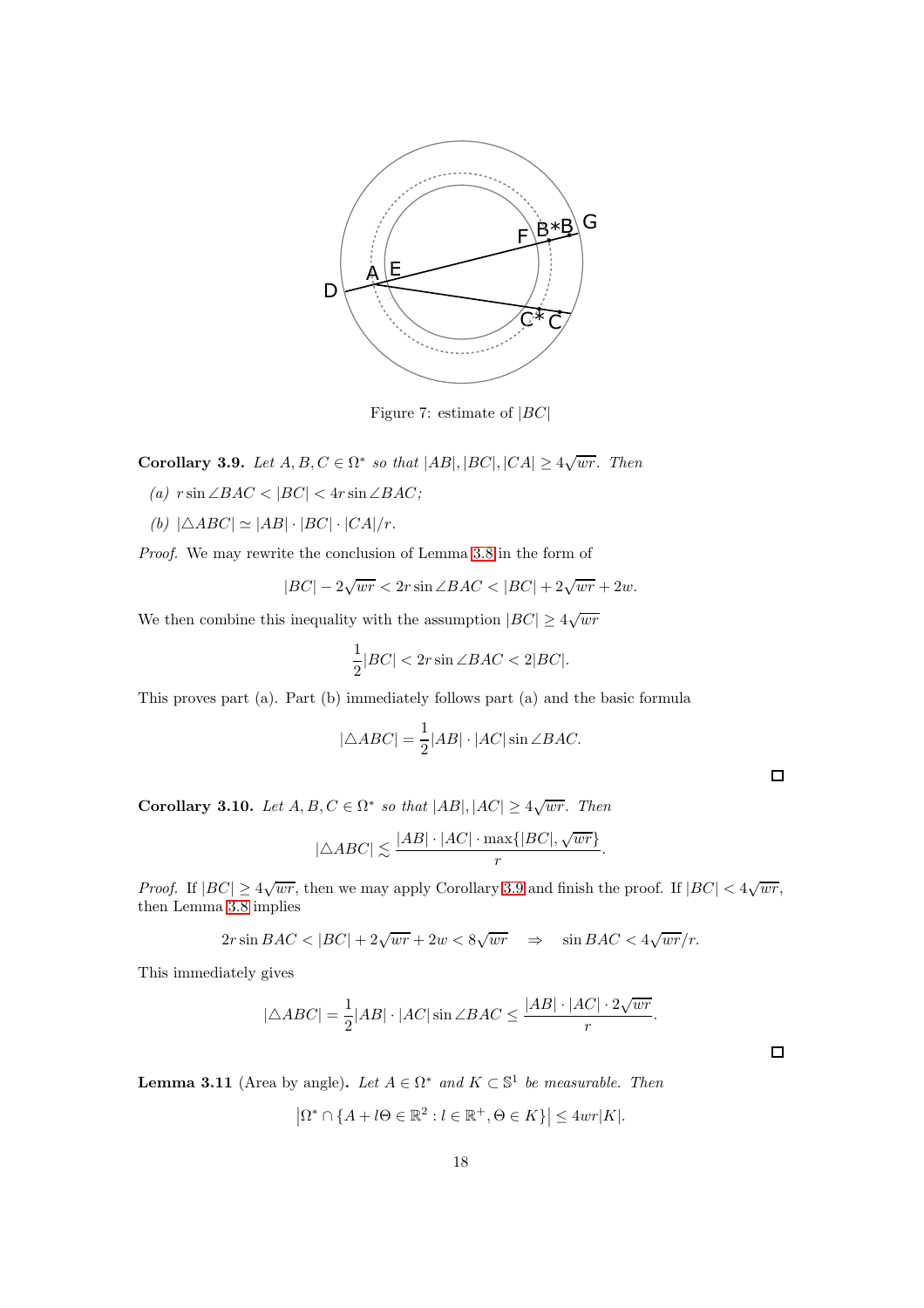

<span id="page-17-0"></span>Figure 7: estimate of  $|BC|$ 

<span id="page-17-1"></span>Corollary 3.9. Let  $A, B, C \in \Omega^*$  so that  $|AB|, |BC|, |CA| \geq 4\sqrt{wr}$ . Then

- (a)  $r \sin \angle BAC < |BC| < 4r \sin \angle BAC;$
- (b)  $|\triangle ABC| \simeq |AB| \cdot |BC| \cdot |CA|/r.$

Proof. We may rewrite the conclusion of Lemma [3.8](#page-16-0) in the form of

$$
|BC| - 2\sqrt{wr} < 2r\sin\angle BAC < |BC| + 2\sqrt{wr} + 2w.
$$

We then combine this inequality with the assumption  $|BC| \geq 4\sqrt{wr}$ 

$$
\frac{1}{2}|BC| < 2r\sin\angle BAC < 2|BC|.
$$

This proves part (a). Part (b) immediately follows part (a) and the basic formula

$$
|\triangle ABC| = \frac{1}{2} |AB| \cdot |AC| \sin \angle BAC.
$$

 $\Box$ 

<span id="page-17-3"></span>Corollary 3.10. Let  $A, B, C \in \Omega^*$  so that  $|AB|, |AC| \geq 4\sqrt{wr}$ . Then

$$
|\triangle ABC| \lesssim \frac{|AB| \cdot |AC| \cdot \max\{|BC|, \sqrt{wr}\}}{r}.
$$

*Proof.* If  $|BC| \ge 4\sqrt{wr}$ , then we may apply Corollary [3.9](#page-17-1) and finish the proof. If  $|BC| < 4\sqrt{wr}$ , then Lemma [3.8](#page-16-0) implies

$$
2r\sin BAC < |BC| + 2\sqrt{wr} + 2w < 8\sqrt{wr} \quad \Rightarrow \quad \sin BAC < 4\sqrt{wr}/r.
$$

This immediately gives

$$
|\triangle ABC| = \frac{1}{2}|AB| \cdot |AC| \sin \angle BAC \le \frac{|AB| \cdot |AC| \cdot 2\sqrt{wr}}{r}.
$$

<span id="page-17-2"></span>**Lemma 3.11** (Area by angle). Let  $A \in \Omega^*$  and  $K \subset \mathbb{S}^1$  be measurable. Then

$$
\left|\Omega^* \cap \{A + l\Theta \in \mathbb{R}^2 : l \in \mathbb{R}^+, \Theta \in K\}\right| \le 4wr|K|.
$$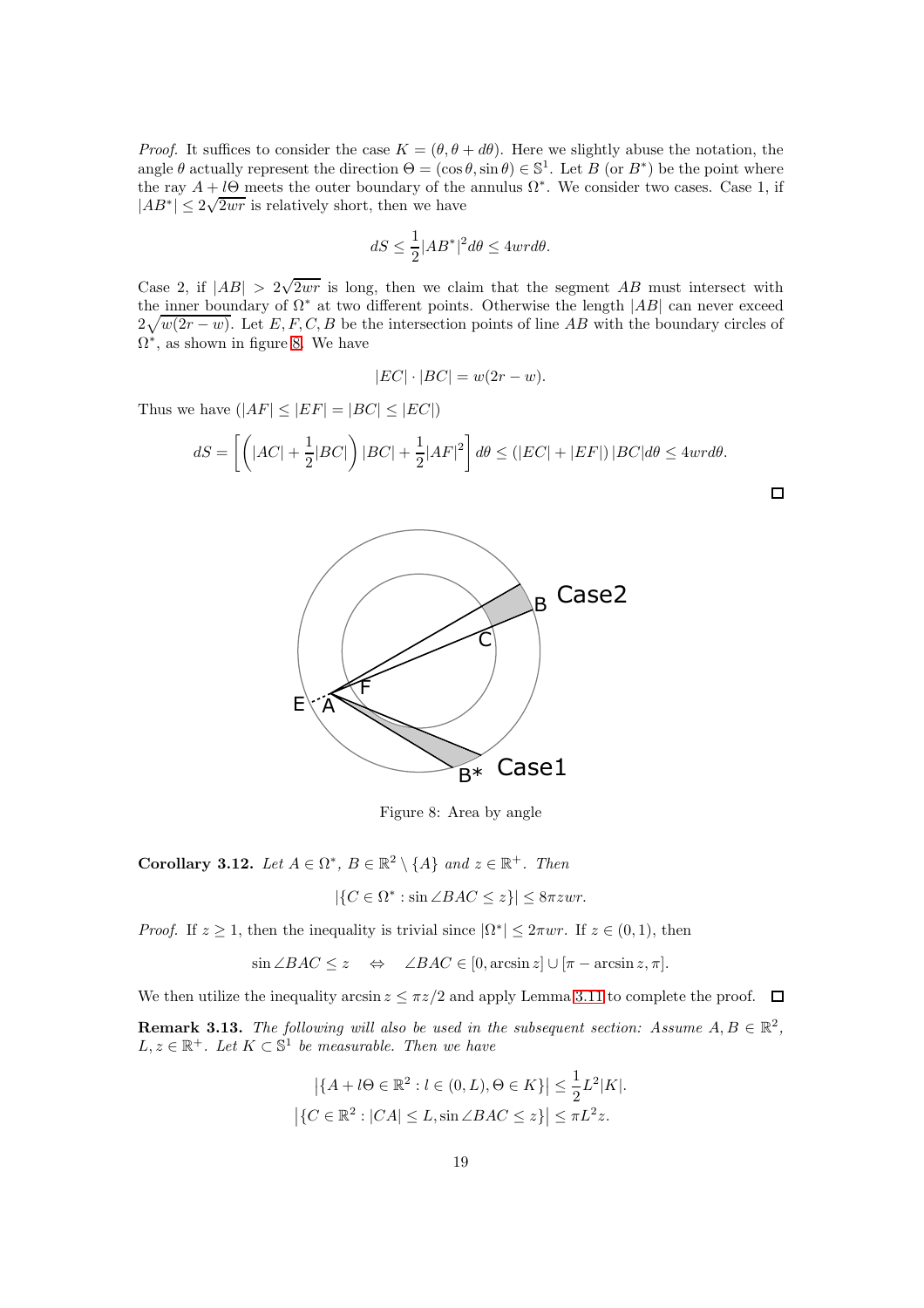*Proof.* It suffices to consider the case  $K = (\theta, \theta + d\theta)$ . Here we slightly abuse the notation, the angle  $\theta$  actually represent the direction  $\Theta = (\cos \theta, \sin \theta) \in \mathbb{S}^1$ . Let  $B$  (or  $B^*$ ) be the point where the ray  $A + l\Theta$  meets the outer boundary of the annulus  $\Omega^*$ . We consider two cases. Case 1, if  $|AB^*| \leq 2\sqrt{2wr}$  is relatively short, then we have

$$
dS \le \frac{1}{2} |AB^*|^2 d\theta \le 4wr d\theta.
$$

Case 2, if  $|AB| > 2\sqrt{2wr}$  is long, then we claim that the segment AB must intersect with the inner boundary of  $\Omega^*$  at two different points. Otherwise the length  $|AB|$  can never exceed  $2\sqrt{w(2r-w)}$ . Let E, F, C, B be the intersection points of line AB with the boundary circles of  $\Omega^*$ , as shown in figure [8.](#page-18-0) We have

$$
|EC| \cdot |BC| = w(2r - w).
$$

Thus we have  $(|AF| \leq |EF| = |BC| \leq |EC|)$ 

$$
dS = \left[ \left( |AC| + \frac{1}{2}|BC| \right) |BC| + \frac{1}{2}|AF|^2 \right] d\theta \le (|EC| + |EF|) |BC| d\theta \le 4wr d\theta.
$$



<span id="page-18-0"></span>Figure 8: Area by angle

<span id="page-18-1"></span>Corollary 3.12. Let  $A \in \Omega^*$ ,  $B \in \mathbb{R}^2 \setminus \{A\}$  and  $z \in \mathbb{R}^+$ . Then

$$
|\{C \in \Omega^* : \sin \angle BAC \le z\}| \le 8\pi zwr.
$$

*Proof.* If  $z \ge 1$ , then the inequality is trivial since  $|\Omega^*| \le 2\pi w r$ . If  $z \in (0,1)$ , then

 $\sin \angle BAC \leq z \Leftrightarrow \angle BAC \in [0, \arcsin z] \cup [\pi - \arcsin z, \pi].$ 

We then utilize the inequality arcsin  $z \leq \pi z/2$  and apply Lemma [3.11](#page-17-2) to complete the proof.  $\Box$ 

<span id="page-18-2"></span>**Remark 3.13.** The following will also be used in the subsequent section: Assume  $A, B \in \mathbb{R}^2$ ,  $L, z \in \mathbb{R}^+$ . Let  $K \subset \mathbb{S}^1$  be measurable. Then we have

$$
\left| \{ A + l\Theta \in \mathbb{R}^2 : l \in (0, L), \Theta \in K \} \right| \leq \frac{1}{2} L^2 |K|.
$$
  

$$
\left| \{ C \in \mathbb{R}^2 : |CA| \leq L, \sin \angle BAC \leq z \} \right| \leq \pi L^2 z.
$$

 $\Box$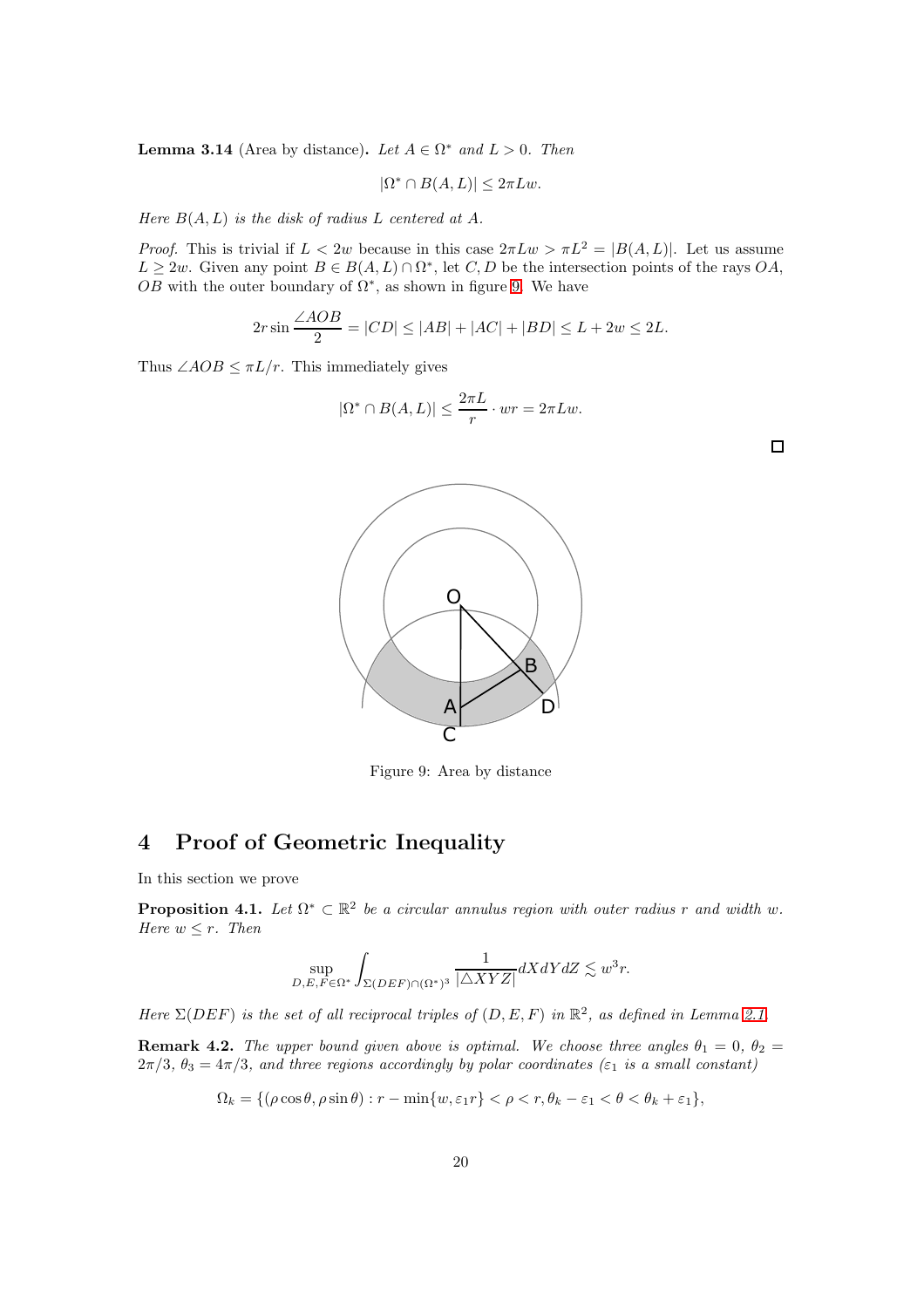<span id="page-19-1"></span>**Lemma 3.14** (Area by distance). Let  $A \in \Omega^*$  and  $L > 0$ . Then

$$
|\Omega^* \cap B(A, L)| \le 2\pi L w.
$$

Here  $B(A, L)$  is the disk of radius L centered at A.

*Proof.* This is trivial if  $L < 2w$  because in this case  $2\pi Lw > \pi L^2 = |B(A, L)|$ . Let us assume  $L \geq 2w$ . Given any point  $B \in B(A, L) \cap \Omega^*$ , let  $C, D$  be the intersection points of the rays  $OA$ , OB with the outer boundary of  $\Omega^*$ , as shown in figure [9.](#page-19-0) We have

$$
2r\sin\frac{\angle AOB}{2} = |CD| \le |AB| + |AC| + |BD| \le L + 2w \le 2L.
$$

 $|\Omega^* \cap B(A, L)| \leq \frac{2\pi L}{r} \cdot wr = 2\pi Lw.$ 

Thus  $\angle AOB \leq \pi L/r$ . This immediately gives



<span id="page-19-0"></span>Figure 9: Area by distance

# 4 Proof of Geometric Inequality

In this section we prove

<span id="page-19-2"></span>**Proposition 4.1.** Let  $\Omega^* \subset \mathbb{R}^2$  be a circular annulus region with outer radius r and width w. Here  $w \leq r$ . Then

$$
\sup_{D,E,F\in\Omega^*} \int_{\Sigma(DEF)\cap(\Omega^*)^3} \frac{1}{|\triangle XYZ|} dXdY dZ \lesssim w^3r.
$$

Here  $\Sigma(DEF)$  is the set of all reciprocal triples of  $(D, E, F)$  in  $\mathbb{R}^2$ , as defined in Lemma [2.1.](#page-11-0)

**Remark 4.2.** The upper bound given above is optimal. We choose three angles  $\theta_1 = 0$ ,  $\theta_2 =$  $2\pi/3$ ,  $\theta_3 = 4\pi/3$ , and three regions accordingly by polar coordinates ( $\varepsilon_1$  is a small constant)

$$
\Omega_k = \{ (\rho \cos \theta, \rho \sin \theta) : r - \min\{w, \varepsilon_1 r\} < \rho < r, \theta_k - \varepsilon_1 < \theta < \theta_k + \varepsilon_1 \},\
$$

 $\Box$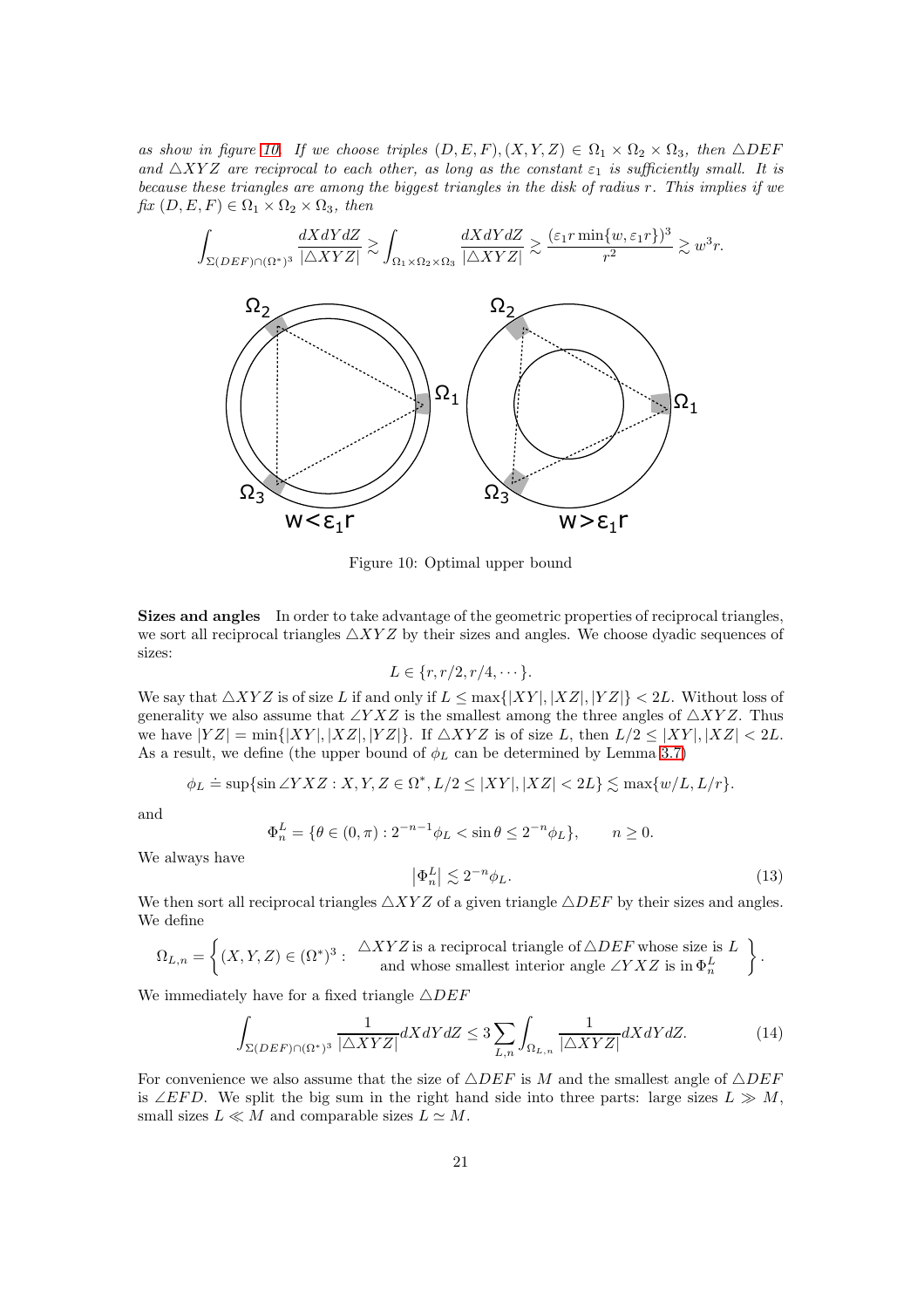as show in figure [10.](#page-20-0) If we choose triples  $(D, E, F), (X, Y, Z) \in \Omega_1 \times \Omega_2 \times \Omega_3$ , then  $\triangle DEF$ and  $\triangle XYZ$  are reciprocal to each other, as long as the constant  $\varepsilon_1$  is sufficiently small. It is because these triangles are among the biggest triangles in the disk of radius r. This implies if we  $fix(D, E, F) \in \Omega_1 \times \Omega_2 \times \Omega_3$ , then

$$
\int_{\Sigma (DEF)\cap (\Omega^*)^3} \frac{dX dY dZ}{|\triangle XYZ|} \gtrsim \int_{\Omega_1 \times \Omega_2 \times \Omega_3} \frac{dX dY dZ}{|\triangle XYZ|} \gtrsim \frac{(\varepsilon_1 r \min\{w, \varepsilon_1 r\})^3}{r^2} \gtrsim w^3 r.
$$



<span id="page-20-0"></span>Figure 10: Optimal upper bound

Sizes and angles In order to take advantage of the geometric properties of reciprocal triangles, we sort all reciprocal triangles  $\triangle XYZ$  by their sizes and angles. We choose dyadic sequences of sizes:

$$
L \in \{r, r/2, r/4, \cdots\}.
$$

We say that  $\triangle XYZ$  is of size L if and only if  $L \leq \max\{|XY|, |XZ|, |YZ|\} < 2L$ . Without loss of generality we also assume that ∠Y XZ is the smallest among the three angles of  $\triangle XYZ$ . Thus we have  $|YZ| = \min\{|XY|, |XZ|, |YZ|\}$ . If  $\triangle XYZ$  is of size L, then  $L/2 \le |XY|, |XZ| < 2L$ . As a result, we define (the upper bound of  $\phi_L$  can be determined by Lemma [3.7\)](#page-16-1)

$$
\phi_L \doteq \sup\{\sin\angle YXZ : X,Y,Z \in \Omega^*, L/2 \leq |XY|, |XZ| < 2L\} \lesssim \max\{w/L,L/r\}.
$$

and

$$
\Phi_n^L = \{ \theta \in (0, \pi) : 2^{-n-1} \phi_L < \sin \theta \le 2^{-n} \phi_L \}, \qquad n \ge 0.
$$

We always have

$$
\left|\Phi_n^L\right| \lesssim 2^{-n}\phi_L. \tag{13}
$$

We then sort all reciprocal triangles  $\triangle XYZ$  of a given triangle  $\triangle DEF$  by their sizes and angles. We define

$$
\Omega_{L,n} = \left\{ (X,Y,Z) \in (\Omega^*)^3 : \begin{array}{c} \triangle XYZ \text{ is a reciprocal triangle of } \triangle DEF \text{ whose size is } L \\ \text{and whose smallest interior angle } \angle YXZ \text{ is in } \Phi_n^L \end{array} \right\}.
$$

We immediately have for a fixed triangle  $\triangle DEF$ 

$$
\int_{\Sigma(DEF)\cap(\Omega^*)^3} \frac{1}{|\triangle XYZ|} dXdY dZ \le 3 \sum_{L,n} \int_{\Omega_{L,n}} \frac{1}{|\triangle XYZ|} dXdY dZ.
$$
 (14)

For convenience we also assume that the size of  $\triangle DEF$  is M and the smallest angle of  $\triangle DEF$ is ∠EFD. We split the big sum in the right hand side into three parts: large sizes  $L \gg M$ , small sizes  $L \ll M$  and comparable sizes  $L \simeq M$ .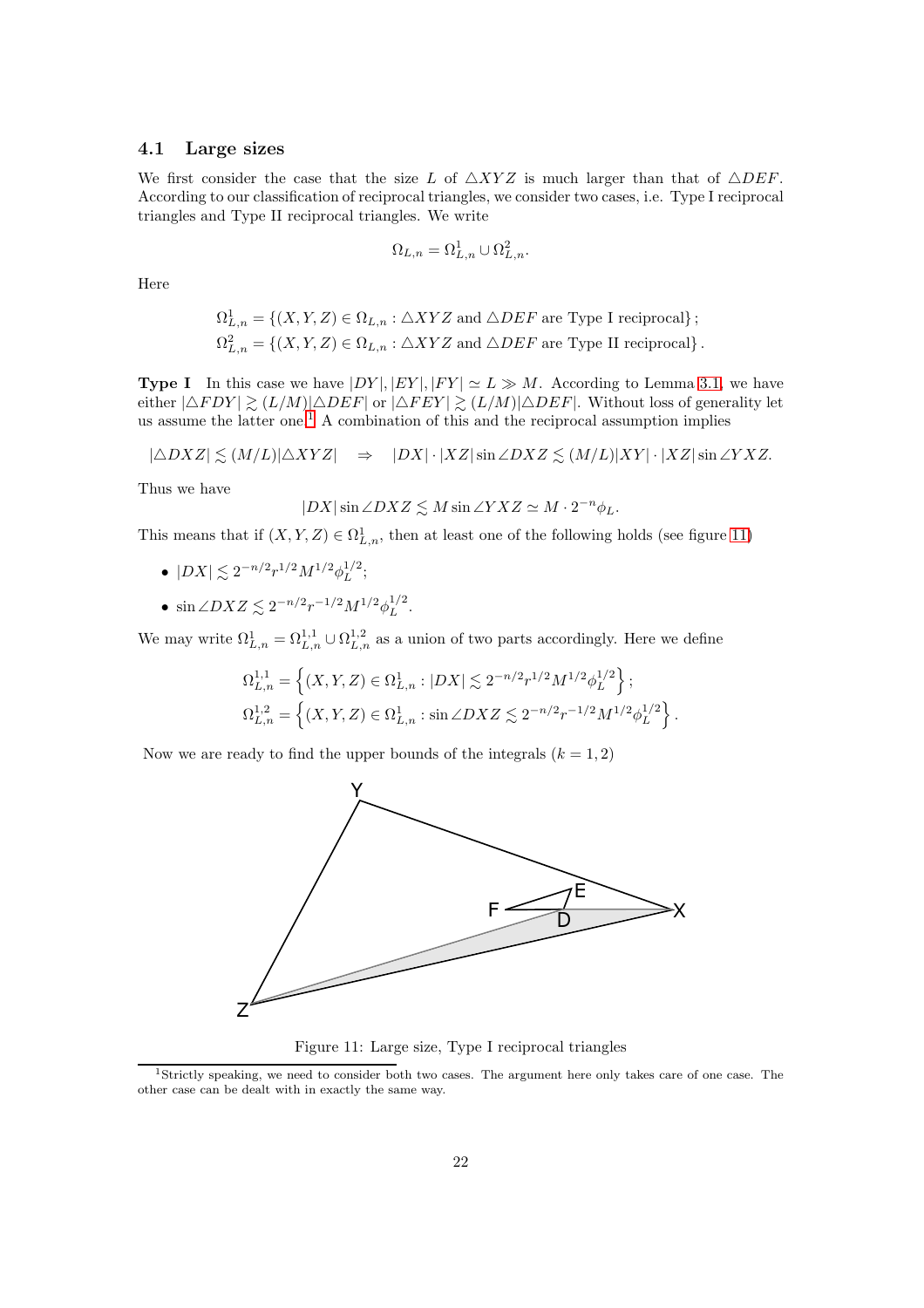#### 4.1 Large sizes

We first consider the case that the size L of  $\triangle XYZ$  is much larger than that of  $\triangle DEF$ . According to our classification of reciprocal triangles, we consider two cases, i.e. Type I reciprocal triangles and Type II reciprocal triangles. We write

$$
\Omega_{L,n} = \Omega^1_{L,n} \cup \Omega^2_{L,n}.
$$

Here

$$
\Omega^1_{L,n} = \{ (X, Y, Z) \in \Omega_{L,n} : \triangle XYZ \text{ and } \triangle DEF \text{ are Type I reciprocal} \};
$$
  

$$
\Omega^2_{L,n} = \{ (X, Y, Z) \in \Omega_{L,n} : \triangle XYZ \text{ and } \triangle DEF \text{ are Type II reciprocal} \}.
$$

**Type I** In this case we have  $|DY|, |EY|, |FY| \simeq L \gg M$ . According to Lemma [3.1,](#page-12-2) we have either  $|\triangle FDY| \gtrsim (L/M)|\triangle DEF|$  or  $|\triangle F EY| \gtrsim (L/M)|\triangle DEF|$ . Without loss of generality let us assume the latter one.<sup>[1](#page-21-0)</sup> A combination of this and the reciprocal assumption implies

$$
|\triangle D X Z| \lesssim (M/L)|\triangle XYZ| \quad \Rightarrow \quad |DX| \cdot |XZ| \sin \angle DXZ \lesssim (M/L)|XY| \cdot |XZ| \sin \angle YXZ.
$$

Thus we have

$$
|DX|\sin\angle DXZ \lesssim M\sin\angle YXZ \simeq M\cdot 2^{-n}\phi_L.
$$

This means that if  $(X, Y, Z) \in \Omega^1_{L,n}$ , then at least one of the following holds (see figure [11\)](#page-21-1)

- $|DX| \lesssim 2^{-n/2} r^{1/2} M^{1/2} \phi_L^{1/2}$  $L^{1/2}$ ;
- $\sin \angle DXZ \lesssim 2^{-n/2}r^{-1/2}M^{1/2}\phi_L^{1/2}$  $L^{1/2}$ .

We may write  $\Omega_{L,n}^1 = \Omega_{L,n}^{1,1} \cup \Omega_{L,n}^{1,2}$  as a union of two parts accordingly. Here we define

$$
\Omega_{L,n}^{1,1} = \left\{ (X, Y, Z) \in \Omega_{L,n}^1 : |DX| \lesssim 2^{-n/2} r^{1/2} M^{1/2} \phi_L^{1/2} \right\};
$$
  

$$
\Omega_{L,n}^{1,2} = \left\{ (X, Y, Z) \in \Omega_{L,n}^1 : \sin \angle DXZ \lesssim 2^{-n/2} r^{-1/2} M^{1/2} \phi_L^{1/2} \right\}.
$$

Now we are ready to find the upper bounds of the integrals  $(k = 1, 2)$ 



<span id="page-21-1"></span>Figure 11: Large size, Type I reciprocal triangles

<span id="page-21-0"></span><sup>1</sup>Strictly speaking, we need to consider both two cases. The argument here only takes care of one case. The other case can be dealt with in exactly the same way.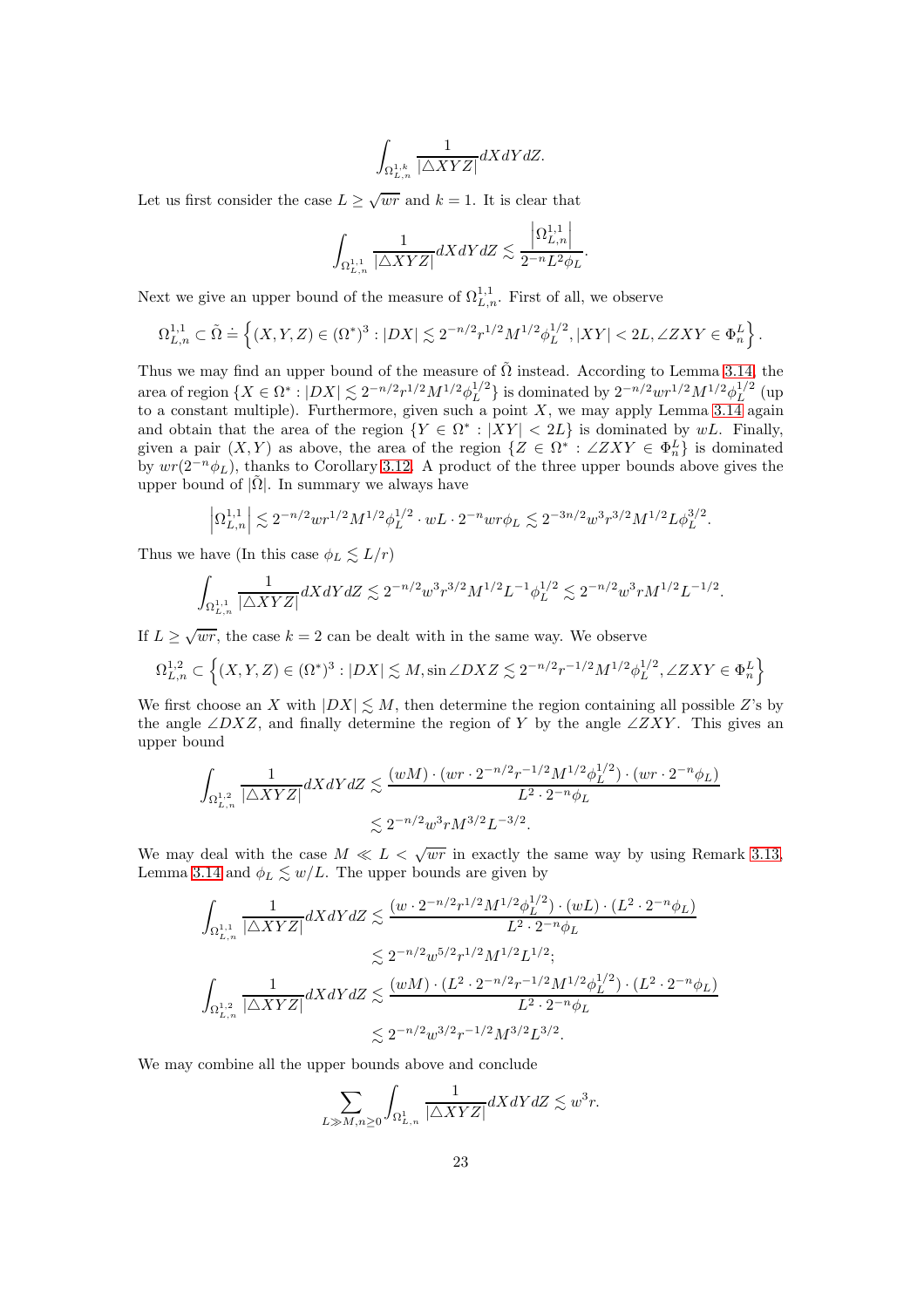$$
\int_{\Omega^{1,k}_{L,n}} \frac{1}{|\triangle XYZ|} dXdYdZ.
$$

Let us first consider the case  $L \ge \sqrt{wr}$  and  $k = 1$ . It is clear that

$$
\int_{\Omega^{1,1}_{L,n}} \frac{1}{|\triangle XYZ|} dXdY dZ \lesssim \frac{\left|\Omega^{1,1}_{L,n}\right|}{2^{-n}L^2\phi_L}.
$$

Next we give an upper bound of the measure of  $\Omega_{L,n}^{1,1}$ . First of all, we observe

$$
\Omega_{L,n}^{1,1}\subset \tilde \Omega\doteq \left\{(X,Y,Z)\in (\Omega^*)^3: |DX|\lesssim 2^{-n/2}r^{1/2}M^{1/2}\phi_L^{1/2}, |XY|<2L,\angle ZXY\in \Phi_n^L\right\}.
$$

Thus we may find an upper bound of the measure of  $\tilde{\Omega}$  instead. According to Lemma [3.14,](#page-19-1) the area of region  $\{X \in \Omega^* : |DX| \lesssim 2^{-n/2} r^{1/2} M^{1/2} \phi_L^{1/2}$  $\binom{1/2}{L}$  is dominated by  $2^{-n/2} w r^{1/2} M^{1/2} \phi_L^{1/2}$  $L^{1/2}$  (up to a constant multiple). Furthermore, given such a point  $X$ , we may apply Lemma [3.14](#page-19-1) again and obtain that the area of the region  $\{Y \in \Omega^* : |XY| < 2L\}$  is dominated by wL. Finally, given a pair  $(X, Y)$  as above, the area of the region  $\{Z \in \Omega^* : \angle ZXY \in \Phi_n^L\}$  is dominated by  $wr(2^{-n}\phi_L)$ , thanks to Corollary [3.12.](#page-18-1) A product of the three upper bounds above gives the upper bound of  $|\tilde{\Omega}|$ . In summary we always have

$$
\left|\Omega_{L,n}^{1,1}\right| \lesssim 2^{-n/2} w r^{1/2} M^{1/2} \phi_L^{1/2} \cdot wL \cdot 2^{-n} w r \phi_L \lesssim 2^{-3n/2} w^3 r^{3/2} M^{1/2} L \phi_L^{3/2}.
$$

Thus we have (In this case  $\phi_L \lesssim L/r$ )

$$
\int_{\Omega^{1,1}_{L,n}} \frac{1}{|\triangle XYZ|} dX dY dZ \lesssim 2^{-n/2} w^3 r^{3/2} M^{1/2} L^{-1} \phi_L^{1/2} \lesssim 2^{-n/2} w^3 r M^{1/2} L^{-1/2}.
$$

If  $L \ge \sqrt{wr}$ , the case  $k = 2$  can be dealt with in the same way. We observe

$$
\Omega_{L,n}^{1,2}\subset \Big\{(X,Y,Z)\in (\Omega^*)^3: |DX|\lesssim M, \sin\angle DXZ\lesssim 2^{-n/2}r^{-1/2}M^{1/2}\phi_L^{1/2}, \angle ZXY\in \Phi_n^L\Big\}
$$

We first choose an X with  $|DX| \leq M$ , then determine the region containing all possible Z's by the angle ∠DXZ, and finally determine the region of Y by the angle ∠ZXY. This gives an upper bound

$$
\int_{\Omega_{L,n}^{1,2}} \frac{1}{|\triangle XYZ|} dXdY dZ \lesssim \frac{(wM) \cdot (wr \cdot 2^{-n/2}r^{-1/2}M^{1/2}\phi_L^{1/2}) \cdot (wr \cdot 2^{-n}\phi_L)}{L^2 \cdot 2^{-n}\phi_L} \lesssim 2^{-n/2}w^3r M^{3/2}L^{-3/2}.
$$

We may deal with the case  $M \ll L \ll \sqrt{wr}$  in exactly the same way by using Remark [3.13,](#page-18-2) Lemma [3.14](#page-19-1) and  $\phi_L \lesssim w/L$ . The upper bounds are given by

$$
\begin{aligned} \int_{\Omega^{1,1}_{L,n}}&\frac{1}{|\triangle XYZ|}dXdYdZ\lesssim \frac{(w\cdot 2^{-n/2}r^{1/2}M^{1/2}\phi_L^{1/2})\cdot (wL)\cdot (L^2\cdot 2^{-n}\phi_L)}{L^2\cdot 2^{-n}\phi_L}\\ &\lesssim 2^{-n/2}w^{5/2}r^{1/2}M^{1/2}L^{1/2};\\ \int_{\Omega^{1,2}_{L,n}}&\frac{1}{|\triangle XYZ|}dXdYdZ\lesssim \frac{(wM)\cdot (L^2\cdot 2^{-n/2}r^{-1/2}M^{1/2}\phi_L^{1/2})\cdot (L^2\cdot 2^{-n}\phi_L)}{L^2\cdot 2^{-n}\phi_L}\\ &\lesssim 2^{-n/2}w^{3/2}r^{-1/2}M^{3/2}L^{3/2}. \end{aligned}
$$

We may combine all the upper bounds above and conclude

$$
\sum_{L \gg M, n \ge 0} \int_{\Omega^1_{L,n}} \frac{1}{|\triangle XYZ|} dXdY dZ \lesssim w^3 r.
$$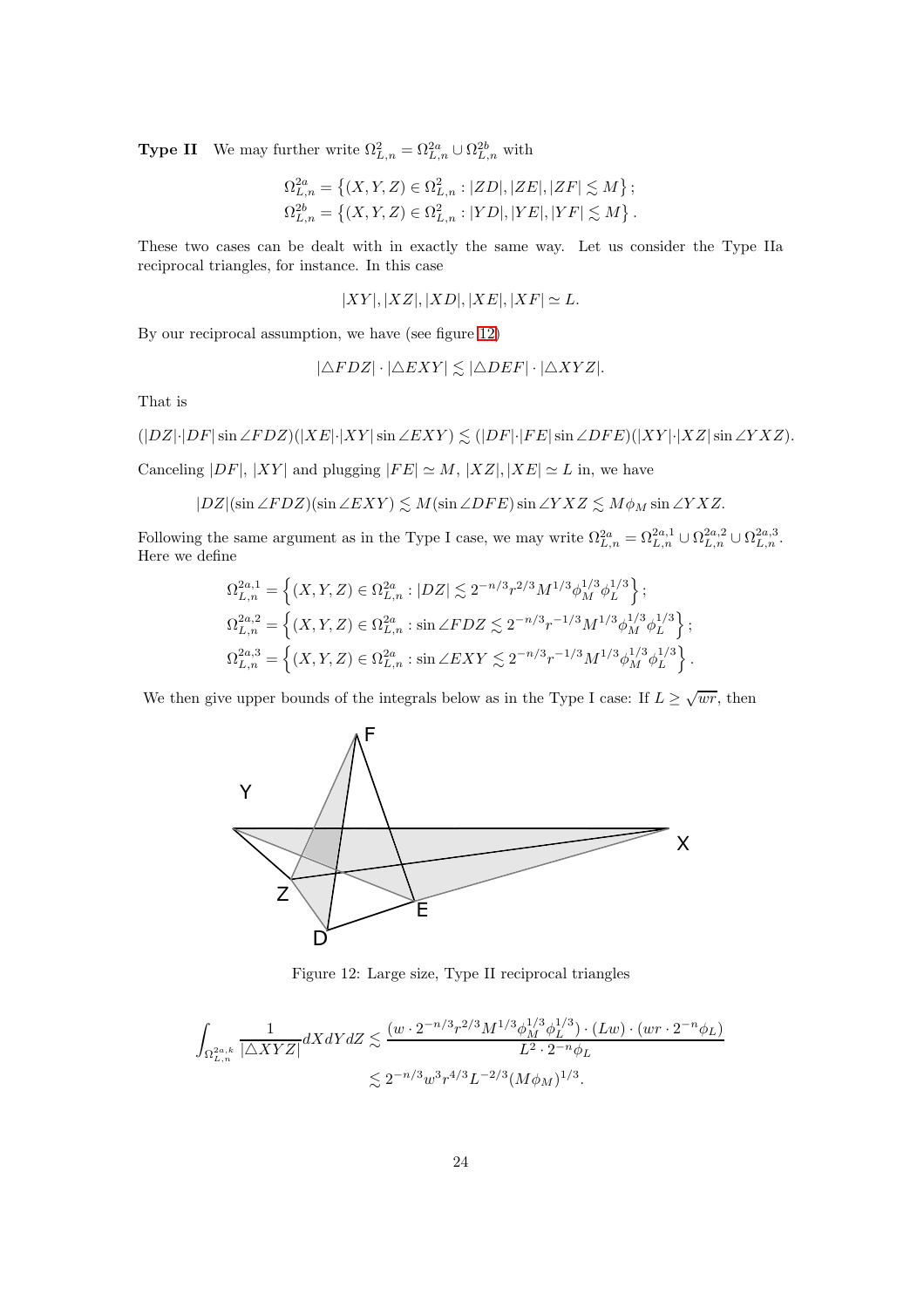**Type II** We may further write  $\Omega_{L,n}^2 = \Omega_{L,n}^{2a} \cup \Omega_{L,n}^{2b}$  with

$$
\Omega_{L,n}^{2a} = \left\{ (X, Y, Z) \in \Omega_{L,n}^2 : |ZD|, |ZE|, |ZF| \lesssim M \right\};
$$
  

$$
\Omega_{L,n}^{2b} = \left\{ (X, Y, Z) \in \Omega_{L,n}^2 : |YD|, |YE|, |YF| \lesssim M \right\}.
$$

These two cases can be dealt with in exactly the same way. Let us consider the Type IIa reciprocal triangles, for instance. In this case

$$
|XY|, |XZ|, |XD|, |XE|, |XF| \simeq L.
$$

By our reciprocal assumption, we have (see figure [12\)](#page-23-0)

$$
|\triangle FDZ|\cdot|\triangle EXY| \lesssim |\triangle DEF|\cdot|\triangle XYZ|.
$$

That is

$$
(|DZ|\cdot|DF|\sin\angle FDZ)(|XE|\cdot|XY|\sin\angle EXY)\lesssim (|DF|\cdot|FE|\sin\angle DFE)(|XY|\cdot|XZ|\sin\angle YXZ).
$$

Canceling  $|DF|, |XY|$  and plugging  $|FE| \simeq M, |XZ|, |XE| \simeq L$  in, we have

 $|DZ|(\sin \angle F DZ)(\sin \angle EXY) \lesssim M(\sin \angle DFE) \sin \angle YXZ \lesssim M\phi_M \sin \angle YXZ.$ 

Following the same argument as in the Type I case, we may write  $\Omega_{L,n}^{2a} = \Omega_{L,n}^{2a,1} \cup \Omega_{L,n}^{2a,2} \cup \Omega_{L,n}^{2a,3}$ . Here we define

$$
\begin{split} &\Omega_{L,n}^{2a,1}=\left\{(X,Y,Z)\in \Omega_{L,n}^{2a}:|DZ|\lesssim 2^{-n/3}r^{2/3}M^{1/3}\phi_M^{1/3}\phi_L^{1/3}\right\};\\ &\Omega_{L,n}^{2a,2}=\left\{(X,Y,Z)\in \Omega_{L,n}^{2a}: \sin\angle FDZ\lesssim 2^{-n/3}r^{-1/3}M^{1/3}\phi_M^{1/3}\phi_L^{1/3}\right\};\\ &\Omega_{L,n}^{2a,3}=\left\{(X,Y,Z)\in \Omega_{L,n}^{2a}: \sin\angle EXY\lesssim 2^{-n/3}r^{-1/3}M^{1/3}\phi_M^{1/3}\phi_L^{1/3}\right\}. \end{split}
$$

We then give upper bounds of the integrals below as in the Type I case: If  $L \ge \sqrt{wr}$ , then



<span id="page-23-0"></span>Figure 12: Large size, Type II reciprocal triangles

$$
\begin{aligned} \int_{\Omega^{2a,k}_{L,n}}\frac{1}{|\triangle XYZ|}dXdYdZ &\lesssim \frac{(w\cdot 2^{-n/3}r^{2/3}M^{1/3}\phi^{1/3}_{M}\phi^{1/3}_{L})\cdot (Lw)\cdot (wr\cdot 2^{-n}\phi_{L})}{L^{2}\cdot 2^{-n}\phi_{L}}\\ &\lesssim 2^{-n/3}w^{3}r^{4/3}L^{-2/3}(M\phi_{M})^{1/3}. \end{aligned}
$$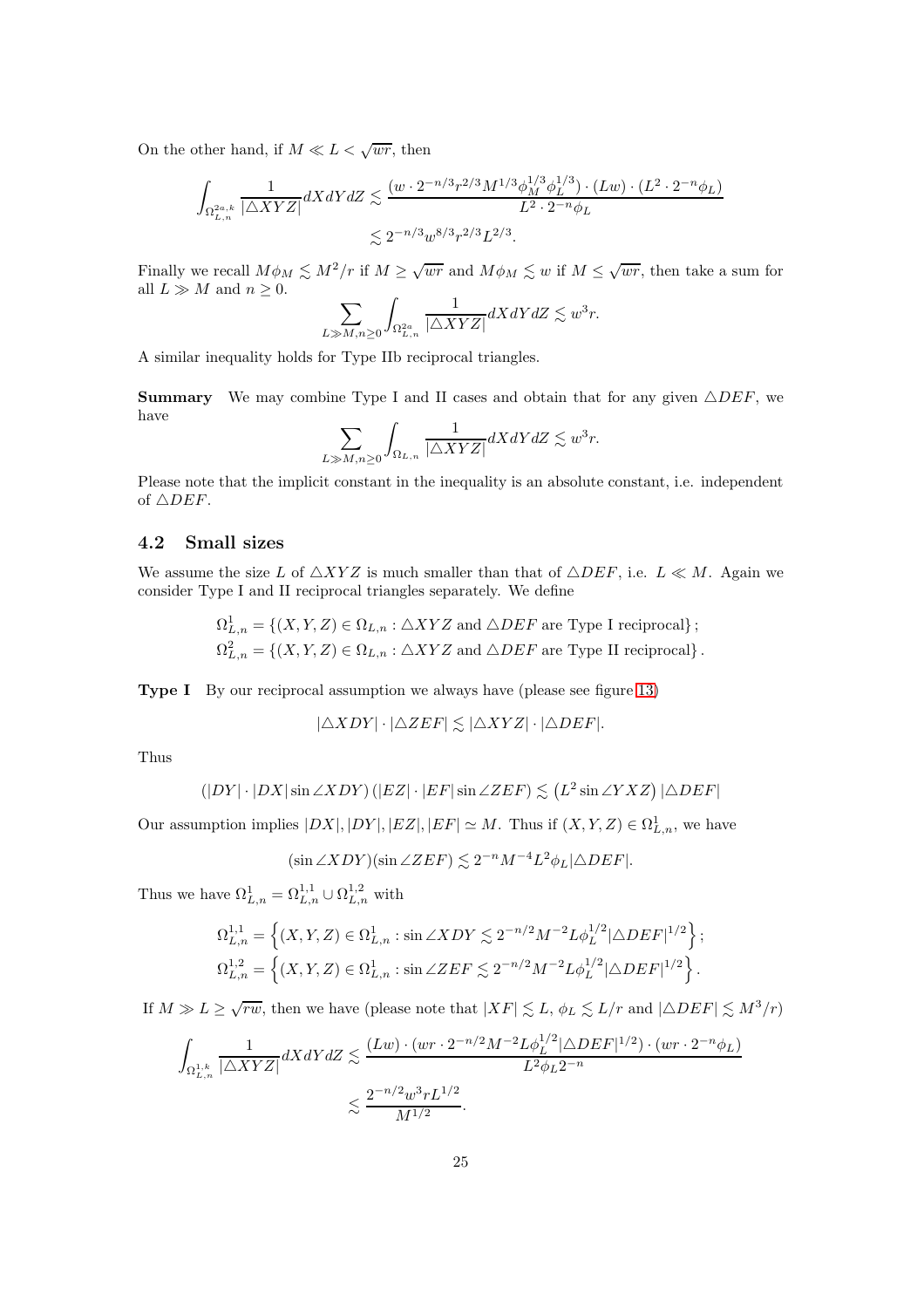On the other hand, if  $M \ll L < \sqrt{wr}$ , then

$$
\int_{\Omega_{L,n}^{2a,k}} \frac{1}{|\triangle XYZ|} dXdY dZ \lesssim \frac{(w \cdot 2^{-n/3} r^{2/3} M^{1/3} \phi_M^{1/3} \phi_L^{1/3}) \cdot (Lw) \cdot (L^2 \cdot 2^{-n} \phi_L)}{L^2 \cdot 2^{-n} \phi_L} \lesssim 2^{-n/3} w^{8/3} r^{2/3} L^{2/3}.
$$

Finally we recall  $M\phi_M \lesssim M^2/r$  if  $M \ge \sqrt{wr}$  and  $M\phi_M \lesssim w$  if  $M \le \sqrt{wr}$ , then take a sum for all  $L\gg M$  and  $n\geq 0.$ 

$$
\sum_{L\gg M,n\geq 0} \int_{\Omega^{2a}_{L,n}} \frac{1}{|\triangle XYZ|} dXdY dZ \lesssim w^3r.
$$

A similar inequality holds for Type IIb reciprocal triangles.

**Summary** We may combine Type I and II cases and obtain that for any given  $\triangle DEF$ , we have

$$
\sum_{L\gg M,n\geq 0} \int_{\Omega_{L,n}} \frac{1}{|\triangle XYZ|} dXdY dZ \lesssim w^3r.
$$

Please note that the implicit constant in the inequality is an absolute constant, i.e. independent of  $\triangle DEF$ .

#### 4.2 Small sizes

We assume the size L of  $\triangle XYZ$  is much smaller than that of  $\triangle DEF$ , i.e.  $L \ll M$ . Again we consider Type I and II reciprocal triangles separately. We define

$$
\Omega^1_{L,n} = \{(X, Y, Z) \in \Omega_{L,n} : \triangle XYZ \text{ and } \triangle DEF \text{ are Type I reciprocal}\};
$$
  

$$
\Omega^2_{L,n} = \{(X, Y, Z) \in \Omega_{L,n} : \triangle XYZ \text{ and } \triangle DEF \text{ are Type II reciprocal}\}.
$$

Type I By our reciprocal assumption we always have (please see figure [13\)](#page-25-0)

$$
|\triangle XDY| \cdot |\triangle ZEF| \lesssim |\triangle XYZ| \cdot |\triangle DEF|.
$$

Thus

$$
(|DY| \cdot |DX|\sin \angle XDY) (|EZ| \cdot |EF|\sin \angle ZEF) \lesssim (L^2 \sin \angle YXZ) |\triangle DEF|
$$

Our assumption implies  $|DX|, |DY|, |EZ|, |EF| \simeq M$ . Thus if  $(X, Y, Z) \in \Omega^1_{L,n}$ , we have

$$
(\sin \angle XDY)(\sin \angle ZEF) \lesssim 2^{-n}M^{-4}L^2\phi_L|\triangle DEF|.
$$

Thus we have  $\Omega^1_{L,n} = \Omega^{1,1}_{L,n} \cup \Omega^{1,2}_{L,n}$  with

$$
\Omega_{L,n}^{1,1} = \left\{ (X, Y, Z) \in \Omega_{L,n}^1 : \sin \angle XDY \lesssim 2^{-n/2} M^{-2} L \phi_L^{1/2} |\triangle DEF|^{1/2} \right\};
$$
  

$$
\Omega_{L,n}^{1,2} = \left\{ (X, Y, Z) \in \Omega_{L,n}^1 : \sin \angle ZEF \lesssim 2^{-n/2} M^{-2} L \phi_L^{1/2} |\triangle DEF|^{1/2} \right\}.
$$

If  $M \gg L \ge \sqrt{rw}$ , then we have (please note that  $|XF| \lesssim L$ ,  $\phi_L \lesssim L/r$  and  $|\triangle DEF| \lesssim M^3/r$ )

$$
\int_{\Omega_{L,n}^{1,k}} \frac{1}{|\triangle XYZ|} dX dY dZ \lesssim \frac{(Lw) \cdot (wr \cdot 2^{-n/2} M^{-2} L \phi_L^{1/2} |\triangle DEF|^{1/2}) \cdot (wr \cdot 2^{-n} \phi_L)}{L^2 \phi_L 2^{-n}} \lesssim \frac{2^{-n/2} w^3 r L^{1/2}}{M^{1/2}}.
$$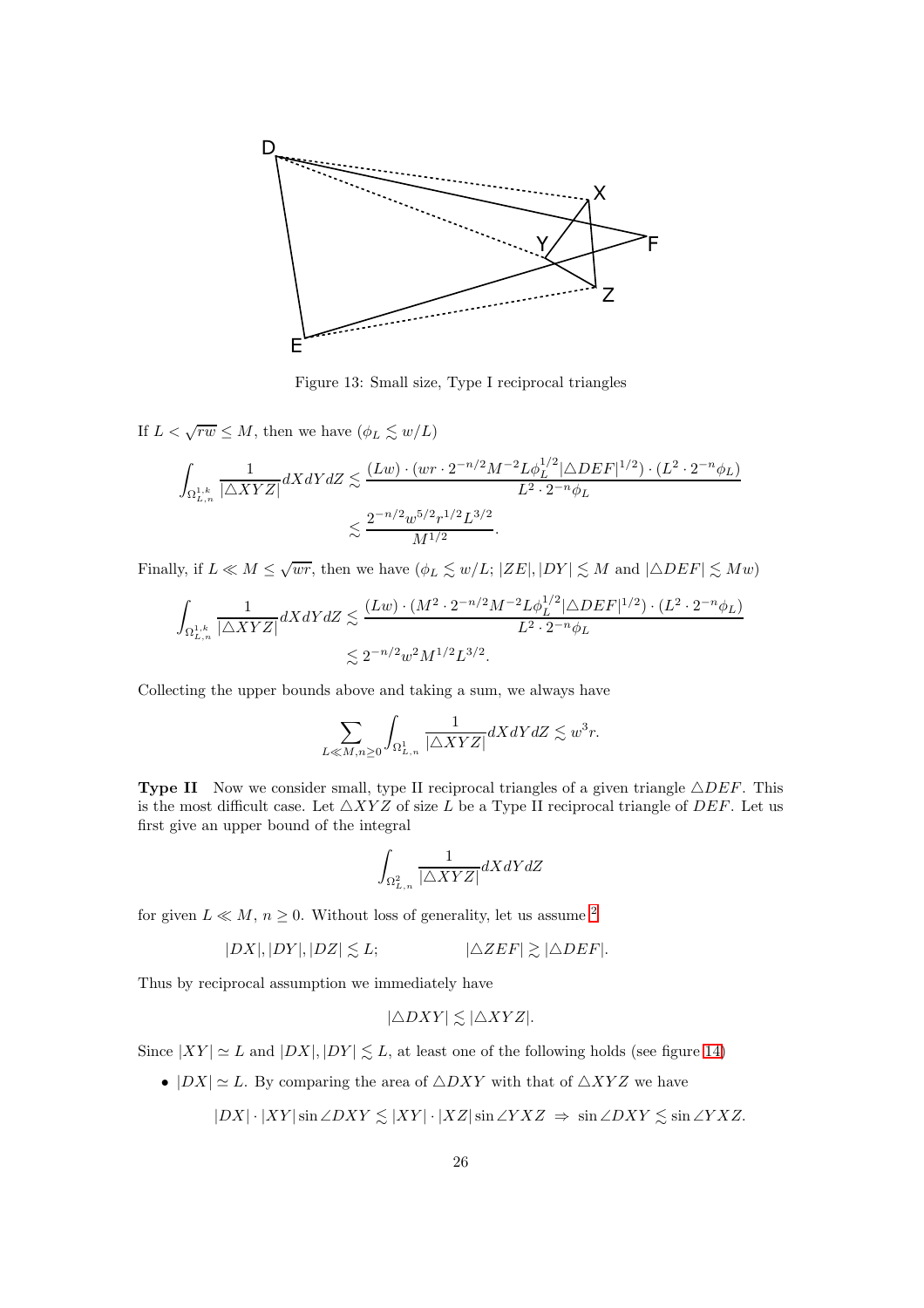

<span id="page-25-0"></span>Figure 13: Small size, Type I reciprocal triangles

If  $L < \sqrt{rw} \le M$ , then we have  $(\phi_L \lesssim w/L)$ 

$$
\begin{aligned} \int_{\Omega^{1,k}_{L,n}}\frac{1}{|\triangle XYZ|}dXdYdZ &\lesssim \frac{(Lw)\cdot (wr\cdot 2^{-n/2}M^{-2}L\phi^{1/2}_L|\triangle DEF|^{1/2})\cdot (L^2\cdot 2^{-n}\phi_L)}{L^2\cdot 2^{-n}\phi_L} \\&\lesssim \frac{2^{-n/2}w^{5/2}r^{1/2}L^{3/2}}{M^{1/2}}. \end{aligned}
$$

Finally, if  $L \ll M \le \sqrt{wr}$ , then we have  $(\phi_L \lesssim w/L; |ZE|, |DY| \lesssim M$  and  $|\triangle DEF| \lesssim Mw)$ 

$$
\int_{\Omega_{L,n}^{1,k}} \frac{1}{|\triangle XYZ|} dX dY dZ \lesssim \frac{(Lw) \cdot (M^2 \cdot 2^{-n/2} M^{-2} L \phi_L^{1/2} |\triangle DEF|^{1/2}) \cdot (L^2 \cdot 2^{-n} \phi_L)}{L^2 \cdot 2^{-n} \phi_L} \lesssim 2^{-n/2} w^2 M^{1/2} L^{3/2}.
$$

Collecting the upper bounds above and taking a sum, we always have

$$
\sum_{L \ll M, n \ge 0} \int_{\Omega^1_{L,n}} \frac{1}{|\triangle XYZ|} dXdY dZ \lesssim w^3 r.
$$

**Type II** Now we consider small, type II reciprocal triangles of a given triangle  $\triangle DEF$ . This is the most difficult case. Let  $\triangle XYZ$  of size L be a Type II reciprocal triangle of DEF. Let us first give an upper bound of the integral

$$
\int_{\Omega^2_{L,n}} \frac{1}{|\triangle XYZ|} dXdYdZ
$$

for given  $L \ll M$ ,  $n \geq 0$ . Without loss of generality, let us assume <sup>[2](#page-26-0)</sup>

$$
|DX|, |DY|, |DZ| \leq L; \qquad |\triangle ZEF| \geq |\triangle DEF|.
$$

Thus by reciprocal assumption we immediately have

$$
|\triangle DXY| \lesssim |\triangle XYZ|.
$$

Since  $|XY| \simeq L$  and  $|DX|, |DY| \leq L$ , at least one of the following holds (see figure [14\)](#page-26-1)

•  $|DX| \simeq L$ . By comparing the area of  $\triangle DXY$  with that of  $\triangle XYZ$  we have

$$
|DX| \cdot |XY|\sin \angle DXY \lesssim |XY| \cdot |XZ|\sin \angle YXZ \implies \sin \angle DXY \lesssim \sin \angle YXZ.
$$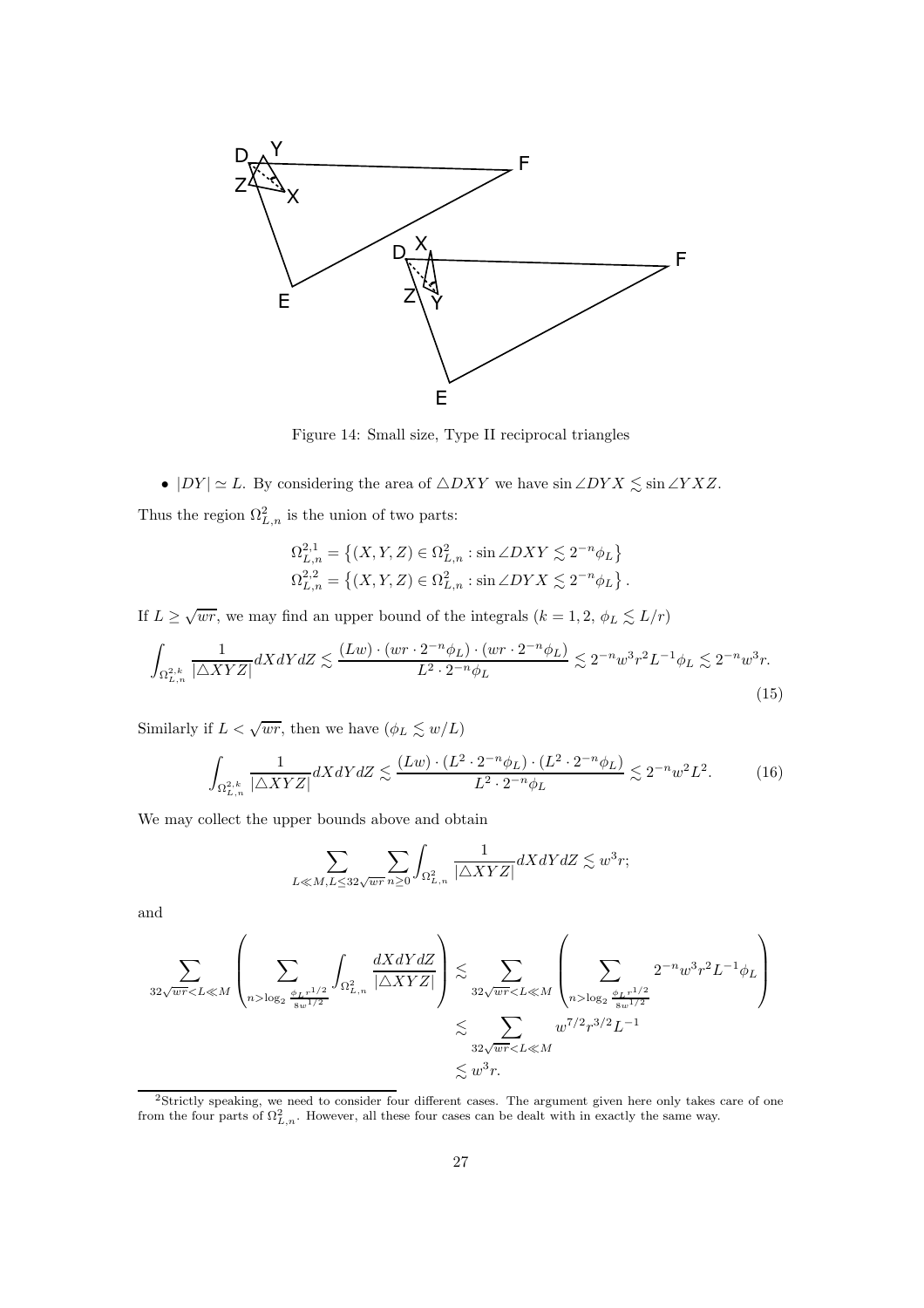

<span id="page-26-1"></span>Figure 14: Small size, Type II reciprocal triangles

•  $|DY| \simeq L$ . By considering the area of  $\triangle DXY$  we have  $\sin \angle DYX \lesssim \sin \angle YXZ$ .

Thus the region  $\Omega_{L,n}^2$  is the union of two parts:

<span id="page-26-2"></span>
$$
\Omega_{L,n}^{2,1} = \left\{ (X, Y, Z) \in \Omega_{L,n}^2 : \sin \angle DXY \lesssim 2^{-n} \phi_L \right\}
$$
  

$$
\Omega_{L,n}^{2,2} = \left\{ (X, Y, Z) \in \Omega_{L,n}^2 : \sin \angle DYX \lesssim 2^{-n} \phi_L \right\}.
$$

If  $L \geq \sqrt{wr}$ , we may find an upper bound of the integrals  $(k = 1, 2, \phi_L \leq L/r)$ 

$$
\int_{\Omega_{L,n}^{2,k}} \frac{1}{|\triangle XYZ|} dXdY dZ \lesssim \frac{(Lw) \cdot (wr \cdot 2^{-n} \phi_L) \cdot (wr \cdot 2^{-n} \phi_L)}{L^2 \cdot 2^{-n} \phi_L} \lesssim 2^{-n} w^3 r^2 L^{-1} \phi_L \lesssim 2^{-n} w^3 r. \tag{15}
$$

Similarly if  $L < \sqrt{wr}$ , then we have  $(\phi_L \lesssim w/L)$ 

$$
\int_{\Omega_{L,n}^{2,k}} \frac{1}{|\triangle XYZ|} dXdY dZ \lesssim \frac{(Lw) \cdot (L^2 \cdot 2^{-n} \phi_L) \cdot (L^2 \cdot 2^{-n} \phi_L)}{L^2 \cdot 2^{-n} \phi_L} \lesssim 2^{-n} w^2 L^2. \tag{16}
$$

We may collect the upper bounds above and obtain

<span id="page-26-3"></span>
$$
\sum_{L \ll M, L \le 32\sqrt{wr}} \sum_{n\ge 0} \int_{\Omega_{L,n}^2} \frac{1}{|\triangle XYZ|} dXdY dZ \lesssim w^3 r;
$$

and

$$
\sum_{32\sqrt{wr}\log_2\frac{\phi_{L}r^{1/2}}{8w^{1/2}}}\int_{\Omega^2_{L,n}}\frac{dXdYdZ}{|\triangle XYZ|}\right)\lesssim \sum_{32\sqrt{wr}\log_2\frac{\phi_{L}r^{1/2}}{8w^{1/2}}}2^{-n}w^3r^2L^{-1}\phi_L\right)
$$

$$
\lesssim \sum_{32\sqrt{wr}
$$
\lesssim w^{3}r.
$$
$$

<span id="page-26-0"></span><sup>2</sup>Strictly speaking, we need to consider four different cases. The argument given here only takes care of one from the four parts of  $\Omega_{L,n}^2$ . However, all these four cases can be dealt with in exactly the same way.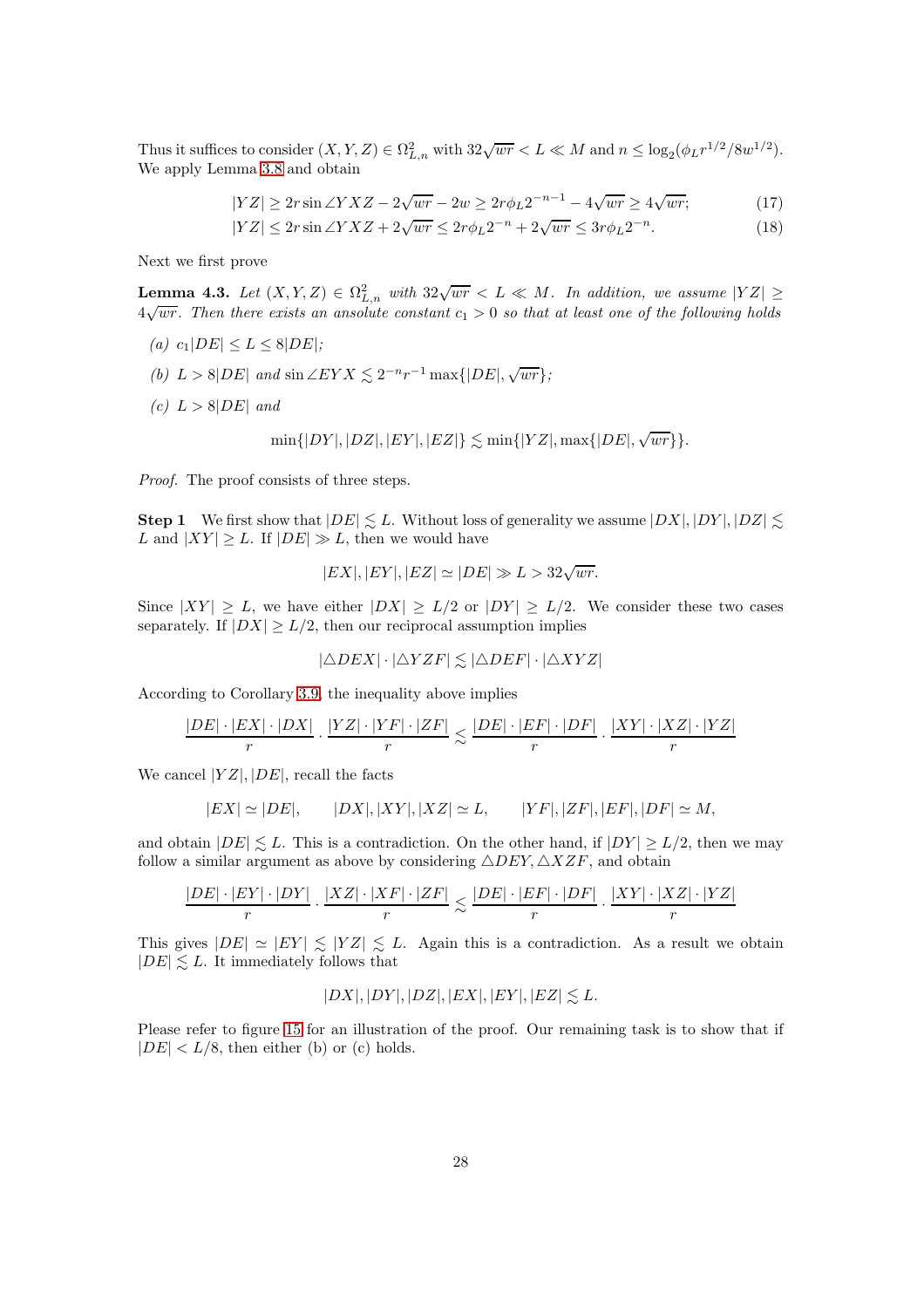Thus it suffices to consider  $(X, Y, Z) \in \Omega_{L,n}^2$  with  $32\sqrt{wr} < L \ll M$  and  $n \leq \log_2(\phi_L r^{1/2}/8w^{1/2})$ . We apply Lemma [3.8](#page-16-0) and obtain

$$
|YZ| \ge 2r\sin\angle YXZ - 2\sqrt{wr} - 2w \ge 2r\phi_L 2^{-n-1} - 4\sqrt{wr} \ge 4\sqrt{wr};\tag{17}
$$

<span id="page-27-2"></span><span id="page-27-1"></span>
$$
|YZ| \le 2r\sin\angle YXZ + 2\sqrt{wr} \le 2r\phi_L 2^{-n} + 2\sqrt{wr} \le 3r\phi_L 2^{-n}.\tag{18}
$$

Next we first prove

<span id="page-27-0"></span>**Lemma 4.3.** Let  $(X, Y, Z) \in \Omega_{L,n}^2$  with  $32\sqrt{wr} < L \ll M$ . In addition, we assume  $|YZ| \ge$  $4\sqrt{wr}$ . Then there exists an ansolute constant  $c_1 > 0$  so that at least one of the following holds

- (a)  $c_1|DE| \le L \le 8|DE|$ ;
- (b)  $L > 8|DE|$  and  $\sin \angle EYX \lesssim 2^{-n}r^{-1} \max\{|DE|, \sqrt{wr}\};$
- (c)  $L > 8|DE|$  and

$$
\min\{|DY|,|DZ|,|EY|,|EZ|\} \lesssim \min\{|YZ|,\max\{|DE|,\sqrt{wr}\}\}.
$$

Proof. The proof consists of three steps.

**Step 1** We first show that  $|DE| \leq L$ . Without loss of generality we assume  $|DX|, |DY|, |DZ| \leq$ . L and  $|XY| \geq L$ . If  $|DE| \gg L$ , then we would have

$$
|EX|, |EY|, |EZ| \simeq |DE| \gg L > 32 \sqrt{wr}.
$$

Since  $|XY| > L$ , we have either  $|DX| > L/2$  or  $|DY| > L/2$ . We consider these two cases separately. If  $|DX| \ge L/2$ , then our reciprocal assumption implies

$$
|\triangle DEX|\cdot|\triangle YZF|\lesssim|\triangle DEF|\cdot|\triangle XYZ|
$$

According to Corollary [3.9,](#page-17-1) the inequality above implies

$$
\frac{|DE| \cdot |EX| \cdot |DX|}{r} \cdot \frac{|YZ| \cdot |YF| \cdot |ZF|}{r} \lesssim \frac{|DE| \cdot |EF| \cdot |DF|}{r} \cdot \frac{|XY| \cdot |XZ| \cdot |YZ|}{r}
$$

We cancel  $|YZ|, |DE|$ , recall the facts

$$
|EX| \simeq |DE|, \qquad |DX|, |XY|, |XZ| \simeq L, \qquad |YF|, |ZF|, |EF|, |DF| \simeq M,
$$

and obtain  $|DE| \leq L$ . This is a contradiction. On the other hand, if  $|DY| \geq L/2$ , then we may follow a similar argument as above by considering  $\triangle DEF$ ,  $\triangle XZF$ , and obtain

$$
\frac{|DE| \cdot |EY| \cdot |DY|}{r} \cdot \frac{|XZ| \cdot |XF| \cdot |ZF|}{r} \lesssim \frac{|DE| \cdot |EF| \cdot |DF|}{r} \cdot \frac{|XY| \cdot |XZ| \cdot |YZ|}{r}
$$

This gives  $|DE| \simeq |EY| \leq |YZ| \leq L$ . Again this is a contradiction. As a result we obtain  $|DE| \leq L$ . It immediately follows that

$$
|DX|, |DY|, |DZ|, |EX|, |EY|, |EZ| \leq L.
$$

Please refer to figure [15](#page-28-0) for an illustration of the proof. Our remaining task is to show that if  $|DE| < L/8$ , then either (b) or (c) holds.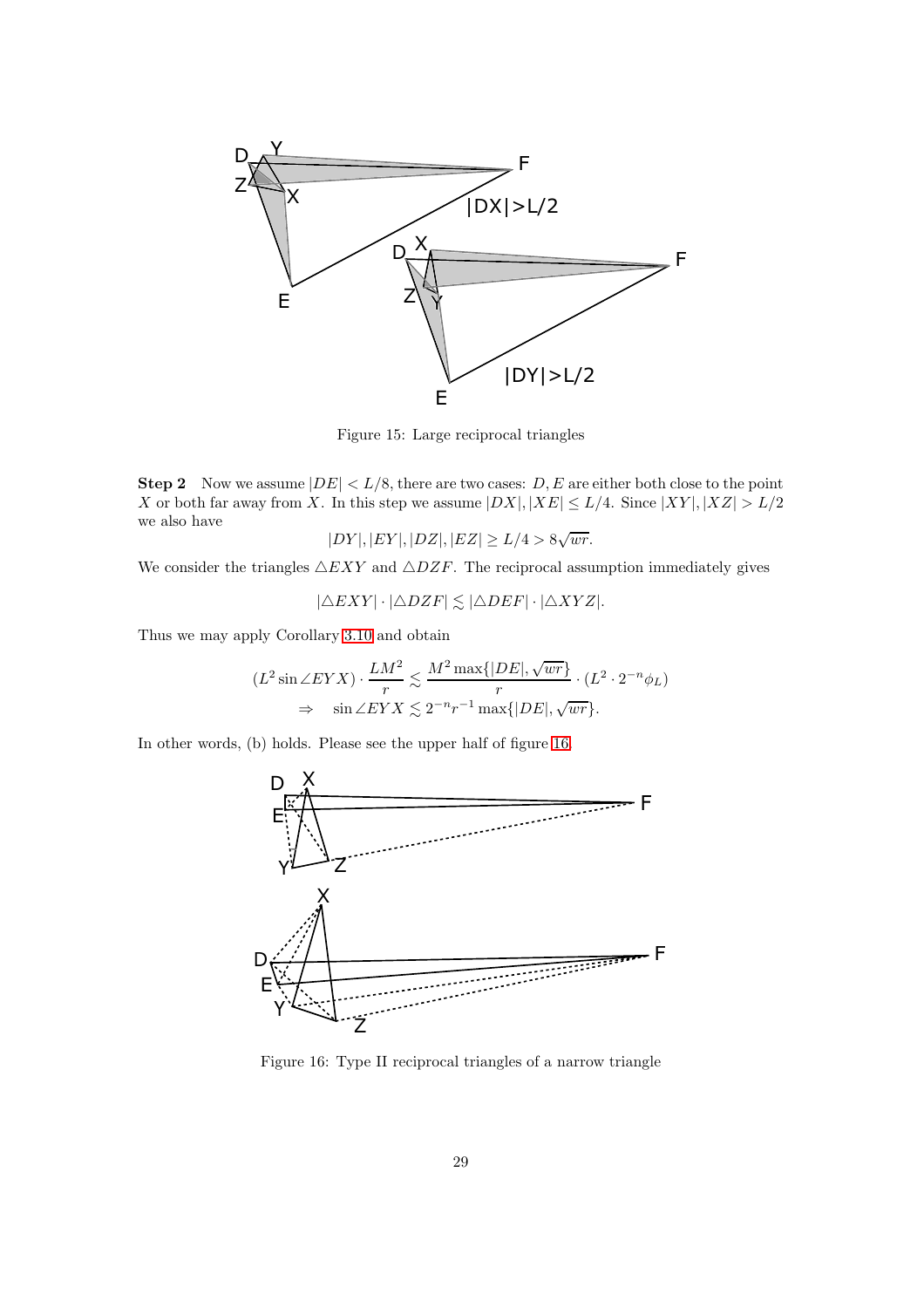

<span id="page-28-0"></span>Figure 15: Large reciprocal triangles

**Step 2** Now we assume  $|DE| < L/8$ , there are two cases: D, E are either both close to the point X or both far away from X. In this step we assume  $|DX|, |XE| \le L/4$ . Since  $|XY|, |XZ| > L/2$ we also have

$$
|DY|, |EY|, |DZ|, |EZ| \ge L/4 > 8\sqrt{wr}.
$$

We consider the triangles  $\triangle EXY$  and  $\triangle DZF$ . The reciprocal assumption immediately gives

 $|\triangle EXY| \cdot |\triangle DZF| \lesssim |\triangle DEF| \cdot |\triangle XYZ|.$ 

Thus we may apply Corollary [3.10](#page-17-3) and obtain

$$
(L^2 \sin \angle EYX) \cdot \frac{LM^2}{r} \lesssim \frac{M^2 \max\{|DE|, \sqrt{wr}\}}{r} \cdot (L^2 \cdot 2^{-n} \phi_L)
$$
  

$$
\Rightarrow \sin \angle EYX \lesssim 2^{-n} r^{-1} \max\{|DE|, \sqrt{wr}\}.
$$

In other words, (b) holds. Please see the upper half of figure [16.](#page-28-1)



<span id="page-28-1"></span>Figure 16: Type II reciprocal triangles of a narrow triangle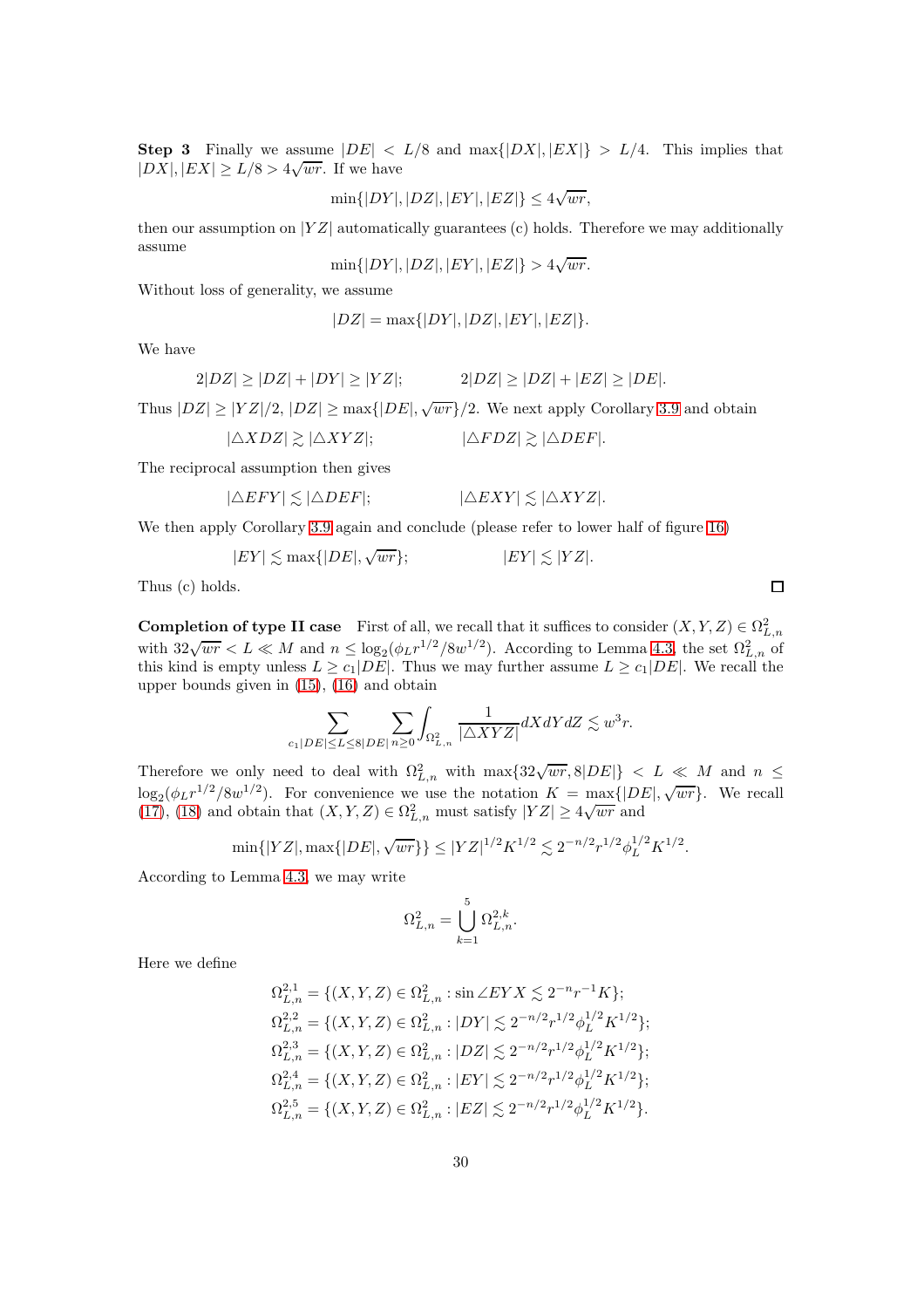**Step 3** Finally we assume  $|DE| < L/8$  and  $\max\{|DX|, |EX|\} > L/4$ . This implies that  $|DX|, |EX| \geq L/8 > 4\sqrt{wr}$ . If we have

$$
\min\{|DY|, |DZ|, |EY|, |EZ|\} \le 4\sqrt{wr},
$$

then our assumption on  $|YZ|$  automatically guarantees (c) holds. Therefore we may additionally assume

$$
\min\{|DY|, |DZ|, |EY|, |EZ|\} > 4\sqrt{wr}.
$$

Without loss of generality, we assume

$$
|DZ| = \max\{|DY|, |DZ|, |EY|, |EZ|\}.
$$

We have

$$
2|DZ| \ge |DZ| + |DY| \ge |YZ|; \qquad 2|DZ| \ge |DZ| + |EZ| \ge |DE|.
$$

Thus  $|DZ| \geq |YZ|/2, |DZ| \geq \max\{|DE|, \sqrt{wr}\}/2$ . We next apply Corollary [3.9](#page-17-1) and obtain

$$
|\triangle XDZ| \gtrsim |\triangle XYZ|;
$$
  $|\triangle FDZ| \gtrsim |\triangle DEF|.$ 

The reciprocal assumption then gives

$$
|\triangle EFY| \lesssim |\triangle DEF|;
$$
 
$$
|\triangle EXY| \lesssim |\triangle XYZ|.
$$

We then apply Corollary [3.9](#page-17-1) again and conclude (please refer to lower half of figure [16\)](#page-28-1)

$$
|EY| \lesssim \max\{|DE|, \sqrt{wr}\};\qquad |EY| \lesssim |YZ|.
$$

Thus (c) holds.

**Completion of type II case** First of all, we recall that it suffices to consider  $(X, Y, Z) \in \Omega^2_{L,n}$ with  $32\sqrt{wr} < L \ll M$  and  $n \leq \log_2(\phi_L r^{1/2}/8w^{1/2})$ . According to Lemma [4.3,](#page-27-0) the set  $\Omega_{L,n}^2$  of this kind is empty unless  $L \geq c_1|DE|$ . Thus we may further assume  $L \geq c_1|DE|$ . We recall the upper bounds given in [\(15\)](#page-26-2), [\(16\)](#page-26-3) and obtain

$$
\sum_{c_1|DE|\le L\le 8|DE|}\sum_{n\ge 0}\int_{\Omega^2_{L,n}}\frac{1}{|\triangle XYZ|}dXdYdZ\lesssim w^3r.
$$

Therefore we only need to deal with  $\Omega_{L,n}^2$  with  $\max\{32\sqrt{wr}, 8|DE|\} < L \ll M$  and  $n \le$  $\log_2(\phi_L r^{1/2}/8w^{1/2})$ . For convenience we use the notation  $K = \max\{|DE|, \sqrt{wr}\}$ . We recall  $(17)$ ,  $(18)$  and obtain that  $(X, Y, Z) \in \Omega^2_{L,n}$  must satisfy  $|YZ| \geq 4\sqrt{wr}$  and

$$
\min\{|YZ|, \max\{|DE|, \sqrt{wr}\}\}\leq |YZ|^{1/2}K^{1/2}\lesssim 2^{-n/2}r^{1/2}\phi_L^{1/2}K^{1/2}.
$$

According to Lemma [4.3,](#page-27-0) we may write

$$
\Omega_{L,n}^2 = \bigcup_{k=1}^5 \Omega_{L,n}^{2,k}.
$$

Here we define

$$
\begin{split} \Omega_{L,n}^{2,1} &= \{(X,Y,Z)\in\Omega_{L,n}^2: \sin\angle EYX\lesssim 2^{-n}r^{-1}K\};\\ \Omega_{L,n}^{2,2} &= \{(X,Y,Z)\in\Omega_{L,n}^2: |DY|\lesssim 2^{-n/2}r^{1/2}\phi_L^{1/2}K^{1/2}\};\\ \Omega_{L,n}^{2,3} &= \{(X,Y,Z)\in\Omega_{L,n}^2: |DZ|\lesssim 2^{-n/2}r^{1/2}\phi_L^{1/2}K^{1/2}\};\\ \Omega_{L,n}^{2,4} &= \{(X,Y,Z)\in\Omega_{L,n}^2: |EY|\lesssim 2^{-n/2}r^{1/2}\phi_L^{1/2}K^{1/2}\};\\ \Omega_{L,n}^{2,5} &= \{(X,Y,Z)\in\Omega_{L,n}^2: |EZ|\lesssim 2^{-n/2}r^{1/2}\phi_L^{1/2}K^{1/2}\}. \end{split}
$$

 $\Box$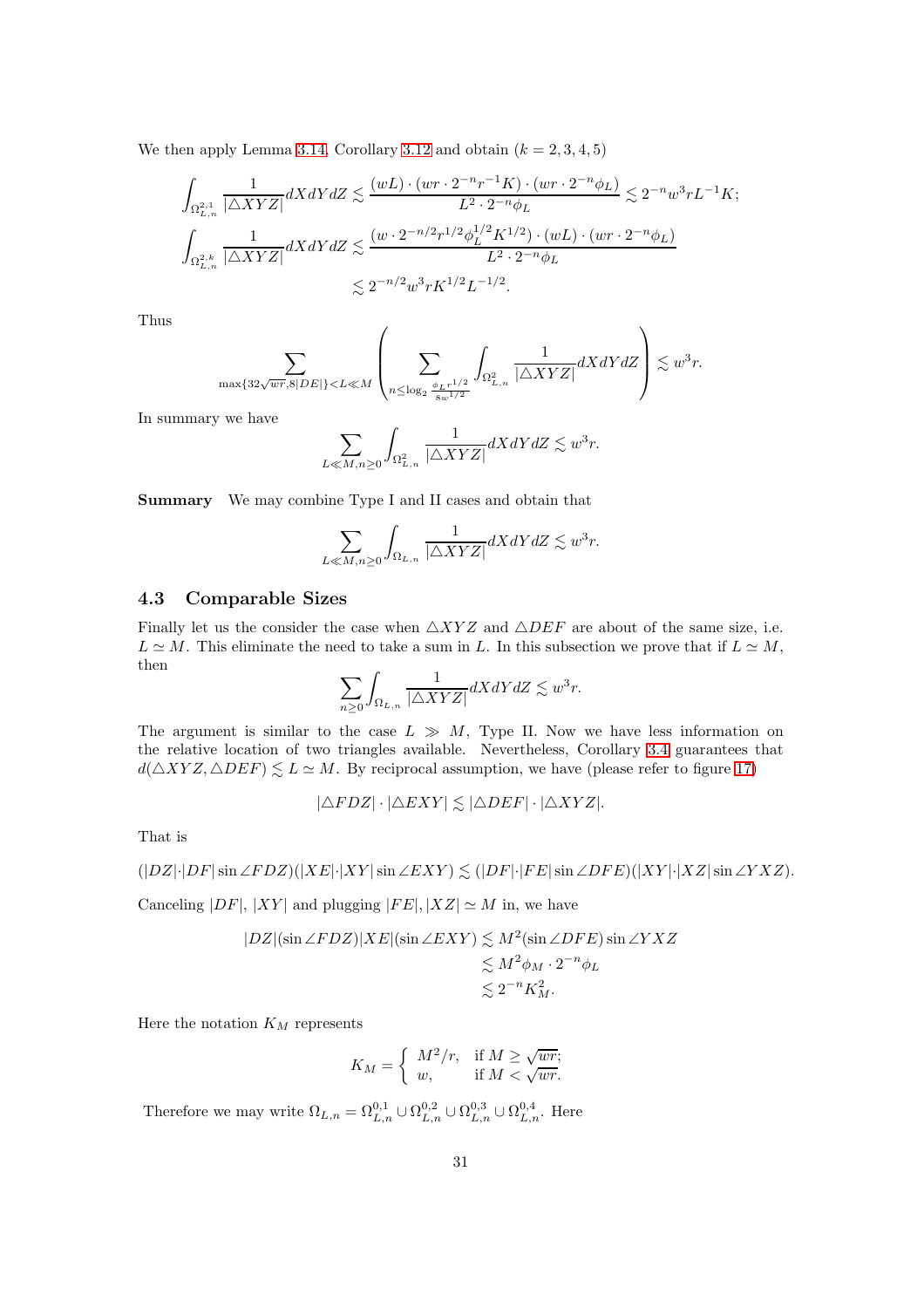We then apply Lemma [3.14,](#page-19-1) Corollary [3.12](#page-18-1) and obtain  $(k = 2, 3, 4, 5)$ 

$$
\begin{aligned} \int_{\Omega^{2,1}_{L,n}}&\frac{1}{|\triangle XYZ|}dXdYdZ\lesssim \frac{(wL)\cdot (wr\cdot 2^{-n}r^{-1}K)\cdot (wr\cdot 2^{-n}\phi_L)}{L^2\cdot 2^{-n}\phi_L}\lesssim 2^{-n}w^3rL^{-1}K;\\ \int_{\Omega^{2,k}_{L,n}}&\frac{1}{|\triangle XYZ|}dXdYdZ\lesssim \frac{(w\cdot 2^{-n/2}r^{1/2}\phi^{1/2}_LK^{1/2})\cdot (wL)\cdot (wr\cdot 2^{-n}\phi_L)}{L^2\cdot 2^{-n}\phi_L}\\ &\lesssim 2^{-n/2}w^3rK^{1/2}L^{-1/2}. \end{aligned}
$$

Thus

$$
\sum_{\max\{32\sqrt{wr}, 8|DE|\}
$$

In summary we have

$$
\sum_{L \ll M, n \ge 0} \int_{\Omega_{L,n}^2} \frac{1}{|\triangle XYZ|} dXdY dZ \lesssim w^3 r.
$$

Summary We may combine Type I and II cases and obtain that

$$
\sum_{L \ll M, n \ge 0} \int_{\Omega_{L,n}} \frac{1}{|\triangle XYZ|} dXdY dZ \lesssim w^3 r.
$$

### 4.3 Comparable Sizes

Finally let us the consider the case when  $\triangle XYZ$  and  $\triangle DEF$  are about of the same size, i.e.  $L \simeq M$ . This eliminate the need to take a sum in L. In this subsection we prove that if  $L \simeq M$ , then

$$
\sum_{n\geq 0} \int_{\Omega_{L,n}} \frac{1}{|\triangle XYZ|} dXdY dZ \lesssim w^3 r.
$$

The argument is similar to the case  $L \gg M$ , Type II. Now we have less information on the relative location of two triangles available. Nevertheless, Corollary [3.4](#page-13-2) guarantees that  $d(\triangle XYZ, \triangle DEF) \lesssim L \simeq M$ . By reciprocal assumption, we have (please refer to figure [17\)](#page-31-0)

$$
|\triangle FDZ|\cdot|\triangle EXY| \lesssim |\triangle DEF|\cdot|\triangle XYZ|.
$$

That is

$$
(|DZ|\cdot|DF|\sin \angle FDZ)(|XE|\cdot|XY|\sin \angle EXY) \lesssim (|DF|\cdot|FE|\sin \angle DFE)(|XY|\cdot|XZ|\sin \angle YXZ).
$$

Canceling  $|DF|, |XY|$  and plugging  $|FE|, |XZ| \simeq M$  in, we have

$$
|DZ|(\sin \angle F DZ)|XE|(\sin \angle EXY) \lesssim M^2(\sin \angle DFE) \sin \angle YXZ
$$
  

$$
\lesssim M^2 \phi_M \cdot 2^{-n} \phi_L
$$
  

$$
\lesssim 2^{-n} K_M^2.
$$

Here the notation  $K_M$  represents

$$
K_M = \left\{ \begin{array}{ll} M^2/r, & \textrm{if } M \geq \sqrt{wr};\\ w, & \textrm{if } M < \sqrt{wr}. \end{array} \right.
$$

Therefore we may write  $\Omega_{L,n} = \Omega_{L,n}^{0,1} \cup \Omega_{L,n}^{0,2} \cup \Omega_{L,n}^{0,3} \cup \Omega_{L,n}^{0,4}$ . Here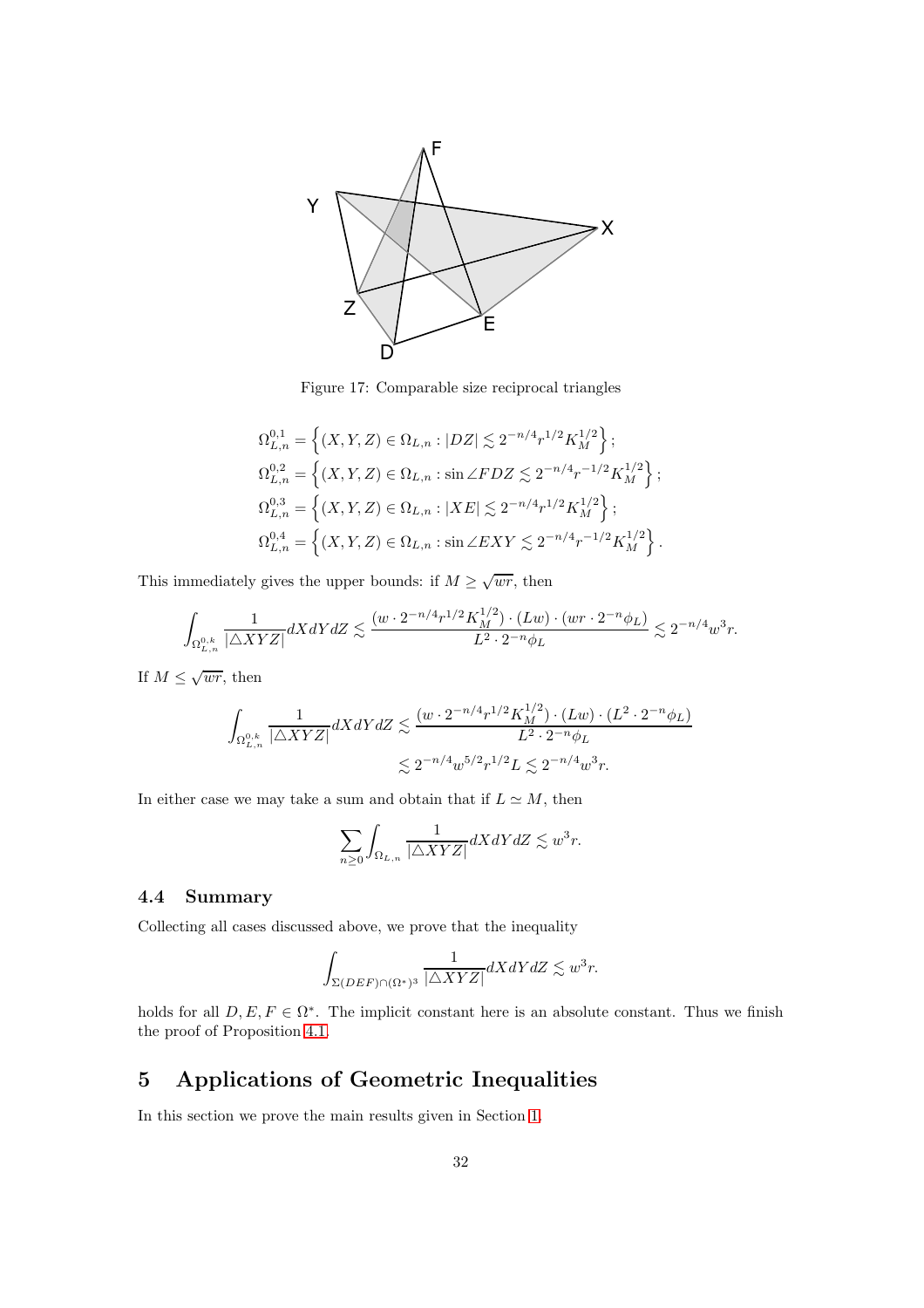

<span id="page-31-0"></span>Figure 17: Comparable size reciprocal triangles

$$
\begin{split} &\Omega_{L,n}^{0,1}=\left\{(X,Y,Z)\in\Omega_{L,n}:|DZ|\lesssim 2^{-n/4}r^{1/2}K_M^{1/2}\right\};\\ &\Omega_{L,n}^{0,2}=\left\{(X,Y,Z)\in\Omega_{L,n}:\sin\angle FDZ\lesssim 2^{-n/4}r^{-1/2}K_M^{1/2}\right\};\\ &\Omega_{L,n}^{0,3}=\left\{(X,Y,Z)\in\Omega_{L,n}:|XE|\lesssim 2^{-n/4}r^{1/2}K_M^{1/2}\right\};\\ &\Omega_{L,n}^{0,4}=\left\{(X,Y,Z)\in\Omega_{L,n}:\sin\angle EXY\lesssim 2^{-n/4}r^{-1/2}K_M^{1/2}\right\}. \end{split}
$$

This immediately gives the upper bounds: if  $M \ge \sqrt{wr}$ , then

$$
\int_{\Omega_{L,n}^{0,k}} \frac{1}{|\triangle XYZ|} dXdY dZ \lesssim \frac{(w\cdot 2^{-n/4}r^{1/2}K_M^{1/2})\cdot (Lw)\cdot (wr\cdot 2^{-n}\phi_L)}{L^2\cdot 2^{-n}\phi_L} \lesssim 2^{-n/4}w^3r.
$$

If  $M \leq \sqrt{wr}$ , then

$$
\int_{\Omega_{L,n}^{0,k}} \frac{1}{|\triangle XYZ|} dXdY dZ \lesssim \frac{(w \cdot 2^{-n/4} r^{1/2} K_M^{1/2}) \cdot (Lw) \cdot (L^2 \cdot 2^{-n} \phi_L)}{L^2 \cdot 2^{-n} \phi_L} \lesssim 2^{-n/4} w^{5/2} r^{1/2} L \lesssim 2^{-n/4} w^3 r.
$$

In either case we may take a sum and obtain that if  $L \simeq M$ , then

$$
\sum_{n\geq 0} \int_{\Omega_{L,n}} \frac{1}{|\triangle XYZ|} dXdY dZ \lesssim w^3 r.
$$

#### 4.4 Summary

Collecting all cases discussed above, we prove that the inequality

$$
\int_{\Sigma(DEF)\cap (\Omega^*)^3} \frac{1}{|\triangle XYZ|} dXdYdZ \lesssim w^3r.
$$

holds for all  $D, E, F \in \Omega^*$ . The implicit constant here is an absolute constant. Thus we finish the proof of Proposition [4.1.](#page-19-2)

## 5 Applications of Geometric Inequalities

In this section we prove the main results given in Section [1.](#page-0-1)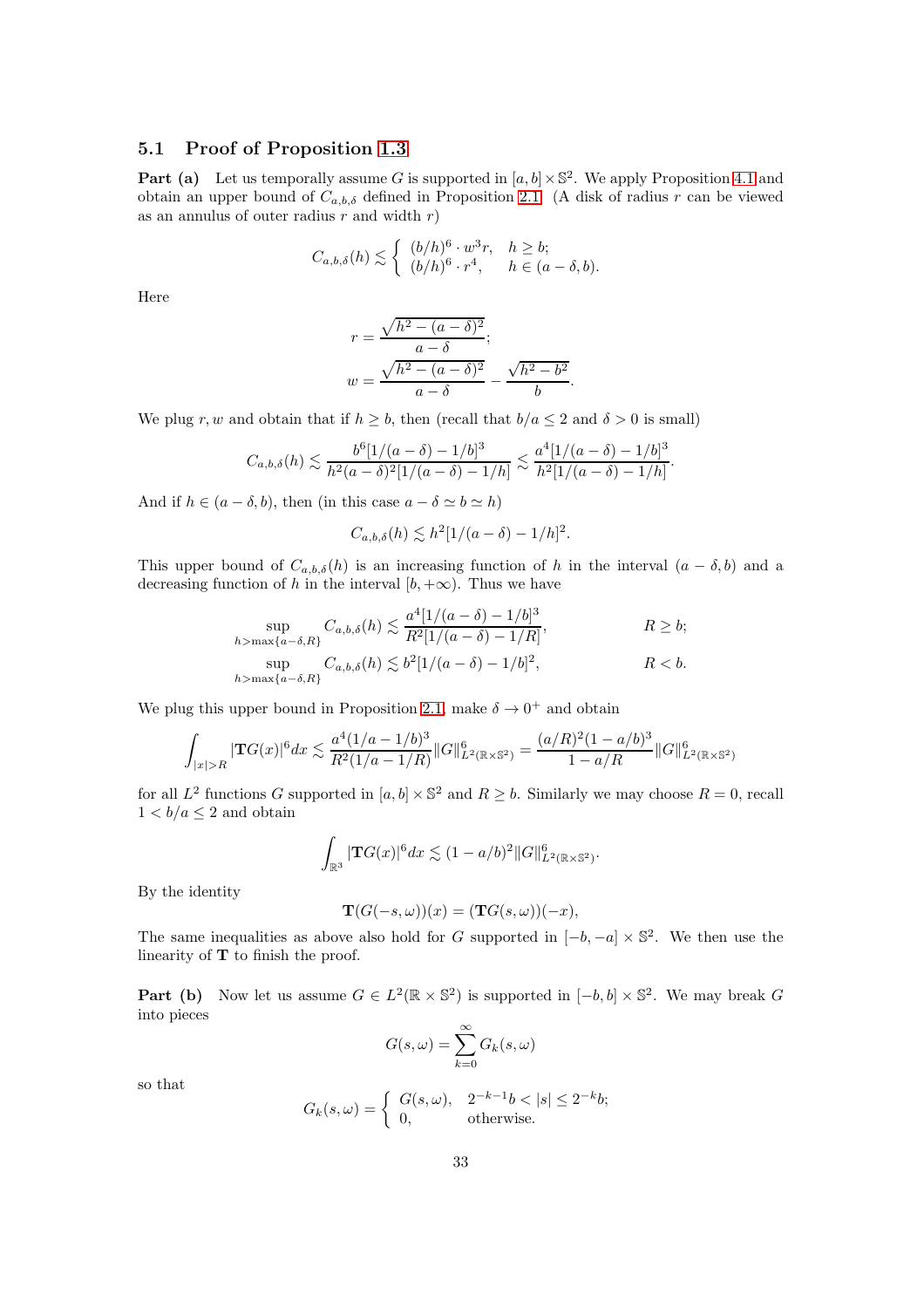#### 5.1 Proof of Proposition [1.3](#page-2-0)

**Part (a)** Let us temporally assume G is supported in  $[a, b] \times \mathbb{S}^2$ . We apply Proposition [4.1](#page-19-2) and obtain an upper bound of  $C_{a,b,\delta}$  defined in Proposition [2.1.](#page-11-0) (A disk of radius r can be viewed as an annulus of outer radius  $r$  and width  $r$ )

$$
C_{a,b,\delta}(h) \lesssim \begin{cases} (b/h)^6 \cdot w^3 r, & h \geq b; \\ (b/h)^6 \cdot r^4, & h \in (a-\delta,b). \end{cases}
$$

Here

$$
r = \frac{\sqrt{h^2 - (a - \delta)^2}}{a - \delta};
$$
  

$$
w = \frac{\sqrt{h^2 - (a - \delta)^2}}{a - \delta} - \frac{\sqrt{h^2 - b^2}}{b}.
$$

We plug r, w and obtain that if  $h \geq b$ , then (recall that  $b/a \leq 2$  and  $\delta > 0$  is small)

$$
C_{a,b,\delta}(h) \lesssim \frac{b^6 [1/(a-\delta)-1/b]^3}{h^2(a-\delta)^2 [1/(a-\delta)-1/h]} \lesssim \frac{a^4 [1/(a-\delta)-1/b]^3}{h^2 [1/(a-\delta)-1/h]}.
$$

And if  $h \in (a - \delta, b)$ , then (in this case  $a - \delta \simeq b \simeq h$ )

$$
C_{a,b,\delta}(h) \lesssim h^2 [1/(a-\delta) - 1/h]^2.
$$

This upper bound of  $C_{a,b,\delta}(h)$  is an increasing function of h in the interval  $(a - \delta, b)$  and a decreasing function of h in the interval  $[b, +\infty)$ . Thus we have

$$
\sup_{h > \max\{a-\delta, R\}} C_{a,b,\delta}(h) \lesssim \frac{a^4 [1/(a-\delta) - 1/b]^3}{R^2 [1/(a-\delta) - 1/R]}, \qquad R \ge b;
$$
  
\n
$$
\sup_{h > \max\{a-\delta, R\}} C_{a,b,\delta}(h) \lesssim b^2 [1/(a-\delta) - 1/b]^2, \qquad R < b.
$$

We plug this upper bound in Proposition [2.1,](#page-11-0) make  $\delta \to 0^+$  and obtain

$$
\int_{|x|>R} |\mathbf{T}G(x)|^6 dx \lesssim \frac{a^4 (1/a - 1/b)^3}{R^2 (1/a - 1/R)} \|G\|_{L^2(\mathbb{R} \times \mathbb{S}^2)}^6 = \frac{(a/R)^2 (1 - a/b)^3}{1 - a/R} \|G\|_{L^2(\mathbb{R} \times \mathbb{S}^2)}^6
$$

for all  $L^2$  functions G supported in  $[a, b] \times \mathbb{S}^2$  and  $R \geq b$ . Similarly we may choose  $R = 0$ , recall  $1 < b/a \leq 2$  and obtain

$$
\int_{\mathbb{R}^3} |\mathbf{T}G(x)|^6 dx \lesssim (1-a/b)^2 ||G||_{L^2(\mathbb{R}\times\mathbb{S}^2)}^6.
$$

By the identity

$$
\mathbf{T}(G(-s,\omega))(x) = (\mathbf{T}G(s,\omega))(-x),
$$

The same inequalities as above also hold for G supported in  $[-b, -a] \times \mathbb{S}^2$ . We then use the linearity of  $T$  to finish the proof.

**Part (b)** Now let us assume  $G \in L^2(\mathbb{R} \times \mathbb{S}^2)$  is supported in  $[-b, b] \times \mathbb{S}^2$ . We may break G into pieces

$$
G(s,\omega) = \sum_{k=0}^{\infty} G_k(s,\omega)
$$

so that

$$
G_k(s,\omega) = \begin{cases} G(s,\omega), & 2^{-k-1}b < |s| \le 2^{-k}b; \\ 0, & \text{otherwise.} \end{cases}
$$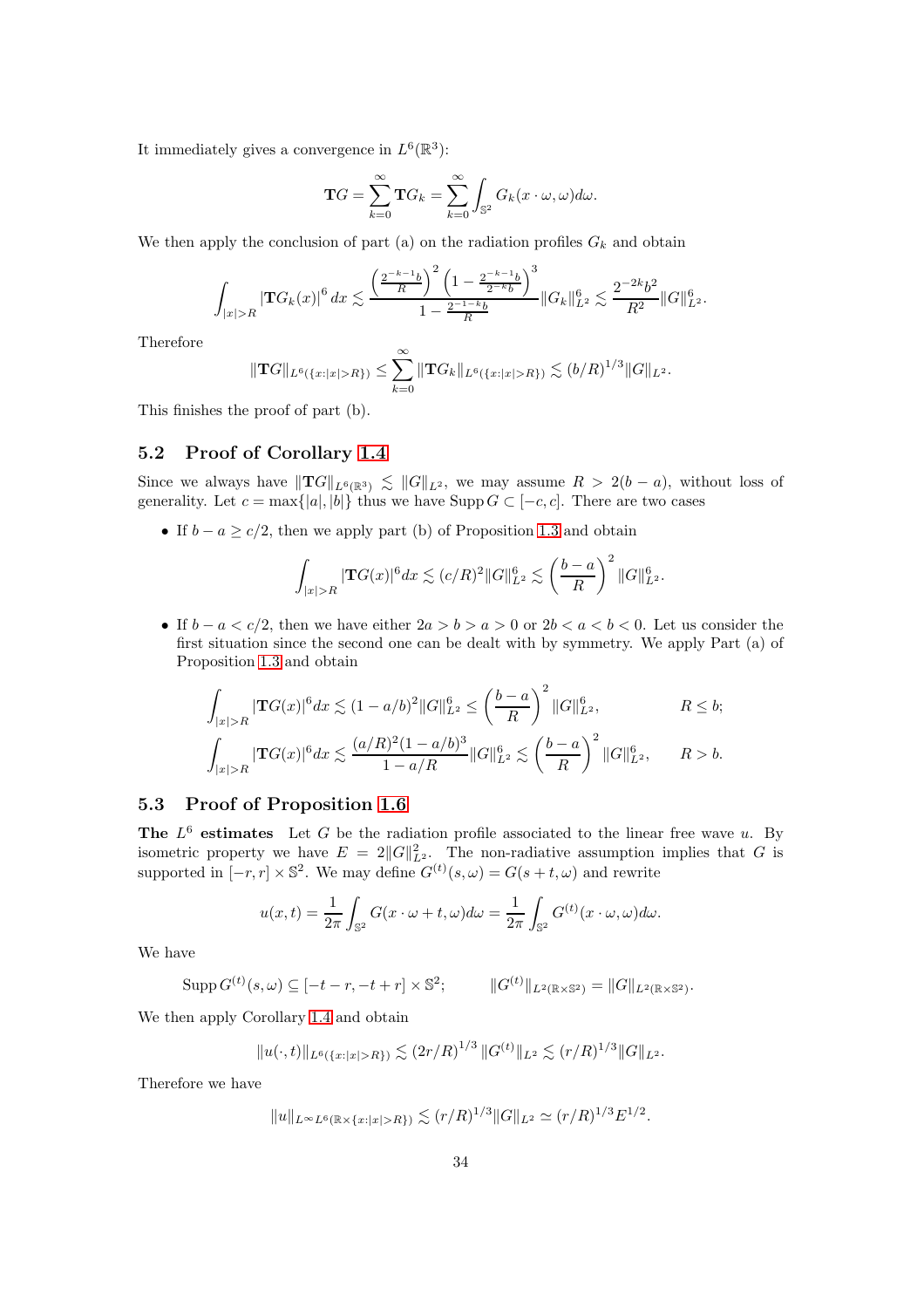It immediately gives a convergence in  $L^6(\mathbb{R}^3)$ :

$$
\mathbf{T}G = \sum_{k=0}^{\infty} \mathbf{T}G_k = \sum_{k=0}^{\infty} \int_{\mathbb{S}^2} G_k(x \cdot \omega, \omega) d\omega.
$$

We then apply the conclusion of part (a) on the radiation profiles  $G_k$  and obtain

$$
\int_{|x|>R} |\mathbf{T}G_k(x)|^6 dx \lesssim \frac{\left(\frac{2^{-k-1}b}{R}\right)^2 \left(1 - \frac{2^{-k-1}b}{2^{-k}b}\right)^3}{1 - \frac{2^{-1-k}b}{R}} \|G_k\|_{L^2}^6 \lesssim \frac{2^{-2k}b^2}{R^2} \|G\|_{L^2}^6.
$$

Therefore

$$
\|\mathbf{T}G\|_{L^{6}(\{x:|x|>R\})}\leq \sum_{k=0}^{\infty}\|\mathbf{T}G_{k}\|_{L^{6}(\{x:|x|>R\})}\lesssim (b/R)^{1/3}\|G\|_{L^{2}}.
$$

This finishes the proof of part (b).

### 5.2 Proof of Corollary [1.4](#page-3-0)

Since we always have  $||{\bf T}G||_{L^6(\mathbb{R}^3)} \lesssim ||G||_{L^2}$ , we may assume  $R > 2(b - a)$ , without loss of generality. Let  $c = \max\{|a|, |b|\}$  thus we have Supp  $G \subset [-c, c]$ . There are two cases

• If  $b - a \ge c/2$ , then we apply part (b) of Proposition [1.3](#page-2-0) and obtain

$$
\int_{|x|>R} |\mathbf{T}G(x)|^6 dx \lesssim (c/R)^2 ||G||_{L^2}^6 \lesssim \left(\frac{b-a}{R}\right)^2 ||G||_{L^2}^6.
$$

• If  $b - a < c/2$ , then we have either  $2a > b > a > 0$  or  $2b < a < b < 0$ . Let us consider the first situation since the second one can be dealt with by symmetry. We apply Part (a) of Proposition [1.3](#page-2-0) and obtain

$$
\int_{|x|>R} |\mathbf{T}G(x)|^6 dx \lesssim (1-a/b)^2 ||G||_{L^2}^6 \le \left(\frac{b-a}{R}\right)^2 ||G||_{L^2}^6, \qquad R \le b;
$$
  

$$
\int_{|x|>R} |\mathbf{T}G(x)|^6 dx \lesssim \frac{(a/R)^2 (1-a/b)^3}{1-a/R} ||G||_{L^2}^6 \lesssim \left(\frac{b-a}{R}\right)^2 ||G||_{L^2}^6, \qquad R > b.
$$

### 5.3 Proof of Proposition [1.6](#page-3-1)

The  $L^6$  estimates Let G be the radiation profile associated to the linear free wave u. By isometric property we have  $E = 2||G||_{L^2}^2$ . The non-radiative assumption implies that G is supported in  $[-r, r] \times \mathbb{S}^2$ . We may define  $G^{(t)}(s, \omega) = G(s + t, \omega)$  and rewrite

$$
u(x,t) = \frac{1}{2\pi} \int_{\mathbb{S}^2} G(x \cdot \omega + t, \omega) d\omega = \frac{1}{2\pi} \int_{\mathbb{S}^2} G^{(t)}(x \cdot \omega, \omega) d\omega.
$$

We have

$$
\operatorname{Supp} G^{(t)}(s,\omega) \subseteq [-t-r,-t+r] \times \mathbb{S}^2; \qquad ||G^{(t)}||_{L^2(\mathbb{R} \times \mathbb{S}^2)} = ||G||_{L^2(\mathbb{R} \times \mathbb{S}^2)}.
$$

We then apply Corollary [1.4](#page-3-0) and obtain

$$
||u(\cdot,t)||_{L^{6}(\{x:|x|>R\})}\lesssim (2r/R)^{1/3}||G^{(t)}||_{L^{2}}\lesssim (r/R)^{1/3}||G||_{L^{2}}.
$$

Therefore we have

$$
||u||_{L^{\infty}L^{6}(\mathbb{R}\times\{x:|x|>R\})}\lesssim (r/R)^{1/3}||G||_{L^{2}}\simeq (r/R)^{1/3}E^{1/2}.
$$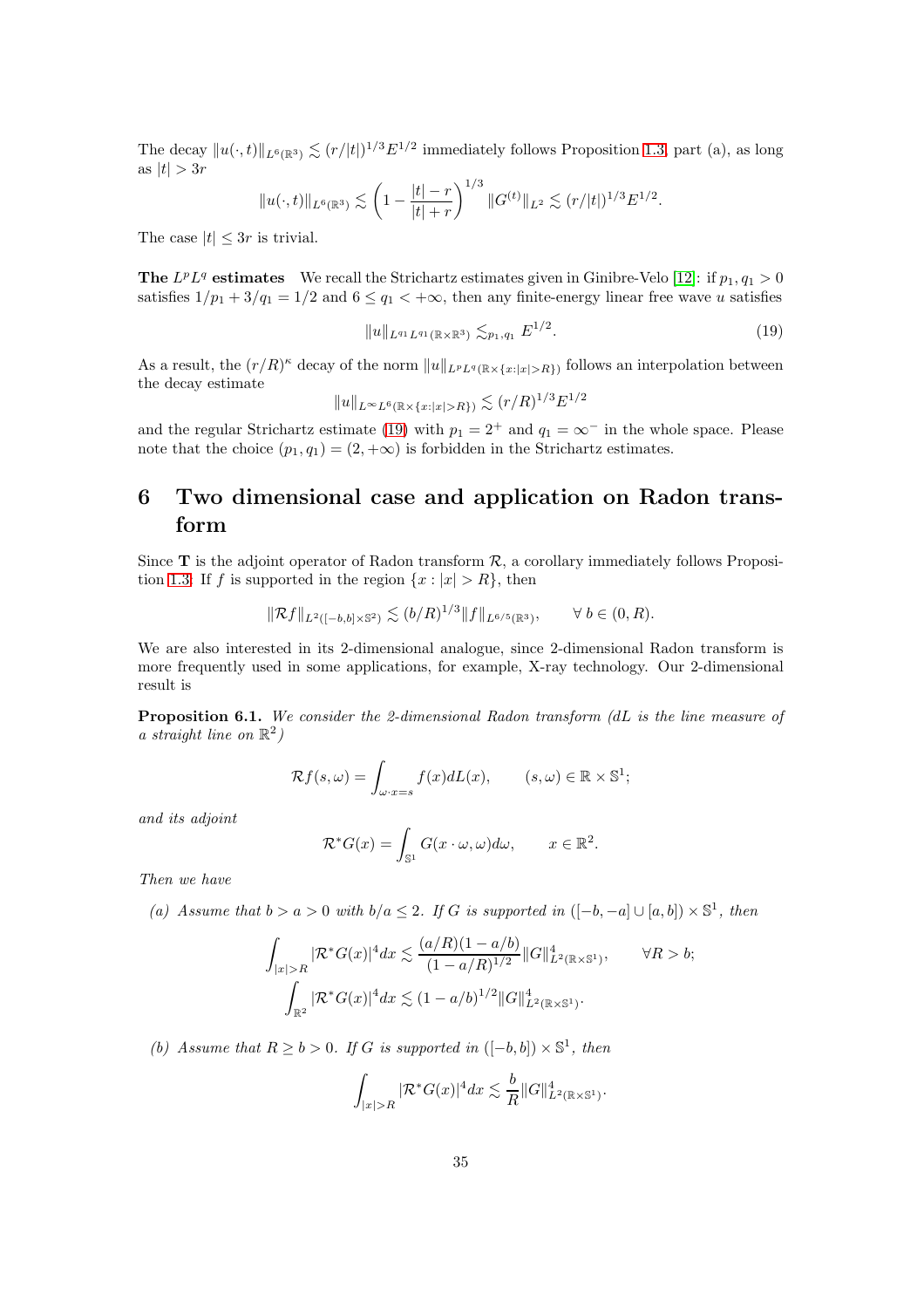The decay  $||u(\cdot, t)||_{L^6(\mathbb{R}^3)} \lesssim (r/|t|)^{1/3} E^{1/2}$  immediately follows Proposition [1.3,](#page-2-0) part (a), as long as  $|t| > 3r$ 

$$
||u(\cdot,t)||_{L^{6}(\mathbb{R}^3)} \lesssim \left(1 - \frac{|t| - r}{|t| + r}\right)^{1/3} ||G^{(t)}||_{L^2} \lesssim (r/|t|)^{1/3} E^{1/2}.
$$

The case  $|t| \leq 3r$  is trivial.

**The**  $L^p L^q$  **estimates** We recall the Strichartz estimates given in Ginibre-Velo [\[12\]](#page-37-6): if  $p_1, q_1 > 0$ satisfies  $1/p_1 + 3/q_1 = 1/2$  and  $6 \leq q_1 < +\infty$ , then any finite-energy linear free wave u satisfies

<span id="page-34-0"></span>
$$
||u||_{L^{q_1}L^{q_1}(\mathbb{R}\times\mathbb{R}^3)} \lesssim_{p_1,q_1} E^{1/2}.
$$
 (19)

As a result, the  $(r/R)^{\kappa}$  decay of the norm  $||u||_{L^pL^q(\mathbb{R}\times\{x:|x|>R\})}$  follows an interpolation between the decay estimate

$$
||u||_{L^{\infty}L^{6}(\mathbb{R}\times\{x:|x|>R\})} \lesssim (r/R)^{1/3}E^{1/2}
$$

and the regular Strichartz estimate [\(19\)](#page-34-0) with  $p_1 = 2^+$  and  $q_1 = \infty^-$  in the whole space. Please note that the choice  $(p_1, q_1) = (2, +\infty)$  is forbidden in the Strichartz estimates.

## 6 Two dimensional case and application on Radon transform

Since  $T$  is the adjoint operator of Radon transform  $\mathcal{R}$ , a corollary immediately follows Proposi-tion [1.3:](#page-2-0) If f is supported in the region  $\{x : |x| > R\}$ , then

$$
\|\mathcal{R}f\|_{L^2([-b,b]\times\mathbb{S}^2)}\lesssim (b/R)^{1/3}\|f\|_{L^{6/5}(\mathbb{R}^3)},\qquad\forall\ b\in(0,R).
$$

We are also interested in its 2-dimensional analogue, since 2-dimensional Radon transform is more frequently used in some applications, for example, X-ray technology. Our 2-dimensional result is

Proposition 6.1. We consider the 2-dimensional Radon transform (dL is the line measure of a straight line on  $\mathbb{R}^2$ )

$$
\mathcal{R}f(s,\omega) = \int_{\omega \cdot x = s} f(x) dL(x), \qquad (s,\omega) \in \mathbb{R} \times \mathbb{S}^1;
$$

and its adjoint

$$
\mathcal{R}^*G(x) = \int_{\mathbb{S}^1} G(x \cdot \omega, \omega) d\omega, \qquad x \in \mathbb{R}^2.
$$

Then we have

(a) Assume that  $b > a > 0$  with  $b/a \leq 2$ . If G is supported in  $([-b, -a] \cup [a, b]) \times \mathbb{S}^1$ , then

$$
\int_{|x|>R} |\mathcal{R}^* G(x)|^4 dx \lesssim \frac{(a/R)(1-a/b)}{(1-a/R)^{1/2}} \|G\|_{L^2(\mathbb{R}\times\mathbb{S}^1)}^4, \qquad \forall R > b;
$$
  

$$
\int_{\mathbb{R}^2} |\mathcal{R}^* G(x)|^4 dx \lesssim (1-a/b)^{1/2} \|G\|_{L^2(\mathbb{R}\times\mathbb{S}^1)}^4.
$$

(b) Assume that  $R \ge b > 0$ . If G is supported in  $([-b, b]) \times \mathbb{S}^1$ , then

$$
\int_{|x|>R} |\mathcal{R}^*G(x)|^4 dx \lesssim \frac{b}{R} ||G||_{L^2(\mathbb{R}\times\mathbb{S}^1)}^4.
$$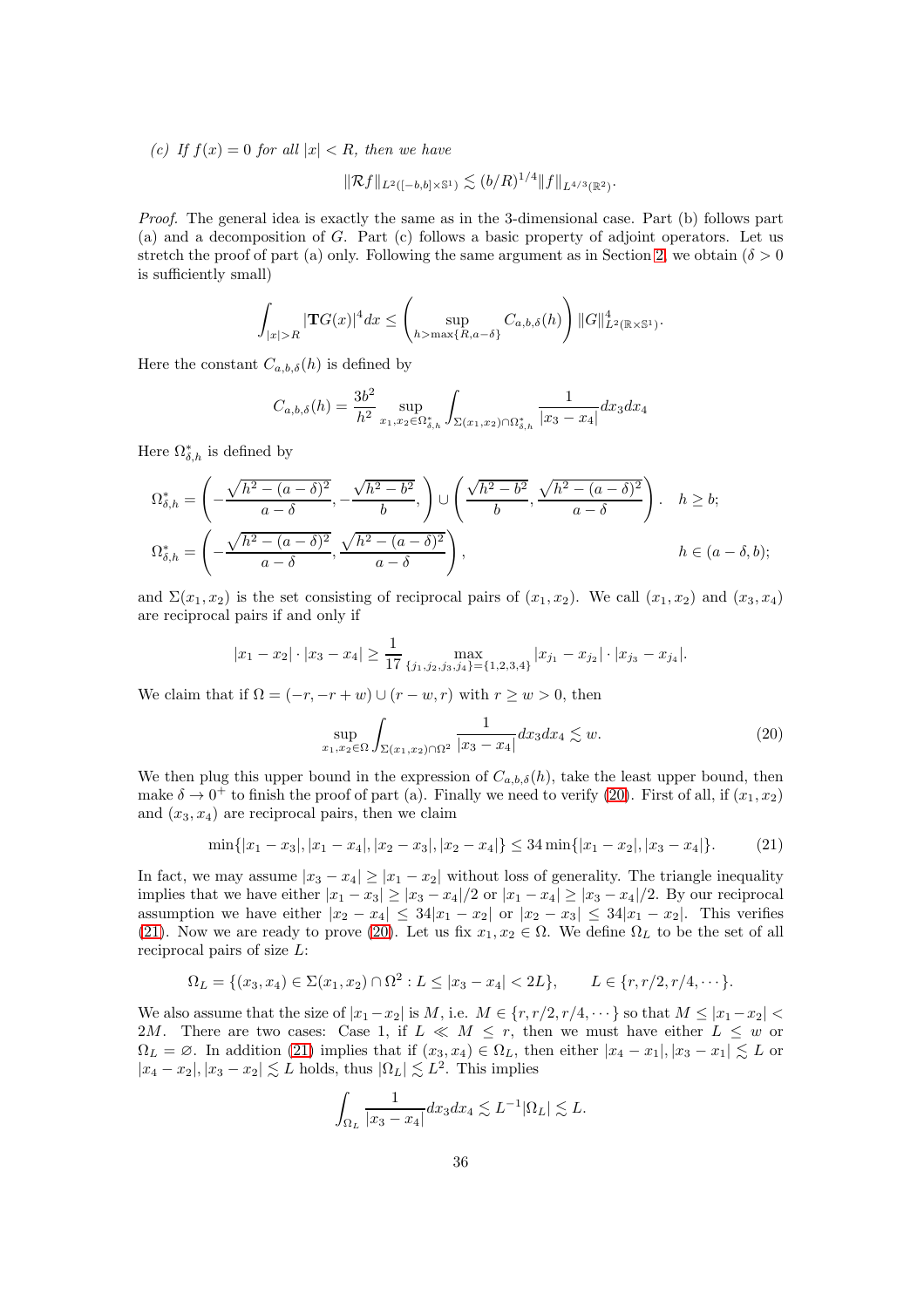(c) If  $f(x) = 0$  for all  $|x| < R$ , then we have

$$
\|\mathcal{R}f\|_{L^2([-b,b]\times\mathbb{S}^1)}\lesssim (b/R)^{1/4}\|f\|_{L^{4/3}(\mathbb{R}^2)}.
$$

Proof. The general idea is exactly the same as in the 3-dimensional case. Part (b) follows part (a) and a decomposition of G. Part (c) follows a basic property of adjoint operators. Let us stretch the proof of part (a) only. Following the same argument as in Section [2,](#page-6-1) we obtain ( $\delta > 0$ is sufficiently small)

$$
\int_{|x|>R} |\mathbf{T}G(x)|^4 dx \leq \left( \sup_{h>\max\{R,a-\delta\}} C_{a,b,\delta}(h) \right) \|G\|_{L^2(\mathbb{R}\times\mathbb{S}^1)}^4.
$$

Here the constant  $C_{a,b,\delta}(h)$  is defined by

$$
C_{a,b,\delta}(h) = \frac{3b^2}{h^2} \sup_{x_1, x_2 \in \Omega_{\delta,h}^*} \int_{\Sigma(x_1,x_2) \cap \Omega_{\delta,h}^*} \frac{1}{|x_3 - x_4|} dx_3 dx_4
$$

Here  $\Omega_{\delta,h}^*$  is defined by

$$
\Omega_{\delta,h}^{*} = \left( -\frac{\sqrt{h^2 - (a - \delta)^2}}{a - \delta}, -\frac{\sqrt{h^2 - b^2}}{b}, \right) \cup \left( \frac{\sqrt{h^2 - b^2}}{b}, \frac{\sqrt{h^2 - (a - \delta)^2}}{a - \delta} \right). \quad h \ge b;
$$
  

$$
\Omega_{\delta,h}^{*} = \left( -\frac{\sqrt{h^2 - (a - \delta)^2}}{a - \delta}, \frac{\sqrt{h^2 - (a - \delta)^2}}{a - \delta} \right), \qquad h \in (a - \delta, b);
$$

and  $\Sigma(x_1, x_2)$  is the set consisting of reciprocal pairs of  $(x_1, x_2)$ . We call  $(x_1, x_2)$  and  $(x_3, x_4)$ are reciprocal pairs if and only if

$$
|x_1 - x_2| \cdot |x_3 - x_4| \ge \frac{1}{17} \max_{\{j_1, j_2, j_3, j_4\} = \{1, 2, 3, 4\}} |x_{j_1} - x_{j_2}| \cdot |x_{j_3} - x_{j_4}|.
$$

We claim that if  $\Omega = (-r, -r+w) \cup (r-w, r)$  with  $r \geq w > 0$ , then

<span id="page-35-0"></span>
$$
\sup_{x_1, x_2 \in \Omega} \int_{\Sigma(x_1, x_2) \cap \Omega^2} \frac{1}{|x_3 - x_4|} dx_3 dx_4 \lesssim w.
$$
 (20)

We then plug this upper bound in the expression of  $C_{a,b,\delta}(h)$ , take the least upper bound, then make  $\delta \to 0^+$  to finish the proof of part (a). Finally we need to verify [\(20\)](#page-35-0). First of all, if  $(x_1, x_2)$ and  $(x_3, x_4)$  are reciprocal pairs, then we claim

<span id="page-35-1"></span>
$$
\min\{|x_1 - x_3|, |x_1 - x_4|, |x_2 - x_3|, |x_2 - x_4|\} \le 34 \min\{|x_1 - x_2|, |x_3 - x_4|\}.\tag{21}
$$

In fact, we may assume  $|x_3 - x_4| \ge |x_1 - x_2|$  without loss of generality. The triangle inequality implies that we have either  $|x_1 - x_3| \ge |x_3 - x_4|/2$  or  $|x_1 - x_4| \ge |x_3 - x_4|/2$ . By our reciprocal assumption we have either  $|x_2 - x_4| \leq 34|x_1 - x_2|$  or  $|x_2 - x_3| \leq 34|x_1 - x_2|$ . This verifies [\(21\)](#page-35-1). Now we are ready to prove [\(20\)](#page-35-0). Let us fix  $x_1, x_2 \in \Omega$ . We define  $\Omega_L$  to be the set of all reciprocal pairs of size L:

$$
\Omega_L = \{(x_3, x_4) \in \Sigma(x_1, x_2) \cap \Omega^2 : L \leq |x_3 - x_4| < 2L\}, \qquad L \in \{r, r/2, r/4, \cdots\}.
$$

We also assume that the size of  $|x_1-x_2|$  is M, i.e.  $M \in \{r, r/2, r/4, \dots\}$  so that  $M \leq |x_1-x_2|$ 2M. There are two cases: Case 1, if  $L \ll M \leq r$ , then we must have either  $L \leq w$  or  $\Omega_L = \emptyset$ . In addition [\(21\)](#page-35-1) implies that if  $(x_3, x_4) \in \Omega_L$ , then either  $|x_4 - x_1|, |x_3 - x_1| \lesssim L$  or  $|x_4 - x_2|, |x_3 - x_2| \lesssim L$  holds, thus  $|\Omega_L| \lesssim L^2$ . This implies

$$
\int_{\Omega_L} \frac{1}{|x_3 - x_4|} dx_3 dx_4 \lesssim L^{-1} |\Omega_L| \lesssim L.
$$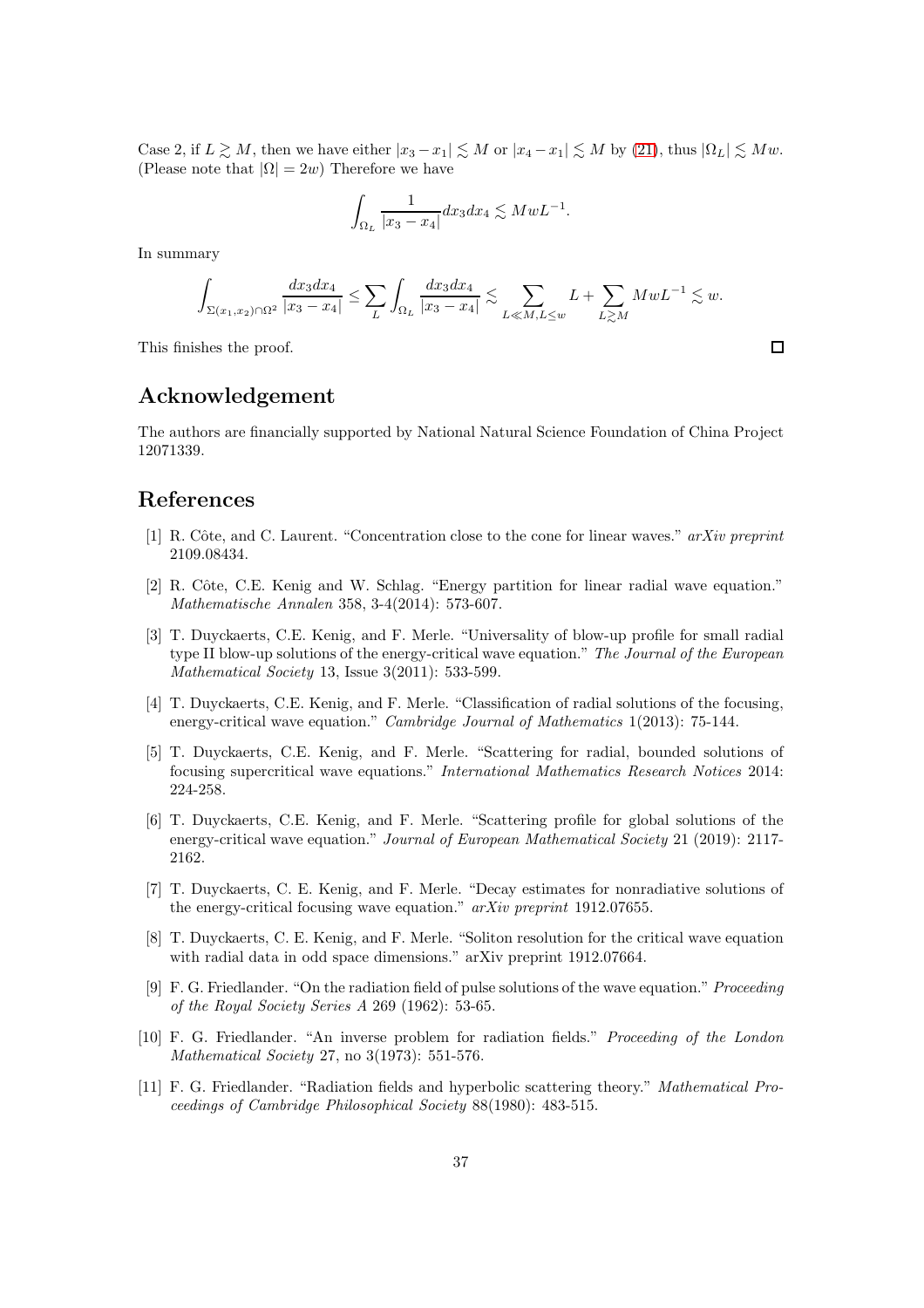Case 2, if  $L \gtrsim M$ , then we have either  $|x_3 - x_1| \lesssim M$  or  $|x_4 - x_1| \lesssim M$  by [\(21\)](#page-35-1), thus  $|\Omega_L| \lesssim Mw$ . (Please note that  $|\Omega| = 2w$ ) Therefore we have

$$
\int_{\Omega_L} \frac{1}{|x_3 - x_4|} dx_3 dx_4 \lesssim M w L^{-1}.
$$

In summary

$$
\int_{\Sigma(x_1,x_2)\cap\Omega^2} \frac{dx_3dx_4}{|x_3-x_4|} \leq \sum_{L} \int_{\Omega_L} \frac{dx_3dx_4}{|x_3-x_4|} \lesssim \sum_{L\ll M, L\leq w} L + \sum_{L\gtrsim M} MwL^{-1} \lesssim w.
$$

This finishes the proof.

## Acknowledgement

The authors are financially supported by National Natural Science Foundation of China Project 12071339.

### <span id="page-36-4"></span>References

- <span id="page-36-5"></span>[1] R. Côte, and C. Laurent. "Concentration close to the cone for linear waves." arXiv preprint 2109.08434.
- [2] R. Côte, C.E. Kenig and W. Schlag. "Energy partition for linear radial wave equation." Mathematische Annalen 358, 3-4(2014): 573-607.
- <span id="page-36-6"></span>[3] T. Duyckaerts, C.E. Kenig, and F. Merle. "Universality of blow-up profile for small radial type II blow-up solutions of the energy-critical wave equation." The Journal of the European Mathematical Society 13, Issue 3(2011): 533-599.
- <span id="page-36-8"></span>[4] T. Duyckaerts, C.E. Kenig, and F. Merle. "Classification of radial solutions of the focusing, energy-critical wave equation." Cambridge Journal of Mathematics 1(2013): 75-144.
- <span id="page-36-10"></span>[5] T. Duyckaerts, C.E. Kenig, and F. Merle. "Scattering for radial, bounded solutions of focusing supercritical wave equations." International Mathematics Research Notices 2014: 224-258.
- <span id="page-36-2"></span>[6] T. Duyckaerts, C.E. Kenig, and F. Merle. "Scattering profile for global solutions of the energy-critical wave equation." Journal of European Mathematical Society 21 (2019): 2117-2162.
- <span id="page-36-7"></span>[7] T. Duyckaerts, C. E. Kenig, and F. Merle. "Decay estimates for nonradiative solutions of the energy-critical focusing wave equation." arXiv preprint 1912.07655.
- <span id="page-36-9"></span>[8] T. Duyckaerts, C. E. Kenig, and F. Merle. "Soliton resolution for the critical wave equation with radial data in odd space dimensions." arXiv preprint 1912.07664.
- <span id="page-36-0"></span>[9] F. G. Friedlander. "On the radiation field of pulse solutions of the wave equation." Proceeding of the Royal Society Series A 269 (1962): 53-65.
- <span id="page-36-3"></span>[10] F. G. Friedlander. "An inverse problem for radiation fields." Proceeding of the London Mathematical Society 27, no 3(1973): 551-576.
- <span id="page-36-1"></span>[11] F. G. Friedlander. "Radiation fields and hyperbolic scattering theory." Mathematical Proceedings of Cambridge Philosophical Society 88(1980): 483-515.

 $\Box$